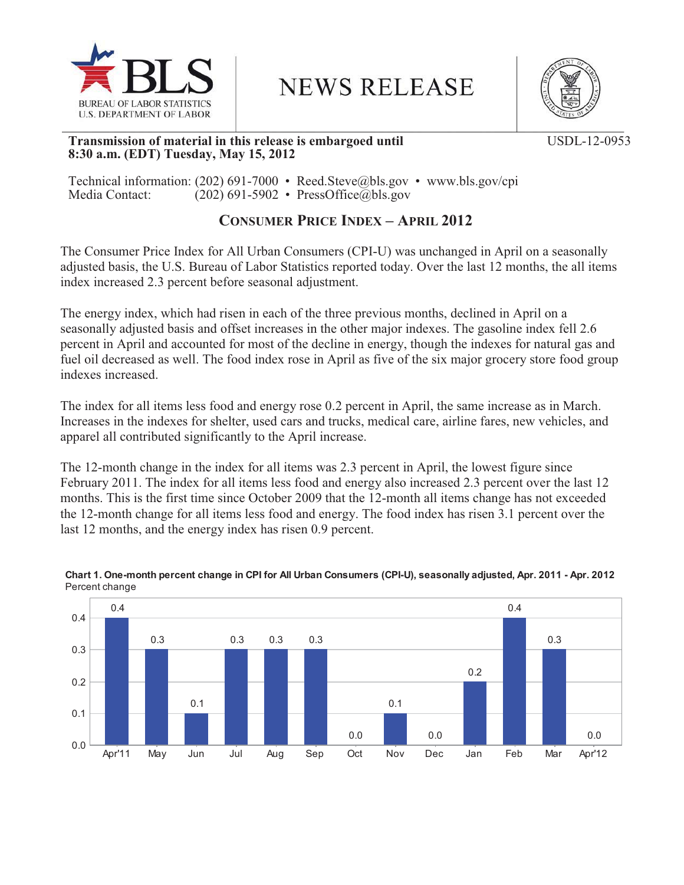

**NEWS RELEASE** 



## **Transmission of material in this release is embargoed until**  USDL-12-0953 **8:30 a.m. (EDT) Tuesday, May 15, 2012**

Technical information: (202) 691-7000 • Reed.Steve@bls.gov • www.bls.gov/cpi<br>Media Contact: (202) 691-5902 • PressOffice@bls.gov  $(202)$  691-5902 • PressOffice@bls.gov

# **CONSUMER PRICE INDEX – APRIL 2012**

The Consumer Price Index for All Urban Consumers (CPI-U) was unchanged in April on a seasonally adjusted basis, the U.S. Bureau of Labor Statistics reported today. Over the last 12 months, the all items index increased 2.3 percent before seasonal adjustment.

The energy index, which had risen in each of the three previous months, declined in April on a seasonally adjusted basis and offset increases in the other major indexes. The gasoline index fell 2.6 percent in April and accounted for most of the decline in energy, though the indexes for natural gas and fuel oil decreased as well. The food index rose in April as five of the six major grocery store food group indexes increased.

The index for all items less food and energy rose 0.2 percent in April, the same increase as in March. Increases in the indexes for shelter, used cars and trucks, medical care, airline fares, new vehicles, and apparel all contributed significantly to the April increase.

The 12-month change in the index for all items was 2.3 percent in April, the lowest figure since February 2011. The index for all items less food and energy also increased 2.3 percent over the last 12 months. This is the first time since October 2009 that the 12-month all items change has not exceeded the 12-month change for all items less food and energy. The food index has risen 3.1 percent over the last 12 months, and the energy index has risen 0.9 percent.



#### **Chart 1. One-month percent change in CPI for All Urban Consumers (CPI-U), seasonally adjusted, Apr. 2011 - Apr. 2012** Percent change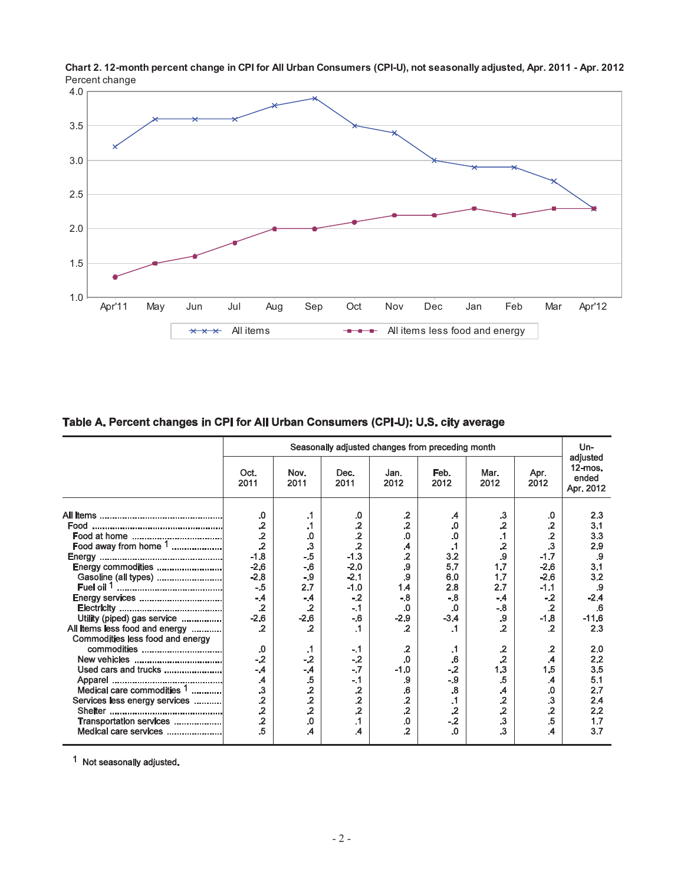

**Chart 2. 12-month percent change in CPI for All Urban Consumers (CPI-U), not seasonally adjusted, Apr. 2011 - Apr. 2012** Percent change

## Table A. Percent changes in CPI for All Urban Consumers (CPI-U): U.S. city average

|                                  | Seasonally adjusted changes from preceding month |                         |                          |                 |                         |                         |                         |                                              |  |
|----------------------------------|--------------------------------------------------|-------------------------|--------------------------|-----------------|-------------------------|-------------------------|-------------------------|----------------------------------------------|--|
|                                  | Oct.<br>2011                                     | Nov.<br>2011            | Dec.<br>2011             | Jan.<br>2012    | Feb.<br>2012            | Mar.<br>2012            | Apr.<br>2012            | adjusted<br>$12$ -mos.<br>ended<br>Apr. 2012 |  |
|                                  | .0                                               | .1                      | .0                       | $\cdot$         | .4                      | $\cdot$ 3               | .0                      | 2.3                                          |  |
|                                  | $\overline{2}$                                   | $\cdot$ 1               | $\mathbf{.2}$            | $\cdot$         | .0                      | $\overline{2}$          | $\overline{2}$          | 3.1                                          |  |
|                                  | $\overline{2}$                                   | 0.                      |                          | $\Omega$        | 0.                      | $\mathbf{.1}$           | $\overline{2}$          | 3.3                                          |  |
| Food away from home $1$          | $\cdot$                                          | $\overline{\mathbf{3}}$ | $\frac{.2}{.2}$          |                 | $\cdot$ 1               | $\overline{2}$          | $\overline{\mathbf{3}}$ | 2.9                                          |  |
|                                  |                                                  | $-.5$                   |                          | .4              |                         | .9                      |                         |                                              |  |
|                                  | $-1.8$                                           |                         | $-1.3$                   | $\overline{.2}$ | 3.2                     |                         | $-1.7$                  | .9                                           |  |
| Energy commodities               | $-2.6$                                           | $-6$                    | $-2.0$                   | ${\bf .9}$      | 5.7                     | 1.7                     | $-2.6$                  | 3.1                                          |  |
| Gasoline (all types)             | $-2.8$                                           | $-9$                    | $-2.1$                   | .9              | 6.0                     | 1.7                     | $-2.6$                  | 3.2                                          |  |
|                                  | $-5$                                             | 2.7                     | $-1.0$                   | 1.4             | 2.8                     | 2.7                     | $-1.1$                  | .9                                           |  |
|                                  | $-4$                                             | $-4$                    | $-2$                     | $-8$            | $-8$                    | $-4$                    | $-2$                    | $-2.4$                                       |  |
|                                  | $\overline{2}$                                   | $\cdot$                 | $-.1$                    | .0              | .0                      | $-8$                    | $\mathbf{.2}$           | .6                                           |  |
| Utility (piped) gas service      | $-2.6$                                           | $-2.6$                  | $-6$                     | $-2.9$          | $-3.4$                  | .9                      | $-1.8$                  | $-11.6$                                      |  |
| All items less food and energy   | $\overline{2}$                                   | $\cdot$                 | $\cdot$ 1                | $\cdot$         | .1                      | $\overline{2}$          | $\overline{2}$          | 2.3                                          |  |
| Commodities less food and energy |                                                  |                         |                          |                 |                         |                         |                         |                                              |  |
|                                  | .0                                               | $\cdot$ 1               | $-.1$                    | $\cdot$         | .1                      | $\mathbf{.2}$           | $\mathbf{.2}$           | 2.0                                          |  |
|                                  | $-2$                                             | $-2$                    | $-.2$                    | $\Omega$        | .6                      | $\overline{2}$          | $\mathcal{A}$           | 2.2                                          |  |
| Used cars and trucks             | $-4$                                             | $-4$                    | $-.7$                    | $-1.0$          | $-2$                    | 1.3                     | 1.5                     | 3.5                                          |  |
|                                  | .4                                               | .5                      | $-.1$                    | .9              | $-9$                    | .5                      | $\mathcal{A}$           | 5.1                                          |  |
| Medical care commodities 1       | $\overline{\mathbf{3}}$                          | $\overline{2}$          | $\overline{2}$           | ${\bf .6}$      | $\overline{\mathbf{8}}$ | $\mathcal{A}$           | .0                      | 2.7                                          |  |
| Services less energy services    | $\overline{2}$                                   | $\overline{2}$          | $\overline{2}$           | $\cdot$         | $\cdot$ 1               | $\overline{2}$          | $\cdot$                 | 2.4                                          |  |
|                                  | $\overline{2}$                                   | $\overline{2}$          | $\overline{2}$           | $\cdot$ .2      | $\mathbf{.2}$           | $\overline{2}$          | $\overline{2}$          | 2.2                                          |  |
|                                  | $\overline{2}$                                   |                         |                          |                 | $-2$                    | $\overline{\mathbf{3}}$ | .5                      |                                              |  |
| Transportation services          |                                                  | $\Omega$                | $\cdot$ 1                | $\Omega$        |                         |                         |                         | 1.7                                          |  |
| Medical care services            | .5                                               | .4                      | $\overline{\mathcal{A}}$ | $\overline{2}$  | $\Omega$                | $\mathbf{.3}$           | .4                      | 3.7                                          |  |

1 Not seasonally adjusted.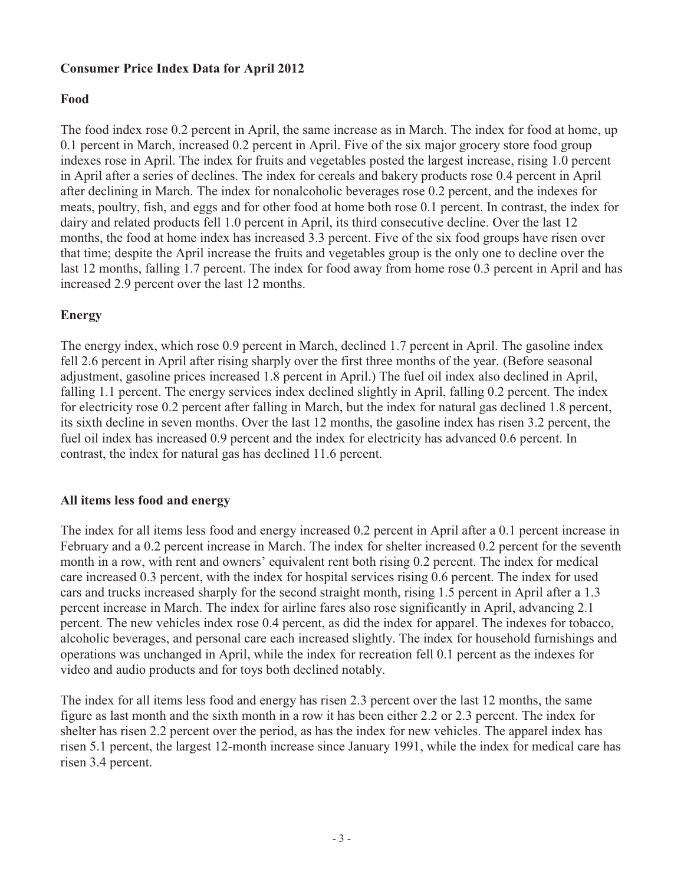# **Consumer Price Index Data for April 2012**

## **Food**

The food index rose 0.2 percent in April, the same increase as in March. The index for food at home, up 0.1 percent in March, increased 0.2 percent in April. Five of the six major grocery store food group indexes rose in April. The index for fruits and vegetables posted the largest increase, rising 1.0 percent in April after a series of declines. The index for cereals and bakery products rose 0.4 percent in April after declining in March. The index for nonalcoholic beverages rose 0.2 percent, and the indexes for meats, poultry, fish, and eggs and for other food at home both rose 0.1 percent. In contrast, the index for dairy and related products fell 1.0 percent in April, its third consecutive decline. Over the last 12 months, the food at home index has increased 3.3 percent. Five of the six food groups have risen over that time; despite the April increase the fruits and vegetables group is the only one to decline over the last 12 months, falling 1.7 percent. The index for food away from home rose 0.3 percent in April and has increased 2.9 percent over the last 12 months.

## **Energy**

The energy index, which rose 0.9 percent in March, declined 1.7 percent in April. The gasoline index fell 2.6 percent in April after rising sharply over the first three months of the year. (Before seasonal adjustment, gasoline prices increased 1.8 percent in April.) The fuel oil index also declined in April, falling 1.1 percent. The energy services index declined slightly in April, falling 0.2 percent. The index for electricity rose 0.2 percent after falling in March, but the index for natural gas declined 1.8 percent, its sixth decline in seven months. Over the last 12 months, the gasoline index has risen 3.2 percent, the fuel oil index has increased 0.9 percent and the index for electricity has advanced 0.6 percent. In contrast, the index for natural gas has declined 11.6 percent.

## **All items less food and energy**

The index for all items less food and energy increased 0.2 percent in April after a 0.1 percent increase in February and a 0.2 percent increase in March. The index for shelter increased 0.2 percent for the seventh month in a row, with rent and owners' equivalent rent both rising 0.2 percent. The index for medical care increased 0.3 percent, with the index for hospital services rising 0.6 percent. The index for used cars and trucks increased sharply for the second straight month, rising 1.5 percent in April after a 1.3 percent increase in March. The index for airline fares also rose significantly in April, advancing 2.1 percent. The new vehicles index rose 0.4 percent, as did the index for apparel. The indexes for tobacco, alcoholic beverages, and personal care each increased slightly. The index for household furnishings and operations was unchanged in April, while the index for recreation fell 0.1 percent as the indexes for video and audio products and for toys both declined notably.

The index for all items less food and energy has risen 2.3 percent over the last 12 months, the same figure as last month and the sixth month in a row it has been either 2.2 or 2.3 percent. The index for shelter has risen 2.2 percent over the period, as has the index for new vehicles. The apparel index has risen 5.1 percent, the largest 12-month increase since January 1991, while the index for medical care has risen 3.4 percent.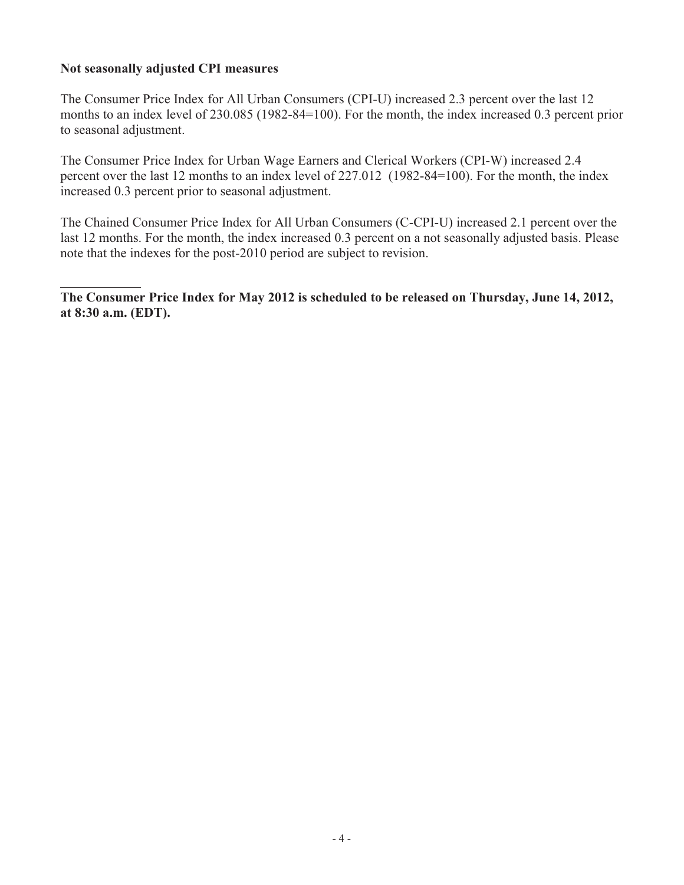## **Not seasonally adjusted CPI measures**

The Consumer Price Index for All Urban Consumers (CPI-U) increased 2.3 percent over the last 12 months to an index level of 230.085 (1982-84=100). For the month, the index increased 0.3 percent prior to seasonal adjustment.

The Consumer Price Index for Urban Wage Earners and Clerical Workers (CPI-W) increased 2.4 percent over the last 12 months to an index level of 227.012 (1982-84=100). For the month, the index increased 0.3 percent prior to seasonal adjustment.

The Chained Consumer Price Index for All Urban Consumers (C-CPI-U) increased 2.1 percent over the last 12 months. For the month, the index increased 0.3 percent on a not seasonally adjusted basis. Please note that the indexes for the post-2010 period are subject to revision.

**The Consumer Price Index for May 2012 is scheduled to be released on Thursday, June 14, 2012, at 8:30 a.m. (EDT).**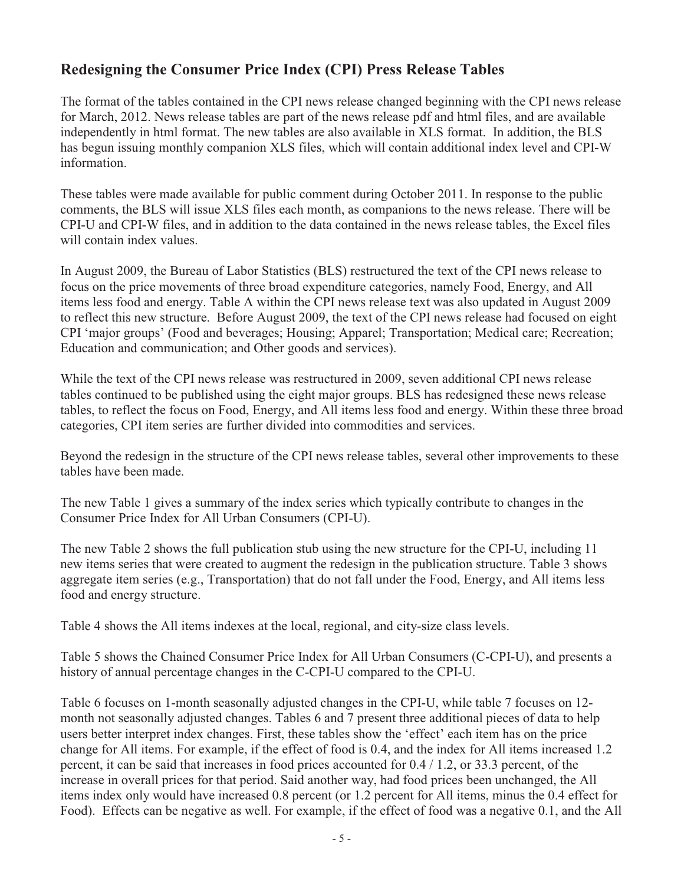# **Redesigning the Consumer Price Index (CPI) Press Release Tables**

The format of the tables contained in the CPI news release changed beginning with the CPI news release for March, 2012. News release tables are part of the news release pdf and html files, and are available independently in html format. The new tables are also available in XLS format. In addition, the BLS has begun issuing monthly companion XLS files, which will contain additional index level and CPI-W information.

These tables were made available for public comment during October 2011. In response to the public comments, the BLS will issue XLS files each month, as companions to the news release. There will be CPI-U and CPI-W files, and in addition to the data contained in the news release tables, the Excel files will contain index values.

In August 2009, the Bureau of Labor Statistics (BLS) restructured the text of the CPI news release to focus on the price movements of three broad expenditure categories, namely Food, Energy, and All items less food and energy. Table A within the CPI news release text was also updated in August 2009 to reflect this new structure. Before August 2009, the text of the CPI news release had focused on eight CPI 'major groups' (Food and beverages; Housing; Apparel; Transportation; Medical care; Recreation; Education and communication; and Other goods and services).

While the text of the CPI news release was restructured in 2009, seven additional CPI news release tables continued to be published using the eight major groups. BLS has redesigned these news release tables, to reflect the focus on Food, Energy, and All items less food and energy. Within these three broad categories, CPI item series are further divided into commodities and services.

Beyond the redesign in the structure of the CPI news release tables, several other improvements to these tables have been made.

The new Table 1 gives a summary of the index series which typically contribute to changes in the Consumer Price Index for All Urban Consumers (CPI-U).

The new Table 2 shows the full publication stub using the new structure for the CPI-U, including 11 new items series that were created to augment the redesign in the publication structure. Table 3 shows aggregate item series (e.g., Transportation) that do not fall under the Food, Energy, and All items less food and energy structure.

Table 4 shows the All items indexes at the local, regional, and city-size class levels.

Table 5 shows the Chained Consumer Price Index for All Urban Consumers (C-CPI-U), and presents a history of annual percentage changes in the C-CPI-U compared to the CPI-U.

Table 6 focuses on 1-month seasonally adjusted changes in the CPI-U, while table 7 focuses on 12 month not seasonally adjusted changes. Tables 6 and 7 present three additional pieces of data to help users better interpret index changes. First, these tables show the 'effect' each item has on the price change for All items. For example, if the effect of food is 0.4, and the index for All items increased 1.2 percent, it can be said that increases in food prices accounted for 0.4 / 1.2, or 33.3 percent, of the increase in overall prices for that period. Said another way, had food prices been unchanged, the All items index only would have increased 0.8 percent (or 1.2 percent for All items, minus the 0.4 effect for Food). Effects can be negative as well. For example, if the effect of food was a negative 0.1, and the All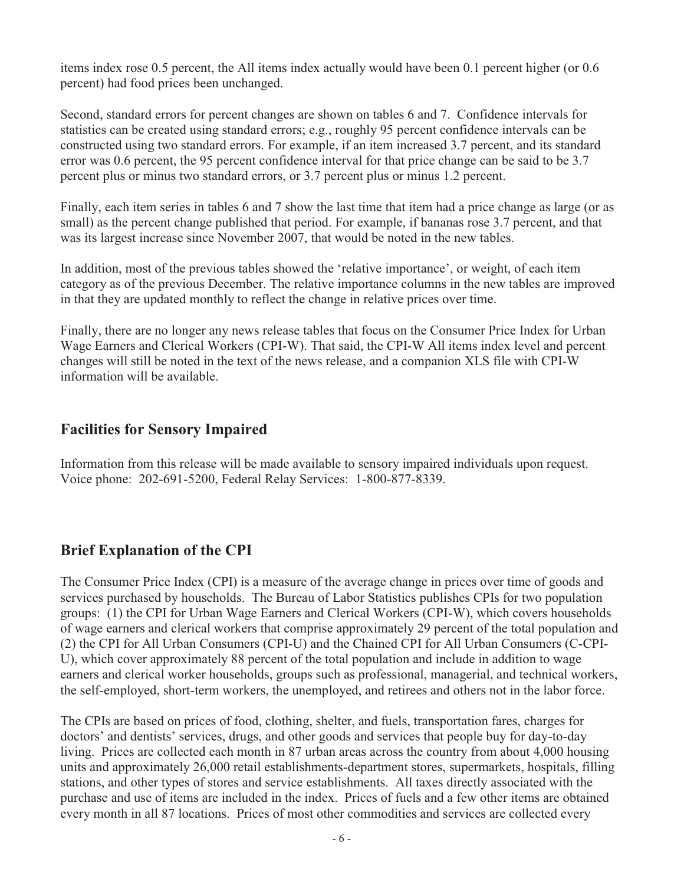items index rose 0.5 percent, the All items index actually would have been 0.1 percent higher (or 0.6 percent) had food prices been unchanged.

Second, standard errors for percent changes are shown on tables 6 and 7. Confidence intervals for statistics can be created using standard errors; e.g., roughly 95 percent confidence intervals can be constructed using two standard errors. For example, if an item increased 3.7 percent, and its standard error was 0.6 percent, the 95 percent confidence interval for that price change can be said to be 3.7 percent plus or minus two standard errors, or 3.7 percent plus or minus 1.2 percent.

Finally, each item series in tables 6 and 7 show the last time that item had a price change as large (or as small) as the percent change published that period. For example, if bananas rose 3.7 percent, and that was its largest increase since November 2007, that would be noted in the new tables.

In addition, most of the previous tables showed the 'relative importance', or weight, of each item category as of the previous December. The relative importance columns in the new tables are improved in that they are updated monthly to reflect the change in relative prices over time.

Finally, there are no longer any news release tables that focus on the Consumer Price Index for Urban Wage Earners and Clerical Workers (CPI-W). That said, the CPI-W All items index level and percent changes will still be noted in the text of the news release, and a companion XLS file with CPI-W information will be available.

# **Facilities for Sensory Impaired**

Information from this release will be made available to sensory impaired individuals upon request. Voice phone: 202-691-5200, Federal Relay Services: 1-800-877-8339.

# **Brief Explanation of the CPI**

The Consumer Price Index (CPI) is a measure of the average change in prices over time of goods and services purchased by households. The Bureau of Labor Statistics publishes CPIs for two population groups: (1) the CPI for Urban Wage Earners and Clerical Workers (CPI-W), which covers households of wage earners and clerical workers that comprise approximately 29 percent of the total population and (2) the CPI for All Urban Consumers (CPI-U) and the Chained CPI for All Urban Consumers (C-CPI-U), which cover approximately 88 percent of the total population and include in addition to wage earners and clerical worker households, groups such as professional, managerial, and technical workers, the self-employed, short-term workers, the unemployed, and retirees and others not in the labor force.

The CPIs are based on prices of food, clothing, shelter, and fuels, transportation fares, charges for doctors' and dentists' services, drugs, and other goods and services that people buy for day-to-day living. Prices are collected each month in 87 urban areas across the country from about 4,000 housing units and approximately 26,000 retail establishments-department stores, supermarkets, hospitals, filling stations, and other types of stores and service establishments. All taxes directly associated with the purchase and use of items are included in the index. Prices of fuels and a few other items are obtained every month in all 87 locations. Prices of most other commodities and services are collected every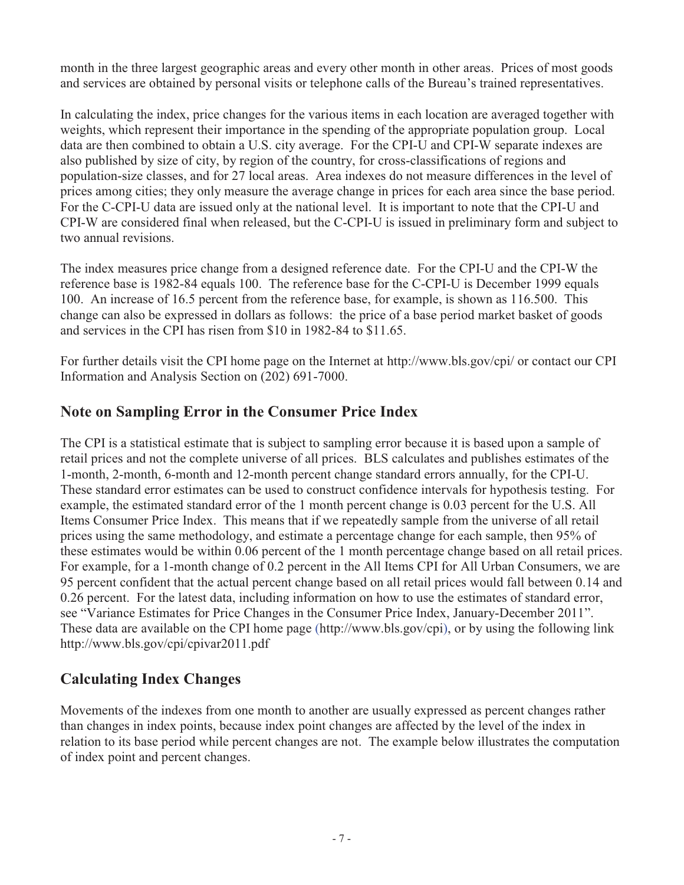month in the three largest geographic areas and every other month in other areas. Prices of most goods and services are obtained by personal visits or telephone calls of the Bureau's trained representatives.

In calculating the index, price changes for the various items in each location are averaged together with weights, which represent their importance in the spending of the appropriate population group. Local data are then combined to obtain a U.S. city average. For the CPI-U and CPI-W separate indexes are also published by size of city, by region of the country, for cross-classifications of regions and population-size classes, and for 27 local areas. Area indexes do not measure differences in the level of prices among cities; they only measure the average change in prices for each area since the base period. For the C-CPI-U data are issued only at the national level. It is important to note that the CPI-U and CPI-W are considered final when released, but the C-CPI-U is issued in preliminary form and subject to two annual revisions.

The index measures price change from a designed reference date. For the CPI-U and the CPI-W the reference base is 1982-84 equals 100. The reference base for the C-CPI-U is December 1999 equals 100. An increase of 16.5 percent from the reference base, for example, is shown as 116.500. This change can also be expressed in dollars as follows: the price of a base period market basket of goods and services in the CPI has risen from \$10 in 1982-84 to \$11.65.

For further details visit the CPI home page on the Internet at http://www.bls.gov/cpi/ or contact our CPI Information and Analysis Section on (202) 691-7000.

# **Note on Sampling Error in the Consumer Price Index**

The CPI is a statistical estimate that is subject to sampling error because it is based upon a sample of retail prices and not the complete universe of all prices. BLS calculates and publishes estimates of the 1-month, 2-month, 6-month and 12-month percent change standard errors annually, for the CPI-U. These standard error estimates can be used to construct confidence intervals for hypothesis testing. For example, the estimated standard error of the 1 month percent change is 0.03 percent for the U.S. All Items Consumer Price Index. This means that if we repeatedly sample from the universe of all retail prices using the same methodology, and estimate a percentage change for each sample, then 95% of these estimates would be within 0.06 percent of the 1 month percentage change based on all retail prices. For example, for a 1-month change of 0.2 percent in the All Items CPI for All Urban Consumers, we are 95 percent confident that the actual percent change based on all retail prices would fall between 0.14 and 0.26 percent. For the latest data, including information on how to use the estimates of standard error, see "Variance Estimates for Price Changes in the Consumer Price Index, January-December 2011". These data are available on the CPI home page (http://www.bls.gov/cpi), or by using the following link http://www.bls.gov/cpi/cpivar2011.pdf

# **Calculating Index Changes**

Movements of the indexes from one month to another are usually expressed as percent changes rather than changes in index points, because index point changes are affected by the level of the index in relation to its base period while percent changes are not. The example below illustrates the computation of index point and percent changes.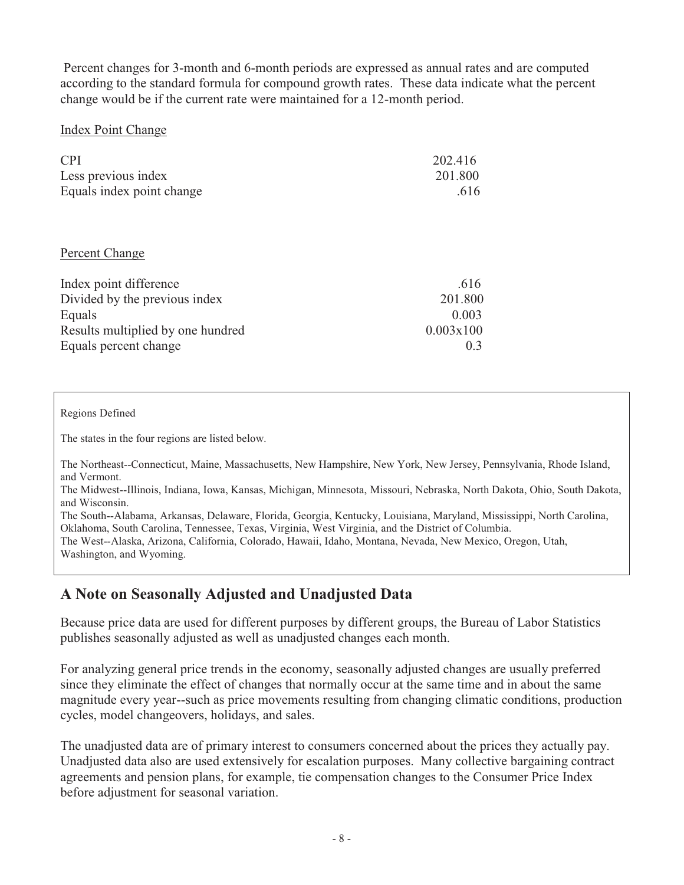Percent changes for 3-month and 6-month periods are expressed as annual rates and are computed according to the standard formula for compound growth rates. These data indicate what the percent change would be if the current rate were maintained for a 12-month period.

## Index Point Change

| <b>CPI</b><br>Less previous index<br>Equals index point change | 202.416<br>201.800<br>.616 |
|----------------------------------------------------------------|----------------------------|
| Percent Change                                                 |                            |
| Index point difference                                         | .616                       |
| Divided by the previous index                                  | 201.800                    |
| Equals                                                         | 0.003                      |
| Results multiplied by one hundred                              | 0.003x100                  |
| Equals percent change                                          | 0.3                        |

Regions Defined

The states in the four regions are listed below.

The Northeast--Connecticut, Maine, Massachusetts, New Hampshire, New York, New Jersey, Pennsylvania, Rhode Island, and Vermont.

The Midwest--Illinois, Indiana, Iowa, Kansas, Michigan, Minnesota, Missouri, Nebraska, North Dakota, Ohio, South Dakota, and Wisconsin.

The South--Alabama, Arkansas, Delaware, Florida, Georgia, Kentucky, Louisiana, Maryland, Mississippi, North Carolina, Oklahoma, South Carolina, Tennessee, Texas, Virginia, West Virginia, and the District of Columbia. The West--Alaska, Arizona, California, Colorado, Hawaii, Idaho, Montana, Nevada, New Mexico, Oregon, Utah, Washington, and Wyoming.

# **A Note on Seasonally Adjusted and Unadjusted Data**

Because price data are used for different purposes by different groups, the Bureau of Labor Statistics publishes seasonally adjusted as well as unadjusted changes each month.

For analyzing general price trends in the economy, seasonally adjusted changes are usually preferred since they eliminate the effect of changes that normally occur at the same time and in about the same magnitude every year--such as price movements resulting from changing climatic conditions, production cycles, model changeovers, holidays, and sales.

The unadjusted data are of primary interest to consumers concerned about the prices they actually pay. Unadjusted data also are used extensively for escalation purposes. Many collective bargaining contract agreements and pension plans, for example, tie compensation changes to the Consumer Price Index before adjustment for seasonal variation.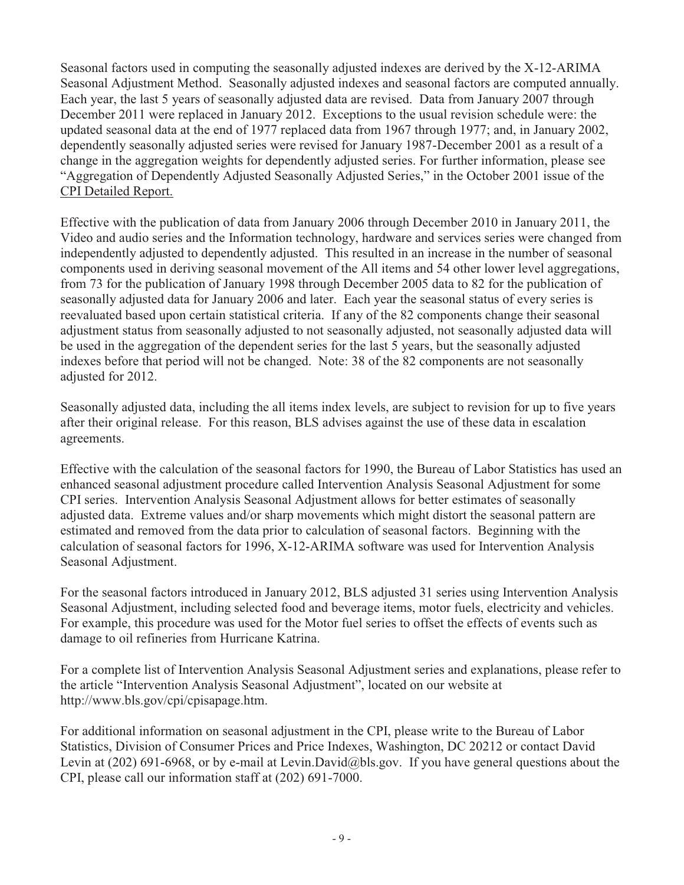Seasonal factors used in computing the seasonally adjusted indexes are derived by the X-12-ARIMA Seasonal Adjustment Method. Seasonally adjusted indexes and seasonal factors are computed annually. Each year, the last 5 years of seasonally adjusted data are revised. Data from January 2007 through December 2011 were replaced in January 2012. Exceptions to the usual revision schedule were: the updated seasonal data at the end of 1977 replaced data from 1967 through 1977; and, in January 2002, dependently seasonally adjusted series were revised for January 1987-December 2001 as a result of a change in the aggregation weights for dependently adjusted series. For further information, please see "Aggregation of Dependently Adjusted Seasonally Adjusted Series," in the October 2001 issue of the CPI Detailed Report.

Effective with the publication of data from January 2006 through December 2010 in January 2011, the Video and audio series and the Information technology, hardware and services series were changed from independently adjusted to dependently adjusted. This resulted in an increase in the number of seasonal components used in deriving seasonal movement of the All items and 54 other lower level aggregations, from 73 for the publication of January 1998 through December 2005 data to 82 for the publication of seasonally adjusted data for January 2006 and later. Each year the seasonal status of every series is reevaluated based upon certain statistical criteria. If any of the 82 components change their seasonal adjustment status from seasonally adjusted to not seasonally adjusted, not seasonally adjusted data will be used in the aggregation of the dependent series for the last 5 years, but the seasonally adjusted indexes before that period will not be changed. Note: 38 of the 82 components are not seasonally adjusted for 2012.

Seasonally adjusted data, including the all items index levels, are subject to revision for up to five years after their original release. For this reason, BLS advises against the use of these data in escalation agreements.

Effective with the calculation of the seasonal factors for 1990, the Bureau of Labor Statistics has used an enhanced seasonal adjustment procedure called Intervention Analysis Seasonal Adjustment for some CPI series. Intervention Analysis Seasonal Adjustment allows for better estimates of seasonally adjusted data. Extreme values and/or sharp movements which might distort the seasonal pattern are estimated and removed from the data prior to calculation of seasonal factors. Beginning with the calculation of seasonal factors for 1996, X-12-ARIMA software was used for Intervention Analysis Seasonal Adjustment.

For the seasonal factors introduced in January 2012, BLS adjusted 31 series using Intervention Analysis Seasonal Adjustment, including selected food and beverage items, motor fuels, electricity and vehicles. For example, this procedure was used for the Motor fuel series to offset the effects of events such as damage to oil refineries from Hurricane Katrina.

For a complete list of Intervention Analysis Seasonal Adjustment series and explanations, please refer to the article "Intervention Analysis Seasonal Adjustment", located on our website at http://www.bls.gov/cpi/cpisapage.htm.

For additional information on seasonal adjustment in the CPI, please write to the Bureau of Labor Statistics, Division of Consumer Prices and Price Indexes, Washington, DC 20212 or contact David Levin at (202) 691-6968, or by e-mail at Levin.David@bls.gov. If you have general questions about the CPI, please call our information staff at (202) 691-7000.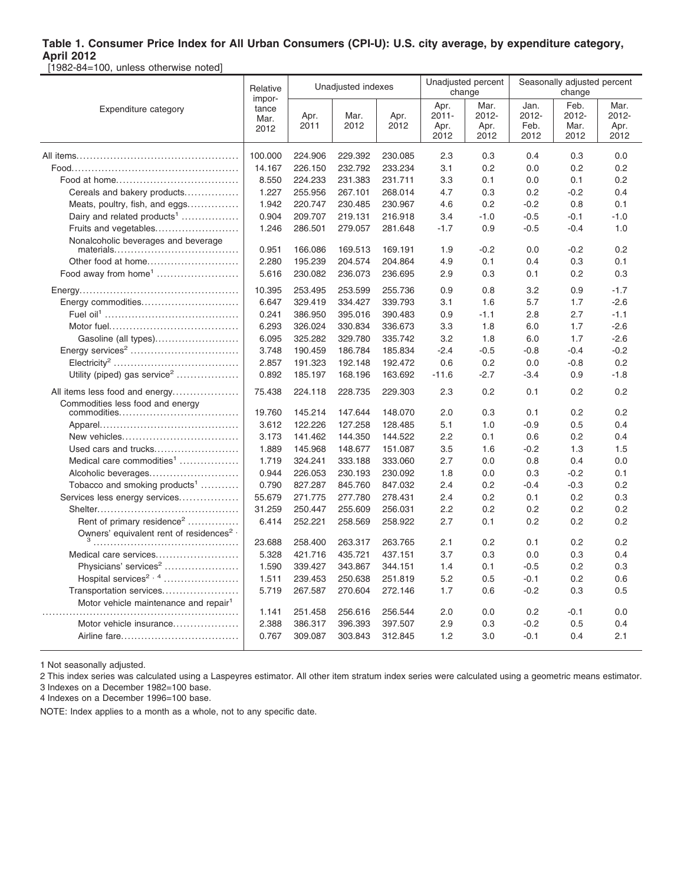[1982-84=100, unless otherwise noted]

|                                                                 | Unadjusted indexes<br>Relative<br>impor- |              |              | Unadjusted percent<br>change |                                  | Seasonally adjusted percent<br>change |                               |                               |                               |
|-----------------------------------------------------------------|------------------------------------------|--------------|--------------|------------------------------|----------------------------------|---------------------------------------|-------------------------------|-------------------------------|-------------------------------|
| Expenditure category                                            | tance<br>Mar.<br>2012                    | Apr.<br>2011 | Mar.<br>2012 | Apr.<br>2012                 | Apr.<br>$2011 -$<br>Apr.<br>2012 | Mar.<br>2012-<br>Apr.<br>2012         | Jan.<br>2012-<br>Feb.<br>2012 | Feb.<br>2012-<br>Mar.<br>2012 | Mar.<br>2012-<br>Apr.<br>2012 |
|                                                                 | 100.000                                  | 224.906      | 229.392      | 230.085                      | 2.3                              | 0.3                                   | 0.4                           | 0.3                           | 0.0                           |
|                                                                 | 14.167                                   | 226.150      | 232.792      | 233.234                      | 3.1                              | 0.2                                   | 0.0                           | 0.2                           | 0.2                           |
|                                                                 | 8.550                                    | 224.233      | 231.383      | 231.711                      | 3.3                              | 0.1                                   | 0.0                           | 0.1                           | 0.2                           |
| Cereals and bakery products                                     | 1.227                                    | 255.956      | 267.101      | 268.014                      | 4.7                              | 0.3                                   | 0.2                           | $-0.2$                        | 0.4                           |
| Meats, poultry, fish, and eggs                                  | 1.942                                    | 220.747      | 230.485      | 230.967                      | 4.6                              | 0.2                                   | $-0.2$                        | 0.8                           | 0.1                           |
| Dairy and related products <sup>1</sup>                         | 0.904                                    | 209.707      | 219.131      | 216.918                      | 3.4                              | $-1.0$                                | $-0.5$                        | $-0.1$                        | $-1.0$                        |
| Fruits and vegetables                                           | 1.246                                    | 286.501      | 279.057      | 281.648                      | $-1.7$                           | 0.9                                   | $-0.5$                        | $-0.4$                        | 1.0                           |
| Nonalcoholic beverages and beverage                             |                                          |              |              |                              |                                  |                                       |                               |                               |                               |
|                                                                 | 0.951                                    | 166.086      | 169.513      | 169.191                      | 1.9                              | $-0.2$                                | 0.0                           | $-0.2$                        | 0.2                           |
| Other food at home                                              | 2.280                                    | 195.239      | 204.574      | 204.864                      | 4.9                              | 0.1                                   | 0.4                           | 0.3                           | 0.1                           |
| Food away from home <sup>1</sup>                                | 5.616                                    | 230.082      | 236.073      | 236.695                      | 2.9                              | 0.3                                   | 0.1                           | 0.2                           | 0.3                           |
|                                                                 | 10.395                                   | 253.495      | 253.599      | 255.736                      | 0.9                              | 0.8                                   | 3.2                           | 0.9                           | $-1.7$                        |
| Energy commodities                                              | 6.647                                    | 329.419      | 334.427      | 339.793                      | 3.1                              | 1.6                                   | 5.7                           | 1.7                           | $-2.6$                        |
|                                                                 | 0.241                                    | 386.950      | 395.016      | 390.483                      | 0.9                              | $-1.1$                                | 2.8                           | 2.7                           | $-1.1$                        |
|                                                                 | 6.293                                    | 326.024      | 330.834      | 336.673                      | 3.3                              | 1.8                                   | 6.0                           | 1.7                           | $-2.6$                        |
| Gasoline (all types)                                            | 6.095                                    | 325.282      | 329.780      | 335.742                      | 3.2                              | 1.8                                   | 6.0                           | 1.7                           | $-2.6$                        |
|                                                                 | 3.748                                    | 190.459      | 186.784      | 185.834                      | $-2.4$                           | $-0.5$                                | $-0.8$                        | $-0.4$                        | $-0.2$                        |
|                                                                 | 2.857                                    | 191.323      | 192.148      | 192.472                      | 0.6                              | 0.2                                   | 0.0                           | $-0.8$                        | 0.2                           |
| Utility (piped) gas service <sup>2</sup>                        | 0.892                                    | 185.197      | 168.196      | 163.692                      | $-11.6$                          | -2.7                                  | $-3.4$                        | 0.9                           | $-1.8$                        |
| All items less food and energy                                  | 75.438                                   | 224.118      | 228.735      | 229.303                      | 2.3                              | 0.2                                   | 0.1                           | 0.2                           | 0.2                           |
| Commodities less food and energy                                | 19.760                                   | 145.214      | 147.644      | 148.070                      | 2.0                              | 0.3                                   | 0.1                           | 0.2                           | 0.2                           |
|                                                                 | 3.612                                    | 122.226      | 127.258      | 128.485                      | 5.1                              | 1.0                                   | $-0.9$                        | 0.5                           | 0.4                           |
| New vehicles                                                    | 3.173                                    | 141.462      | 144.350      | 144.522                      | 2.2                              | 0.1                                   | 0.6                           | 0.2                           | 0.4                           |
| Used cars and trucks                                            | 1.889                                    | 145.968      | 148.677      | 151.087                      | 3.5                              | 1.6                                   | $-0.2$                        | 1.3                           | 1.5                           |
| Medical care commodities <sup>1</sup>                           | 1.719                                    | 324.241      | 333.188      | 333.060                      | 2.7                              | 0.0                                   | 0.8                           | 0.4                           | 0.0                           |
| Alcoholic beverages                                             | 0.944                                    | 226.053      | 230.193      | 230.092                      | 1.8                              | 0.0                                   | 0.3                           | $-0.2$                        | 0.1                           |
| Tobacco and smoking products <sup>1</sup>                       | 0.790                                    | 827.287      | 845.760      | 847.032                      | 2.4                              | 0.2                                   | $-0.4$                        | $-0.3$                        | 0.2                           |
| Services less energy services                                   | 55.679                                   | 271.775      | 277.780      | 278.431                      | 2.4                              | 0.2                                   | 0.1                           | 0.2                           | 0.3                           |
|                                                                 | 31.259                                   | 250.447      | 255.609      | 256.031                      | 2.2                              | 0.2                                   | 0.2                           | 0.2                           | 0.2                           |
| Rent of primary residence <sup>2</sup>                          | 6.414                                    | 252.221      | 258.569      | 258.922                      | 2.7                              | 0.1                                   | 0.2                           | 0.2                           | 0.2                           |
| Owners' equivalent rent of residences <sup>2</sup> <sup>,</sup> |                                          |              |              |                              |                                  |                                       |                               |                               |                               |
|                                                                 | 23.688                                   | 258.400      | 263.317      | 263.765                      | 2.1                              | 0.2                                   | 0.1                           | 0.2                           | 0.2                           |
| Medical care services                                           | 5.328                                    | 421.716      | 435.721      | 437.151                      | 3.7                              | 0.3                                   | 0.0                           | 0.3                           | 0.4                           |
| Physicians' services <sup>2</sup>                               | 1.590                                    | 339.427      | 343.867      | 344.151                      | 1.4                              | 0.1                                   | $-0.5$                        | 0.2                           | 0.3                           |
| Hospital services <sup>2, 4</sup>                               | 1.511                                    | 239.453      | 250.638      | 251.819                      | 5.2                              | 0.5                                   | $-0.1$                        | 0.2                           | 0.6                           |
| Transportation services                                         | 5.719                                    | 267.587      | 270.604      | 272.146                      | 1.7                              | 0.6                                   | $-0.2$                        | 0.3                           | 0.5                           |
| Motor vehicle maintenance and repair <sup>1</sup>               | 1.141                                    | 251.458      | 256.616      | 256.544                      | 2.0                              | 0.0                                   | 0.2                           | $-0.1$                        | 0.0                           |
| Motor vehicle insurance                                         | 2.388                                    | 386.317      | 396.393      | 397.507                      | 2.9                              | 0.3                                   | $-0.2$                        | 0.5                           | 0.4                           |
|                                                                 | 0.767                                    | 309.087      | 303.843      | 312.845                      | 1.2                              | 3.0                                   | $-0.1$                        | 0.4                           | 2.1                           |
|                                                                 |                                          |              |              |                              |                                  |                                       |                               |                               |                               |

1 Not seasonally adjusted.

2 This index series was calculated using a Laspeyres estimator. All other item stratum index series were calculated using a geometric means estimator. 3 Indexes on a December 1982=100 base.

4 Indexes on a December 1996=100 base.

NOTE: Index applies to a month as a whole, not to any specific date.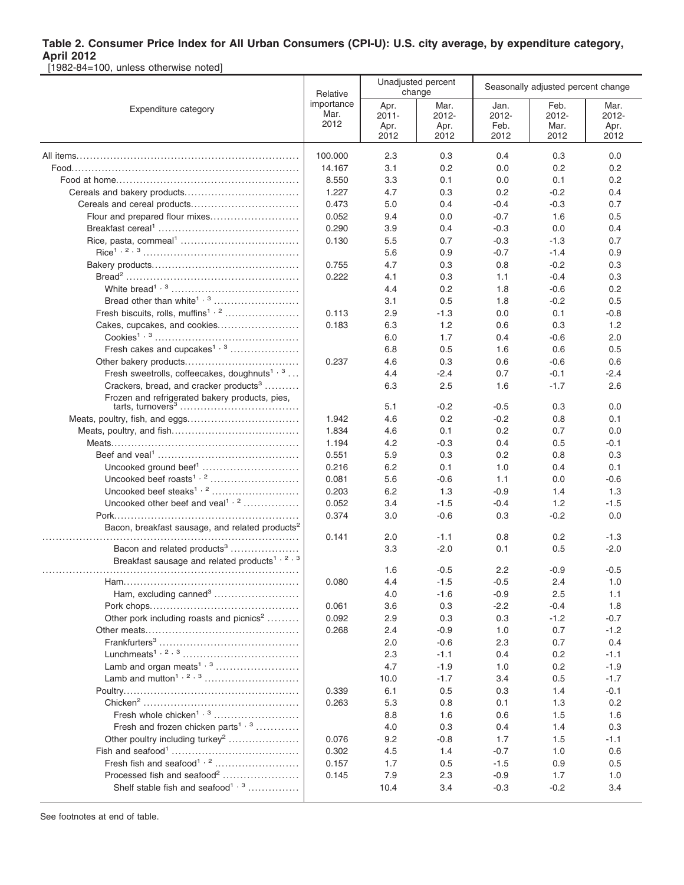[1982-84=100, unless otherwise noted]

|                                                             | Relative       |              | Unadjusted percent<br>change | Seasonally adjusted percent change |                |               |
|-------------------------------------------------------------|----------------|--------------|------------------------------|------------------------------------|----------------|---------------|
| Expenditure category                                        | importance     | Apr.         | Mar.                         | Jan.                               | Feb.           | Mar.          |
|                                                             | Mar.<br>2012   | $2011 -$     | 2012-                        | 2012-                              | 2012-          | 2012-         |
|                                                             |                | Apr.<br>2012 | Apr.<br>2012                 | Feb.<br>2012                       | Mar.<br>2012   | Apr.<br>2012  |
|                                                             | 100.000        | 2.3          |                              | 0.4                                |                | 0.0           |
|                                                             | 14.167         | 3.1          | 0.3<br>0.2                   | 0.0                                | 0.3<br>0.2     | 0.2           |
|                                                             | 8.550          | 3.3          | 0.1                          | 0.0                                | 0.1            | 0.2           |
|                                                             | 1.227          | 4.7          | 0.3                          | 0.2                                | $-0.2$         | 0.4           |
|                                                             | 0.473          | 5.0          | 0.4                          | $-0.4$                             | $-0.3$         | 0.7           |
| Flour and prepared flour mixes                              | 0.052          | 9.4          | 0.0                          | $-0.7$                             | 1.6            | 0.5           |
|                                                             | 0.290          | 3.9          | 0.4                          | $-0.3$                             | 0.0            | 0.4           |
|                                                             | 0.130          | 5.5          | 0.7                          | $-0.3$                             | $-1.3$         | 0.7           |
|                                                             |                | 5.6          | 0.9                          | $-0.7$                             | $-1.4$         | 0.9           |
|                                                             | 0.755          | 4.7          | 0.3                          | 0.8                                | $-0.2$         | 0.3           |
|                                                             | 0.222          | 4.1          | 0.3                          | 1.1                                | $-0.4$         | 0.3           |
|                                                             |                | 4.4          | 0.2                          | 1.8                                | $-0.6$         | 0.2           |
|                                                             |                | 3.1          | 0.5                          | 1.8                                | $-0.2$         | 0.5           |
| Fresh biscuits, rolls, muffins <sup>1, 2</sup>              | 0.113          | 2.9          | $-1.3$                       | 0.0                                | 0.1            | $-0.8$        |
| Cakes, cupcakes, and cookies                                | 0.183          | 6.3          | 1.2                          | 0.6                                | 0.3            | 1.2           |
|                                                             |                | 6.0          | 1.7                          | 0.4                                | $-0.6$         | 2.0           |
| Fresh cakes and cupcakes <sup>1, 3</sup>                    |                |              | 0.5                          | 1.6                                | 0.6            | 0.5           |
|                                                             |                | 6.8          |                              |                                    |                |               |
| Fresh sweetrolls, coffeecakes, doughnuts <sup>1, 3</sup>    | 0.237          | 4.6<br>4.4   | 0.3                          | 0.6<br>0.7                         | -0.6<br>$-0.1$ | 0.6           |
| Crackers, bread, and cracker products <sup>3</sup>          |                | 6.3          | $-2.4$<br>2.5                | 1.6                                | $-1.7$         | -2.4<br>2.6   |
| Frozen and refrigerated bakery products, pies,              |                |              |                              |                                    |                |               |
|                                                             |                | 5.1          | $-0.2$                       | $-0.5$                             | 0.3            | 0.0           |
|                                                             | 1.942          | 4.6          | 0.2                          | $-0.2$                             | 0.8            | 0.1           |
|                                                             | 1.834          | 4.6          | 0.1                          | 0.2                                | 0.7            | 0.0           |
|                                                             | 1.194          | 4.2          | $-0.3$                       | 0.4                                | 0.5            | $-0.1$        |
|                                                             | 0.551          | 5.9          | 0.3                          | 0.2                                | 0.8            | 0.3           |
|                                                             | 0.216          | 6.2          | 0.1                          | 1.0                                | 0.4            | 0.1           |
|                                                             | 0.081          | 5.6          | $-0.6$                       | 1.1                                | 0.0            | $-0.6$        |
|                                                             | 0.203          | 6.2          | 1.3                          | $-0.9$                             | 1.4            | 1.3           |
| Uncooked other beef and veal <sup>1, 2</sup>                | 0.052          | 3.4          | $-1.5$                       | $-0.4$                             | 1.2            | $-1.5$        |
|                                                             | 0.374          | 3.0          | $-0.6$                       | 0.3                                | $-0.2$         | 0.0           |
| Bacon, breakfast sausage, and related products <sup>2</sup> |                |              |                              |                                    |                |               |
|                                                             | 0.141          | 2.0          | $-1.1$                       | 0.8                                | 0.2            | $-1.3$        |
| Bacon and related products <sup>3</sup>                     |                | 3.3          | $-2.0$                       | 0.1                                | 0.5            | $-2.0$        |
| Breakfast sausage and related products <sup>1, 2, 3</sup>   |                |              |                              |                                    |                |               |
|                                                             |                | 1.6          | $-0.5$                       | 2.2                                | $-0.9$         | $-0.5$        |
| Ham, excluding canned <sup>3</sup>                          | 0.080          | 4.4          | $-1.5$<br>$-1.6$             | $-0.5$<br>$-0.9$                   | 2.4<br>2.5     | 1.0<br>1.1    |
|                                                             | 0.061          | 4.0<br>3.6   | 0.3                          | $-2.2$                             | $-0.4$         | 1.8           |
| Other pork including roasts and picnics <sup>2</sup>        | 0.092          | 2.9          |                              | 0.3                                | $-1.2$         | $-0.7$        |
|                                                             | 0.268          | 2.4          | 0.3<br>$-0.9$                | 1.0                                | 0.7            | $-1.2$        |
|                                                             |                | 2.0          | $-0.6$                       | 2.3                                | 0.7            | 0.4           |
|                                                             |                | 2.3          | $-1.1$                       | 0.4                                | 0.2            | $-1.1$        |
|                                                             |                | 4.7          | $-1.9$                       | 1.0                                | 0.2            | $-1.9$        |
|                                                             |                | 10.0         | $-1.7$                       | 3.4                                | 0.5            | $-1.7$        |
|                                                             | 0.339          | 6.1          | 0.5                          | 0.3                                | 1.4            | $-0.1$        |
|                                                             | 0.263          | 5.3          | 0.8                          | 0.1                                | 1.3            | 0.2           |
| Fresh whole chicken <sup>1, 3</sup>                         |                | 8.8          | 1.6                          | 0.6                                | 1.5            | 1.6           |
| Fresh and frozen chicken parts <sup>1, 3</sup>              |                | 4.0          |                              | 0.4                                |                | 0.3           |
| Other poultry including turkey <sup>2</sup>                 |                |              | 0.3                          |                                    | 1.4            |               |
|                                                             | 0.076<br>0.302 | 9.2<br>4.5   | $-0.8$                       | 1.7<br>$-0.7$                      | 1.5            | $-1.1$<br>0.6 |
|                                                             |                |              | 1.4                          |                                    | 1.0            |               |
| Processed fish and seafood <sup>2</sup>                     | 0.157          | 1.7          | 0.5                          | $-1.5$                             | 0.9            | 0.5           |
| Shelf stable fish and seafood <sup>1, 3</sup>               | 0.145          | 7.9<br>10.4  | 2.3                          | $-0.9$<br>$-0.3$                   | 1.7<br>$-0.2$  | 1.0<br>3.4    |
|                                                             |                |              | 3.4                          |                                    |                |               |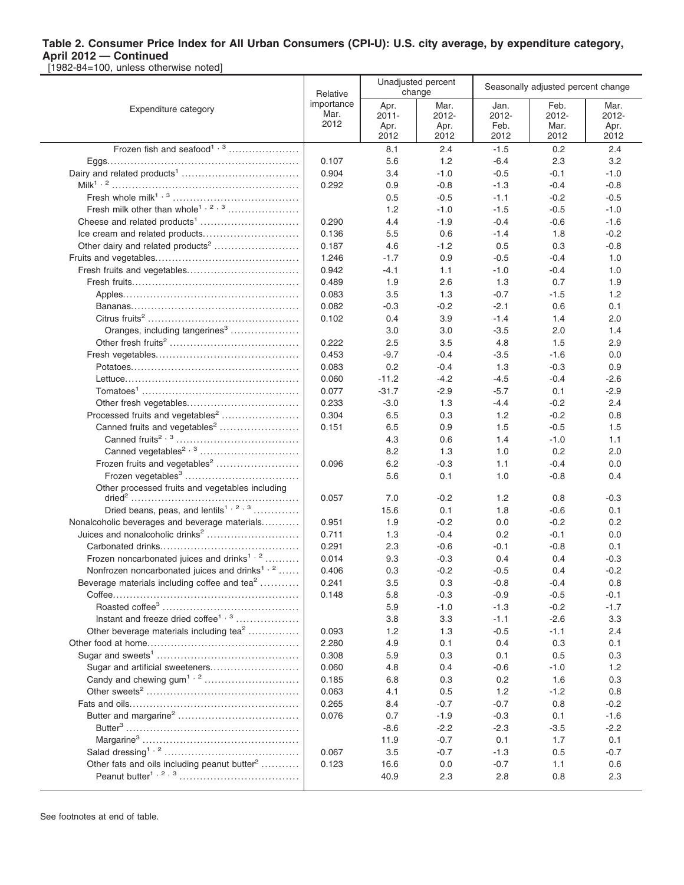|                                                           | Relative                   |                                  | Unadjusted percent<br>change  | Seasonally adjusted percent change |                               |                               |  |
|-----------------------------------------------------------|----------------------------|----------------------------------|-------------------------------|------------------------------------|-------------------------------|-------------------------------|--|
| Expenditure category                                      | importance<br>Mar.<br>2012 | Apr.<br>$2011 -$<br>Apr.<br>2012 | Mar.<br>2012-<br>Apr.<br>2012 | Jan.<br>2012-<br>Feb.<br>2012      | Feb.<br>2012-<br>Mar.<br>2012 | Mar.<br>2012-<br>Apr.<br>2012 |  |
| Frozen fish and seafood <sup>1, 3</sup>                   |                            | 8.1                              | 2.4                           | $-1.5$                             | 0.2                           | 2.4                           |  |
|                                                           | 0.107                      | 5.6                              | 1.2                           | $-6.4$                             | 2.3                           | 3.2                           |  |
|                                                           | 0.904                      | 3.4                              | $-1.0$                        | $-0.5$                             | $-0.1$                        | $-1.0$                        |  |
|                                                           | 0.292                      | 0.9                              | $-0.8$                        | $-1.3$                             | $-0.4$                        | $-0.8$                        |  |
|                                                           |                            | 0.5                              | $-0.5$                        | $-1.1$                             | $-0.2$                        | $-0.5$                        |  |
| Fresh milk other than whole <sup>1, 2, 3</sup>            |                            | 1.2                              | $-1.0$                        | $-1.5$                             | $-0.5$                        | $-1.0$                        |  |
|                                                           | 0.290                      | 4.4                              | $-1.9$                        | $-0.4$                             | $-0.6$                        | $-1.6$                        |  |
|                                                           | 0.136                      | 5.5                              | 0.6                           | $-1.4$                             | 1.8                           | $-0.2$                        |  |
|                                                           | 0.187                      | 4.6                              | $-1.2$                        | 0.5                                | 0.3                           | $-0.8$                        |  |
|                                                           | 1.246                      | $-1.7$                           | 0.9                           | $-0.5$                             | $-0.4$                        | 1.0                           |  |
|                                                           | 0.942                      | $-4.1$                           | 1.1                           | $-1.0$                             | $-0.4$                        | 1.0                           |  |
|                                                           | 0.489                      | 1.9                              | 2.6                           | 1.3                                | 0.7                           | 1.9                           |  |
|                                                           | 0.083                      | 3.5                              | 1.3                           | $-0.7$                             | -1.5                          | 1.2                           |  |
|                                                           | 0.082                      | $-0.3$                           | $-0.2$                        | $-2.1$                             | 0.6                           | 0.1                           |  |
|                                                           | 0.102                      | 0.4                              | 3.9                           | $-1.4$                             | 1.4                           | 2.0                           |  |
| Oranges, including tangerines <sup>3</sup>                |                            | 3.0                              | 3.0                           | $-3.5$                             | 2.0                           | 1.4                           |  |
|                                                           | 0.222                      | 2.5                              | 3.5                           | 4.8                                | 1.5                           | 2.9                           |  |
|                                                           | 0.453                      | $-9.7$                           | $-0.4$                        | $-3.5$                             | $-1.6$                        | 0.0                           |  |
|                                                           | 0.083                      | 0.2                              | $-0.4$                        | 1.3                                | $-0.3$                        | 0.9                           |  |
|                                                           | 0.060                      | $-11.2$                          | $-4.2$                        | -4.5                               | $-0.4$                        | $-2.6$                        |  |
|                                                           | 0.077                      | $-31.7$                          | $-2.9$                        | $-5.7$                             | 0.1                           | $-2.9$                        |  |
|                                                           | 0.233                      | $-3.0$                           | 1.3                           | $-4.4$                             | $-0.2$                        | 2.4                           |  |
| Processed fruits and vegetables <sup>2</sup>              | 0.304                      | 6.5                              | 0.3                           | 1.2                                | $-0.2$                        | 0.8                           |  |
| Canned fruits and vegetables <sup>2</sup>                 | 0.151                      | 6.5                              | 0.9                           | 1.5                                | $-0.5$                        | 1.5                           |  |
|                                                           |                            | 4.3                              | 0.6                           | 1.4                                | $-1.0$                        | 1.1                           |  |
|                                                           |                            | 8.2                              | 1.3                           | 1.0                                | 0.2                           | 2.0                           |  |
| Frozen fruits and vegetables <sup>2</sup>                 | 0.096                      | 6.2                              | $-0.3$                        | 1.1                                | $-0.4$                        | 0.0                           |  |
|                                                           |                            | 5.6                              | 0.1                           | 1.0                                | -0.8                          | 0.4                           |  |
| Other processed fruits and vegetables including           |                            |                                  |                               |                                    |                               |                               |  |
| Dried beans, peas, and lentils <sup>1, 2, 3</sup>         | 0.057                      | 7.0                              | $-0.2$                        | 1.2                                | 0.8                           | $-0.3$                        |  |
| Nonalcoholic beverages and beverage materials             |                            | 15.6                             | 0.1                           | 1.8                                | $-0.6$<br>$-0.2$              | 0.1<br>0.2                    |  |
| Juices and nonalcoholic drinks <sup>2</sup>               | 0.951<br>0.711             | 1.9                              | $-0.2$                        | 0.0<br>0.2                         | $-0.1$                        | 0.0                           |  |
|                                                           | 0.291                      | 1.3<br>2.3                       | $-0.4$<br>$-0.6$              | -0.1                               | $-0.8$                        | 0.1                           |  |
| Frozen noncarbonated juices and drinks <sup>1,2</sup>     | 0.014                      | 9.3                              | $-0.3$                        | 0.4                                | 0.4                           | $-0.3$                        |  |
| Nonfrozen noncarbonated juices and drinks <sup>1, 2</sup> | 0.406                      | 0.3                              | $-0.2$                        | $-0.5$                             | 0.4                           | $-0.2$                        |  |
| Beverage materials including coffee and tea <sup>2</sup>  | 0.241                      | 3.5                              | 0.3                           | -0.8                               | $-0.4$                        | 0.8                           |  |
|                                                           | 0.148                      | 5.8                              | $-0.3$                        | $-0.9$                             | $-0.5$                        | -0.1                          |  |
|                                                           |                            | 5.9                              | $-1.0$                        | $-1.3$                             | $-0.2$                        | $-1.7$                        |  |
| Instant and freeze dried coffee <sup>1, 3</sup>           |                            | 3.8                              | 3.3                           | $-1.1$                             | $-2.6$                        | 3.3                           |  |
| Other beverage materials including tea <sup>2</sup>       | 0.093                      | 1.2                              | 1.3                           | $-0.5$                             | $-1.1$                        | 2.4                           |  |
|                                                           | 2.280                      | 4.9                              | 0.1                           | 0.4                                | 0.3                           | 0.1                           |  |
|                                                           | 0.308                      | 5.9                              | 0.3                           | 0.1                                | 0.5                           | 0.3                           |  |
| Sugar and artificial sweeteners                           | 0.060                      | 4.8                              | 0.4                           | $-0.6$                             | $-1.0$                        | 1.2                           |  |
|                                                           | 0.185                      | 6.8                              | 0.3                           | 0.2                                | 1.6                           | 0.3                           |  |
|                                                           | 0.063                      | 4.1                              | 0.5                           | 1.2                                | $-1.2$                        | 0.8                           |  |
|                                                           | 0.265                      | 8.4                              | $-0.7$                        | $-0.7$                             | 0.8                           | $-0.2$                        |  |
|                                                           | 0.076                      | 0.7                              | $-1.9$                        | $-0.3$                             | 0.1                           | $-1.6$                        |  |
|                                                           |                            | $-8.6$                           | $-2.2$                        | $-2.3$                             | $-3.5$                        | $-2.2$                        |  |
|                                                           |                            |                                  |                               |                                    |                               |                               |  |
|                                                           |                            | 11.9                             | $-0.7$                        | 0.1                                | 1.7                           | 0.1                           |  |
|                                                           | 0.067                      | 3.5                              | $-0.7$                        | $-1.3$                             | 0.5                           | $-0.7$                        |  |
| Other fats and oils including peanut butter <sup>2</sup>  | 0.123                      | 16.6                             | 0.0                           | $-0.7$                             | 1.1                           | 0.6                           |  |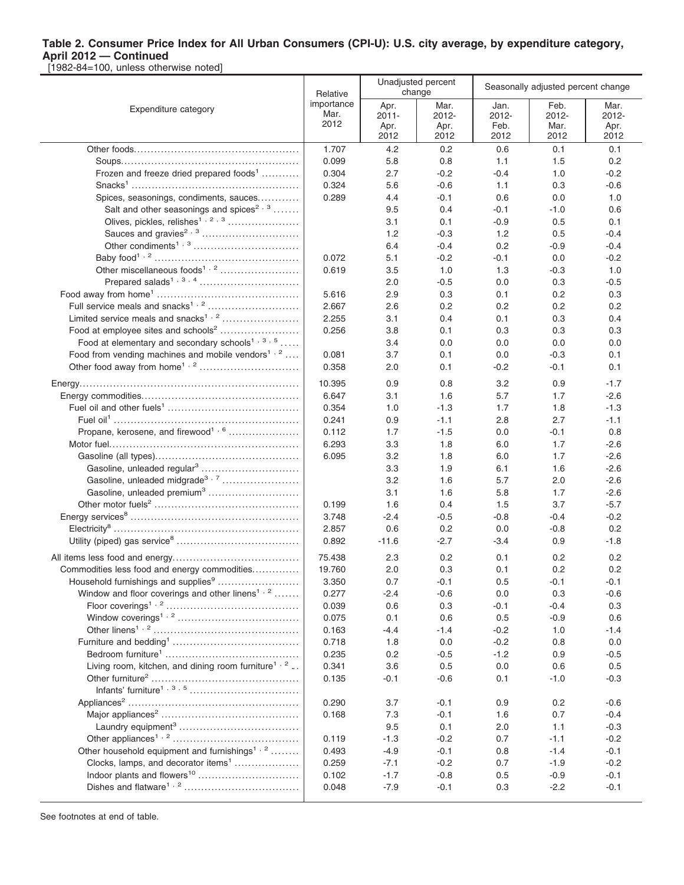[1982-84=100, unless otherwise noted]

|                                                                 | Relative   |          | Unadjusted percent<br>change | Seasonally adjusted percent change |        |        |  |
|-----------------------------------------------------------------|------------|----------|------------------------------|------------------------------------|--------|--------|--|
| Expenditure category                                            | importance | Apr.     | Mar.                         | Jan.                               | Feb.   | Mar.   |  |
|                                                                 | Mar.       | $2011 -$ | 2012-                        | 2012-                              | 2012-  | 2012-  |  |
|                                                                 | 2012       | Apr.     | Apr.                         | Feb.                               | Mar.   | Apr.   |  |
|                                                                 |            | 2012     | 2012                         | 2012                               | 2012   | 2012   |  |
|                                                                 | 1.707      | 4.2      | 0.2                          | 0.6                                | 0.1    | 0.1    |  |
|                                                                 | 0.099      | 5.8      | 0.8                          | 1.1                                | 1.5    | 0.2    |  |
| Frozen and freeze dried prepared foods <sup>1</sup>             | 0.304      | 2.7      | $-0.2$                       | $-0.4$                             | 1.0    | $-0.2$ |  |
|                                                                 | 0.324      | 5.6      | $-0.6$                       | 1.1                                | 0.3    | $-0.6$ |  |
| Spices, seasonings, condiments, sauces                          | 0.289      | 4.4      | -0.1                         | 0.6                                | 0.0    | 1.0    |  |
| Salt and other seasonings and spices <sup>2, 3</sup>            |            | 9.5      | 0.4                          | $-0.1$                             | -1.0   | 0.6    |  |
|                                                                 |            | 3.1      | 0.1                          | $-0.9$                             | 0.5    | 0.1    |  |
|                                                                 |            | 1.2      | $-0.3$                       | 1.2                                | 0.5    | $-0.4$ |  |
|                                                                 |            | 6.4      | $-0.4$                       | 0.2                                | -0.9   | $-0.4$ |  |
|                                                                 | 0.072      | 5.1      | $-0.2$                       | -0.1                               | 0.0    | $-0.2$ |  |
| Other miscellaneous foods <sup>1, 2</sup>                       | 0.619      | 3.5      | 1.0                          | 1.3                                | $-0.3$ | 1.0    |  |
|                                                                 |            | 2.0      | $-0.5$                       | 0.0                                | 0.3    | $-0.5$ |  |
|                                                                 | 5.616      | 2.9      | 0.3                          | 0.1                                | 0.2    | 0.3    |  |
|                                                                 | 2.667      | 2.6      | 0.2                          | 0.2                                | 0.2    | 0.2    |  |
| Limited service meals and snacks <sup>1, 2</sup>                | 2.255      | 3.1      | 0.4                          | 0.1                                | 0.3    | 0.4    |  |
| Food at employee sites and schools <sup>2</sup>                 | 0.256      | 3.8      | 0.1                          | 0.3                                | 0.3    | 0.3    |  |
| Food at elementary and secondary schools <sup>1, 3, 5</sup>     |            | 3.4      | 0.0                          | 0.0                                | 0.0    | 0.0    |  |
| Food from vending machines and mobile vendors <sup>1, 2</sup>   |            |          |                              |                                    |        |        |  |
|                                                                 | 0.081      | 3.7      | 0.1                          | 0.0                                | $-0.3$ | 0.1    |  |
|                                                                 | 0.358      | 2.0      | 0.1                          | -0.2                               | -0.1   | 0.1    |  |
|                                                                 | 10.395     | 0.9      | 0.8                          | 3.2                                | 0.9    | $-1.7$ |  |
|                                                                 | 6.647      | 3.1      | 1.6                          | 5.7                                | 1.7    | $-2.6$ |  |
|                                                                 | 0.354      | 1.0      | $-1.3$                       | 1.7                                | 1.8    | $-1.3$ |  |
|                                                                 | 0.241      | 0.9      | $-1.1$                       | 2.8                                | 2.7    | $-1.1$ |  |
| Propane, kerosene, and firewood <sup>1, 6</sup>                 | 0.112      | 1.7      | $-1.5$                       | 0.0                                | -0.1   | 0.8    |  |
|                                                                 | 6.293      | 3.3      | 1.8                          | 6.0                                | 1.7    | $-2.6$ |  |
|                                                                 | 6.095      | 3.2      | 1.8                          | 6.0                                | 1.7    | $-2.6$ |  |
| Gasoline, unleaded regular <sup>3</sup>                         |            | 3.3      | 1.9                          | 6.1                                | 1.6    | $-2.6$ |  |
| Gasoline, unleaded midgrade <sup>3,7</sup>                      |            | 3.2      | 1.6                          | 5.7                                | 2.0    | $-2.6$ |  |
| Gasoline, unleaded premium <sup>3</sup>                         |            | 3.1      | 1.6                          | 5.8                                | 1.7    | $-2.6$ |  |
|                                                                 | 0.199      | 1.6      | 0.4                          | 1.5                                | 3.7    | $-5.7$ |  |
|                                                                 | 3.748      | $-2.4$   | $-0.5$                       | $-0.8$                             | $-0.4$ | $-0.2$ |  |
|                                                                 | 2.857      | 0.6      | 0.2                          | 0.0                                | -0.8   | 0.2    |  |
|                                                                 | 0.892      | $-11.6$  | $-2.7$                       | $-3.4$                             | 0.9    | $-1.8$ |  |
|                                                                 |            |          |                              |                                    |        |        |  |
|                                                                 | 75.438     | 2.3      | 0.2                          | 0.1                                | 0.2    | 0.2    |  |
| Commodities less food and energy commodities                    | 19.760     | 2.0      | 0.3                          | 0.1                                | 0.2    | 0.2    |  |
| Household furnishings and supplies <sup>9</sup>                 | 3.350      | 0.7      | $-0.1$                       | 0.5                                | $-0.1$ | $-0.1$ |  |
| Window and floor coverings and other linens <sup>1,2</sup>      | 0.277      | $-2.4$   | $-0.6$                       | 0.0                                | 0.3    | $-0.6$ |  |
|                                                                 | 0.039      | 0.6      | 0.3                          | $-0.1$                             | $-0.4$ | 0.3    |  |
|                                                                 | 0.075      | 0.1      | 0.6                          | 0.5                                | $-0.9$ | 0.6    |  |
|                                                                 | 0.163      | $-4.4$   | $-1.4$                       | $-0.2$                             | 1.0    | $-1.4$ |  |
|                                                                 | 0.718      | 1.8      | 0.0                          | $-0.2$                             | 0.8    | 0.0    |  |
|                                                                 | 0.235      | 0.2      | $-0.5$                       | $-1.2$                             | 0.9    | $-0.5$ |  |
| Living room, kitchen, and dining room furniture <sup>1, 2</sup> | 0.341      | 3.6      | 0.5                          | 0.0                                | 0.6    | 0.5    |  |
|                                                                 | 0.135      | $-0.1$   | $-0.6$                       | 0.1                                | $-1.0$ | $-0.3$ |  |
|                                                                 |            |          |                              |                                    |        |        |  |
|                                                                 | 0.290      | 3.7      | $-0.1$                       | 0.9                                | 0.2    | $-0.6$ |  |
|                                                                 | 0.168      | 7.3      | $-0.1$                       | 1.6                                | 0.7    | $-0.4$ |  |
|                                                                 |            | 9.5      | 0.1                          | 2.0                                | 1.1    | $-0.3$ |  |
|                                                                 | 0.119      | $-1.3$   | $-0.2$                       | 0.7                                | $-1.1$ | $-0.2$ |  |
| Other household equipment and furnishings <sup>1, 2</sup>       | 0.493      | $-4.9$   | $-0.1$                       | 0.8                                | $-1.4$ | $-0.1$ |  |
| Clocks, lamps, and decorator items <sup>1</sup>                 | 0.259      | $-7.1$   | $-0.2$                       | 0.7                                | $-1.9$ | $-0.2$ |  |
|                                                                 | 0.102      | $-1.7$   | $-0.8$                       | 0.5                                | $-0.9$ | $-0.1$ |  |
|                                                                 | 0.048      | $-7.9$   | $-0.1$                       | 0.3                                | $-2.2$ | $-0.1$ |  |
|                                                                 |            |          |                              |                                    |        |        |  |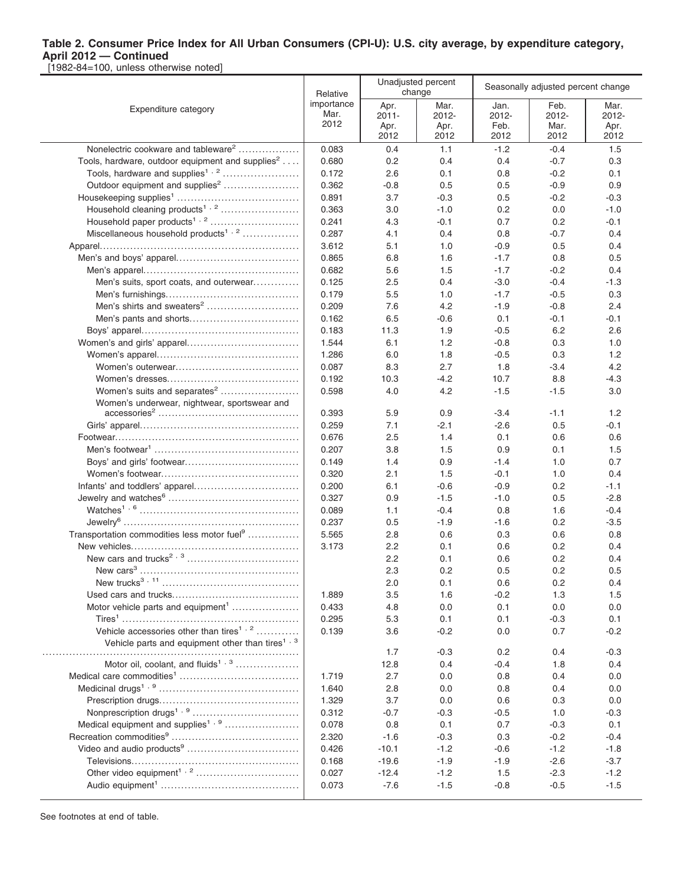[1982-84=100, unless otherwise noted]

|                                                                                                                     | Relative                   |                                  | Unadjusted percent<br>change  | Seasonally adjusted percent change |                               |                               |  |
|---------------------------------------------------------------------------------------------------------------------|----------------------------|----------------------------------|-------------------------------|------------------------------------|-------------------------------|-------------------------------|--|
| Expenditure category                                                                                                | importance<br>Mar.<br>2012 | Apr.<br>$2011 -$<br>Apr.<br>2012 | Mar.<br>2012-<br>Apr.<br>2012 | Jan.<br>2012-<br>Feb.<br>2012      | Feb.<br>2012-<br>Mar.<br>2012 | Mar.<br>2012-<br>Apr.<br>2012 |  |
| Nonelectric cookware and tableware <sup>2</sup>                                                                     | 0.083                      | 0.4                              | 1.1                           | $-1.2$                             | $-0.4$                        | 1.5                           |  |
| Tools, hardware, outdoor equipment and supplies <sup>2</sup>                                                        | 0.680                      | 0.2                              | 0.4                           | 0.4                                | $-0.7$                        | 0.3                           |  |
| Tools, hardware and supplies <sup>1, 2</sup>                                                                        | 0.172                      | 2.6                              | 0.1                           | 0.8                                | $-0.2$                        | 0.1                           |  |
| Outdoor equipment and supplies <sup>2</sup>                                                                         | 0.362                      | $-0.8$                           | 0.5                           | 0.5                                | $-0.9$                        | 0.9                           |  |
|                                                                                                                     | 0.891                      | 3.7                              | $-0.3$                        | 0.5                                | $-0.2$                        | $-0.3$                        |  |
| Household cleaning products <sup>1, 2</sup>                                                                         | 0.363                      | 3.0                              | $-1.0$                        | 0.2                                | 0.0                           | $-1.0$                        |  |
|                                                                                                                     | 0.241                      | 4.3                              | $-0.1$                        | 0.7                                | 0.2                           | $-0.1$                        |  |
| Miscellaneous household products <sup>1, 2</sup>                                                                    | 0.287                      | 4.1                              | 0.4                           | 0.8                                | $-0.7$                        | 0.4                           |  |
|                                                                                                                     | 3.612                      | 5.1                              | 1.0                           | $-0.9$                             | 0.5                           | 0.4                           |  |
|                                                                                                                     | 0.865                      | 6.8                              | 1.6                           | $-1.7$                             | 0.8                           | 0.5                           |  |
|                                                                                                                     | 0.682                      | 5.6                              | 1.5                           | $-1.7$                             | $-0.2$                        | 0.4                           |  |
| Men's suits, sport coats, and outerwear                                                                             | 0.125                      | 2.5                              | 0.4                           | $-3.0$                             | $-0.4$                        | $-1.3$                        |  |
|                                                                                                                     | 0.179                      | 5.5                              | 1.0                           | $-1.7$                             | $-0.5$                        | 0.3                           |  |
|                                                                                                                     | 0.209                      | 7.6                              | 4.2                           | $-1.9$                             | $-0.8$                        | 2.4                           |  |
|                                                                                                                     | 0.162                      | 6.5                              | $-0.6$                        | 0.1                                | $-0.1$                        | $-0.1$                        |  |
|                                                                                                                     | 0.183                      | 11.3                             | 1.9                           | $-0.5$                             | 6.2                           | 2.6                           |  |
|                                                                                                                     | 1.544                      | 6.1                              | 1.2                           | $-0.8$                             | 0.3                           | 1.0                           |  |
|                                                                                                                     | 1.286                      | 6.0                              | 1.8                           | -0.5                               | 0.3                           | 1.2                           |  |
|                                                                                                                     | 0.087                      | 8.3                              | 2.7                           | 1.8                                | -3.4                          | 4.2                           |  |
|                                                                                                                     | 0.192                      | 10.3                             | $-4.2$                        | 10.7                               | 8.8                           | -4.3                          |  |
| Women's suits and separates <sup>2</sup>                                                                            | 0.598                      | 4.0                              | 4.2                           | $-1.5$                             | $-1.5$                        | 3.0                           |  |
| Women's underwear, nightwear, sportswear and                                                                        |                            |                                  |                               |                                    |                               |                               |  |
|                                                                                                                     | 0.393                      | 5.9                              | 0.9                           | $-3.4$                             | $-1.1$                        | 1.2                           |  |
|                                                                                                                     | 0.259                      | 7.1                              | $-2.1$                        | $-2.6$                             | 0.5                           | $-0.1$                        |  |
|                                                                                                                     | 0.676                      | 2.5                              | 1.4                           | 0.1                                | 0.6                           | 0.6                           |  |
|                                                                                                                     | 0.207                      | 3.8                              | 1.5                           | 0.9                                | 0.1                           | 1.5                           |  |
|                                                                                                                     | 0.149                      | 1.4                              | 0.9                           | $-1.4$                             | 1.0                           | 0.7                           |  |
|                                                                                                                     | 0.320                      | 2.1                              | 1.5                           | $-0.1$                             | 1.0                           | 0.4                           |  |
|                                                                                                                     | 0.200                      | 6.1                              | $-0.6$                        | $-0.9$                             | 0.2                           | $-1.1$                        |  |
|                                                                                                                     | 0.327                      | 0.9                              | $-1.5$                        | $-1.0$                             | 0.5                           | $-2.8$                        |  |
|                                                                                                                     | 0.089                      | 1.1                              | $-0.4$                        | 0.8                                | 1.6                           | $-0.4$                        |  |
|                                                                                                                     | 0.237                      | 0.5                              | $-1.9$                        | -1.6                               | 0.2                           | $-3.5$                        |  |
| Transportation commodities less motor fuel <sup>9</sup>                                                             | 5.565                      | 2.8                              | 0.6                           | 0.3                                | 0.6                           | 0.8                           |  |
|                                                                                                                     | 3.173                      | 2.2                              | 0.1                           | 0.6                                | 0.2                           | 0.4                           |  |
|                                                                                                                     |                            | 2.2                              | 0.1                           | 0.6                                | 0.2                           | 0.4                           |  |
|                                                                                                                     |                            | 2.3                              | 0.2                           | 0.5                                | 0.2                           | 0.5                           |  |
|                                                                                                                     |                            | 2.0                              | 0.1                           | 0.6                                | 0.2                           | 0.4                           |  |
|                                                                                                                     | 1.889                      | 3.5                              | 1.6                           | $-0.2$                             | 1.3                           | 1.5                           |  |
| Motor vehicle parts and equipment <sup>1</sup>                                                                      | 0.433                      | 4.8                              | 0.0                           | 0.1                                | 0.0                           | 0.0                           |  |
|                                                                                                                     | 0.295                      | 5.3                              | 0.1                           | 0.1                                | $-0.3$                        | 0.1                           |  |
| Vehicle accessories other than tires <sup>1, 2</sup><br>Vehicle parts and equipment other than tires <sup>1,3</sup> | 0.139                      | 3.6                              | $-0.2$                        | 0.0                                | 0.7                           | $-0.2$                        |  |
|                                                                                                                     |                            | 1.7                              | $-0.3$                        | 0.2                                | 0.4                           | $-0.3$                        |  |
| Motor oil, coolant, and fluids <sup>1, 3</sup>                                                                      |                            | 12.8                             | 0.4                           | $-0.4$                             | 1.8                           | 0.4                           |  |
|                                                                                                                     | 1.719                      | 2.7                              | 0.0                           | 0.8                                | 0.4                           | 0.0                           |  |
|                                                                                                                     | 1.640                      | 2.8                              | 0.0                           | 0.8                                | 0.4                           | 0.0                           |  |
|                                                                                                                     | 1.329                      | 3.7                              | 0.0                           | 0.6                                | 0.3                           | 0.0                           |  |
|                                                                                                                     | 0.312                      | $-0.7$                           | $-0.3$                        | $-0.5$                             | 1.0                           | $-0.3$                        |  |
| Medical equipment and supplies <sup>1, 9</sup>                                                                      | 0.078                      | 0.8                              | 0.1                           | 0.7                                | $-0.3$                        | 0.1                           |  |
|                                                                                                                     | 2.320                      | $-1.6$                           | $-0.3$                        | 0.3                                | $-0.2$                        | $-0.4$                        |  |
|                                                                                                                     | 0.426                      | $-10.1$                          | $-1.2$                        | $-0.6$                             | $-1.2$                        | $-1.8$                        |  |
|                                                                                                                     | 0.168<br>0.027             | $-19.6$<br>$-12.4$               | $-1.9$<br>$-1.2$              | $-1.9$<br>1.5                      | $-2.6$<br>$-2.3$              | $-3.7$<br>$-1.2$              |  |
|                                                                                                                     | 0.073                      | $-7.6$                           | $-1.5$                        | $-0.8$                             | $-0.5$                        | $-1.5$                        |  |
|                                                                                                                     |                            |                                  |                               |                                    |                               |                               |  |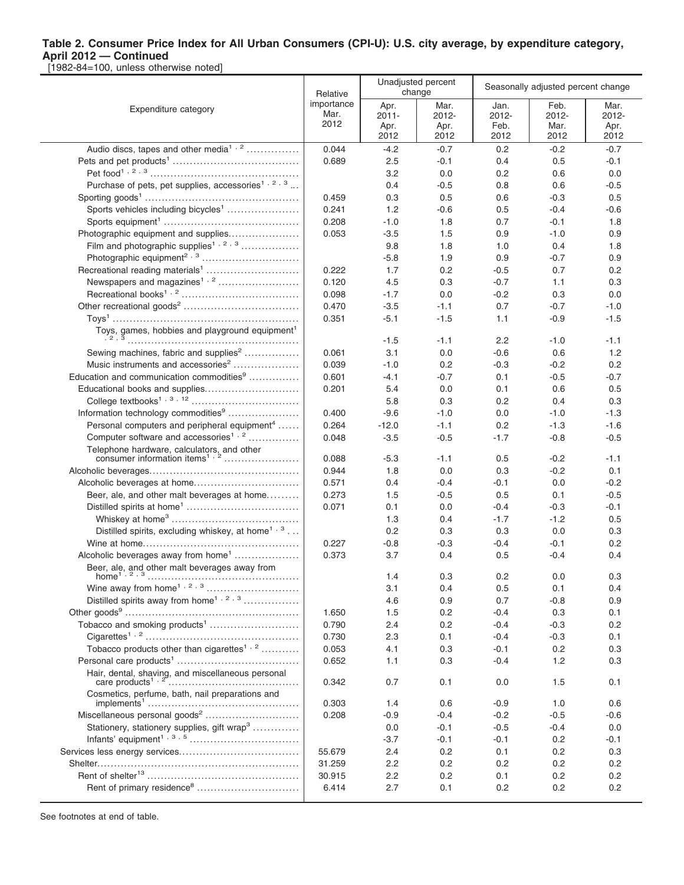[1982-84=100, unless otherwise noted]

|                                                                | Relative                   |                                  | Unadjusted percent<br>change     | Seasonally adjusted percent change |                               |                               |  |
|----------------------------------------------------------------|----------------------------|----------------------------------|----------------------------------|------------------------------------|-------------------------------|-------------------------------|--|
| Expenditure category                                           | importance<br>Mar.<br>2012 | Apr.<br>$2011 -$<br>Apr.<br>2012 | Mar.<br>$2012 -$<br>Apr.<br>2012 | Jan.<br>$2012 -$<br>Feb.<br>2012   | Feb.<br>2012-<br>Mar.<br>2012 | Mar.<br>2012-<br>Apr.<br>2012 |  |
| Audio discs, tapes and other media <sup>1, 2</sup>             | 0.044                      | $-4.2$                           | $-0.7$                           | 0.2                                | $-0.2$                        | $-0.7$                        |  |
|                                                                | 0.689                      | 2.5                              | $-0.1$                           | 0.4                                | 0.5                           | $-0.1$                        |  |
|                                                                |                            | 3.2                              | 0.0                              | 0.2                                | 0.6                           | 0.0                           |  |
| Purchase of pets, pet supplies, accessories <sup>1, 2, 3</sup> |                            | 0.4                              | $-0.5$                           | 0.8                                | 0.6                           | $-0.5$                        |  |
|                                                                | 0.459                      | 0.3                              | 0.5                              | 0.6                                | $-0.3$                        | 0.5                           |  |
| Sports vehicles including bicycles <sup>1</sup>                | 0.241                      | 1.2                              | $-0.6$                           | 0.5                                | $-0.4$                        | $-0.6$                        |  |
|                                                                | 0.208                      | $-1.0$                           | 1.8                              | 0.7                                | $-0.1$                        | 1.8                           |  |
| Photographic equipment and supplies                            | 0.053                      | $-3.5$                           | 1.5                              | 0.9                                | -1.0                          | 0.9                           |  |
| Film and photographic supplies <sup>1, 2, 3</sup>              |                            | 9.8                              | 1.8                              | 1.0                                | 0.4                           | 1.8                           |  |
|                                                                |                            | $-5.8$                           | 1.9                              | 0.9                                | $-0.7$                        | 0.9                           |  |
|                                                                | 0.222                      | 1.7                              | 0.2                              | $-0.5$                             | 0.7                           | 0.2                           |  |
| Newspapers and magazines <sup>1, 2</sup>                       | 0.120                      | 4.5                              | 0.3                              | $-0.7$                             | 1.1                           | 0.3                           |  |
|                                                                | 0.098                      | $-1.7$                           | 0.0                              | $-0.2$                             | 0.3                           | 0.0                           |  |
|                                                                | 0.470                      | $-3.5$                           | $-1.1$                           | 0.7                                | $-0.7$                        | $-1.0$                        |  |
|                                                                | 0.351                      | $-5.1$                           | $-1.5$                           | 1.1                                | $-0.9$                        | $-1.5$                        |  |
| Toys, games, hobbies and playground equipment <sup>1</sup>     |                            |                                  |                                  |                                    |                               |                               |  |
|                                                                |                            | $-1.5$                           | $-1.1$                           | 2.2                                | -1.0                          | $-1.1$                        |  |
| Sewing machines, fabric and supplies <sup>2</sup>              | 0.061                      | 3.1                              | 0.0                              | $-0.6$                             | 0.6                           | 1.2                           |  |
| Music instruments and accessories <sup>2</sup>                 | 0.039                      | $-1.0$                           | 0.2                              | $-0.3$                             | $-0.2$                        | 0.2                           |  |
| Education and communication commodities <sup>9</sup>           | 0.601                      | -4.1                             | $-0.7$                           | 0.1                                | $-0.5$                        | $-0.7$                        |  |
| Educational books and supplies                                 | 0.201                      | 5.4                              | 0.0                              | 0.1                                | 0.6                           | 0.5                           |  |
|                                                                |                            | 5.8                              | 0.3                              | 0.2                                | 0.4                           | 0.3                           |  |
| Information technology commodities <sup>9</sup>                | 0.400                      | $-9.6$                           | $-1.0$                           | 0.0                                | $-1.0$                        | $-1.3$                        |  |
| Personal computers and peripheral equipment <sup>4</sup>       | 0.264                      | $-12.0$                          | $-1.1$                           | 0.2                                | $-1.3$                        | $-1.6$                        |  |
| Computer software and accessories <sup>1, 2</sup>              | 0.048                      | $-3.5$                           | $-0.5$                           | $-1.7$                             | $-0.8$                        | $-0.5$                        |  |
|                                                                | 0.088                      | $-5.3$                           | $-1.1$                           | 0.5                                | $-0.2$                        | $-1.1$                        |  |
|                                                                | 0.944                      | 1.8                              | 0.0                              | 0.3                                | $-0.2$                        | 0.1                           |  |
|                                                                | 0.571                      | 0.4                              | $-0.4$                           | $-0.1$                             | 0.0                           | $-0.2$                        |  |
| Beer, ale, and other malt beverages at home                    | 0.273                      | 1.5                              | $-0.5$                           | 0.5                                | 0.1                           | $-0.5$                        |  |
|                                                                | 0.071                      | 0.1                              | 0.0                              | $-0.4$                             | $-0.3$                        | $-0.1$                        |  |
|                                                                |                            | 1.3                              | 0.4                              | $-1.7$                             | $-1.2$                        | 0.5                           |  |
| Distilled spirits, excluding whiskey, at home <sup>1, 3</sup>  |                            | 0.2                              | 0.3                              | 0.3                                | 0.0                           | 0.3                           |  |
|                                                                | 0.227                      | $-0.8$                           | $-0.3$                           | $-0.4$                             | $-0.1$                        | 0.2                           |  |
| Alcoholic beverages away from home <sup>1</sup>                | 0.373                      | 3.7                              | 0.4                              | 0.5                                | -0.4                          | 0.4                           |  |
| Beer, ale, and other malt beverages away from                  |                            |                                  |                                  |                                    |                               |                               |  |
| home <sup><math>1, 2, 3</math></sup>                           |                            | 1.4                              | 0.3                              | 0.2                                | 0.0                           | 0.3                           |  |
|                                                                |                            | 3.1                              | 0.4                              | 0.5                                | 0.1                           | 0.4                           |  |
| Distilled spirits away from home <sup>1, 2, 3</sup>            |                            | 4.6                              | 0.9                              | 0.7                                | $-0.8$                        | 0.9                           |  |
|                                                                | 1.650                      | 1.5                              | 0.2                              | $-0.4$                             | 0.3                           | 0.1                           |  |
| Tobacco and smoking products <sup>1</sup>                      | 0.790                      | 2.4                              | 0.2                              | $-0.4$                             | $-0.3$                        | 0.2                           |  |
|                                                                | 0.730                      | 2.3                              | 0.1                              | $-0.4$                             | $-0.3$                        | 0.1                           |  |
| Tobacco products other than cigarettes <sup>1, 2</sup>         | 0.053                      | 4.1                              | 0.3                              | $-0.1$                             | 0.2                           | 0.3                           |  |
|                                                                | 0.652                      | 1.1                              | 0.3                              | $-0.4$                             | 1.2                           | 0.3                           |  |
| Hair, dental, shaving, and miscellaneous personal              | 0.342                      | 0.7                              | 0.1                              | 0.0                                | 1.5                           | 0.1                           |  |
| Cosmetics, perfume, bath, nail preparations and                | 0.303                      | 1.4                              | 0.6                              | $-0.9$                             | 1.0                           | 0.6                           |  |
|                                                                | 0.208                      | -0.9                             | $-0.4$                           | $-0.2$                             | $-0.5$                        | $-0.6$                        |  |
| Stationery, stationery supplies, gift wrap <sup>3</sup>        |                            | 0.0                              | $-0.1$                           | $-0.5$                             | $-0.4$                        | 0.0                           |  |
|                                                                |                            | $-3.7$                           | $-0.1$                           | $-0.1$                             | 0.2                           | $-0.1$                        |  |
|                                                                | 55.679                     | 2.4                              | 0.2                              | 0.1                                | 0.2                           | 0.3                           |  |
|                                                                | 31.259                     | 2.2                              | 0.2                              | 0.2                                | 0.2                           | 0.2                           |  |
|                                                                | 30.915                     | 2.2                              | 0.2                              | 0.1                                | 0.2                           | 0.2                           |  |
|                                                                | 6.414                      | 2.7                              | 0.1                              | 0.2                                | 0.2                           | 0.2                           |  |
|                                                                |                            |                                  |                                  |                                    |                               |                               |  |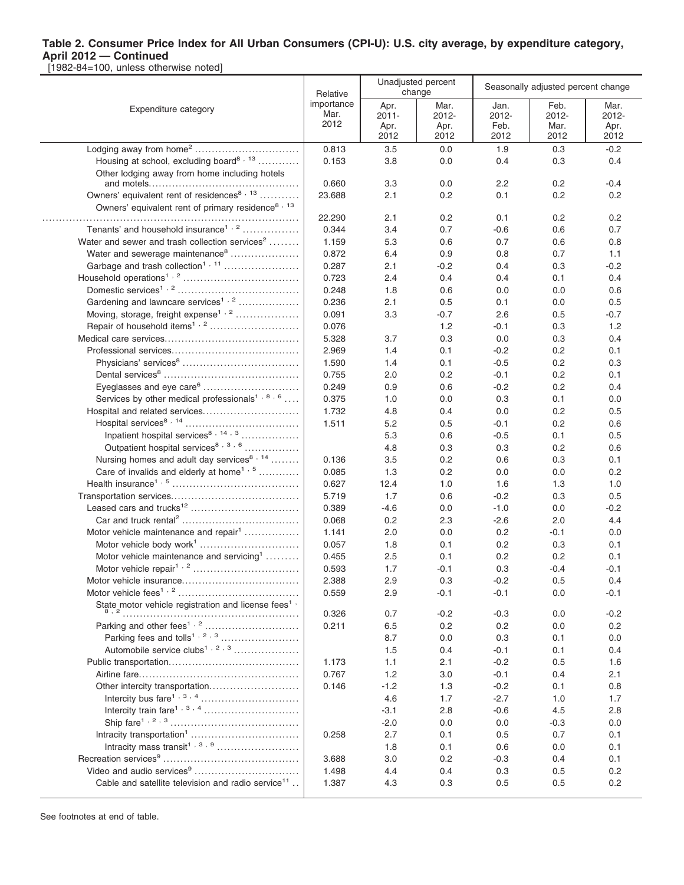[1982-84=100, unless otherwise noted]

|                                                                | Relative           |                  | Unadjusted percent<br>change | Seasonally adjusted percent change |               |               |
|----------------------------------------------------------------|--------------------|------------------|------------------------------|------------------------------------|---------------|---------------|
| Expenditure category                                           | importance<br>Mar. | Apr.<br>2011-    | Mar.<br>2012-                | Jan.<br>2012-                      | Feb.<br>2012- | Mar.<br>2012- |
|                                                                | 2012               | Apr.             | Apr.                         | Feb.                               | Mar.          | Apr.          |
|                                                                |                    | 2012             | 2012                         | 2012                               | 2012          | 2012          |
| Lodging away from home <sup>2</sup>                            | 0.813              | 3.5              | 0.0                          | 1.9                                | 0.3           | $-0.2$        |
| Housing at school, excluding board <sup>8, 13</sup>            | 0.153              | 3.8              | 0.0                          | 0.4                                | 0.3           | 0.4           |
| Other lodging away from home including hotels                  |                    |                  |                              |                                    |               |               |
|                                                                | 0.660              | 3.3              | 0.0                          | 2.2                                | 0.2           | $-0.4$        |
| Owners' equivalent rent of residences <sup>8, 13</sup>         | 23.688             | 2.1              | 0.2                          | 0.1                                | 0.2           | 0.2           |
| Owners' equivalent rent of primary residence <sup>8, 13</sup>  | 22.290             | 2.1              | 0.2                          | 0.1                                | 0.2           | 0.2           |
| Tenants' and household insurance <sup>1, 2</sup>               | 0.344              | 3.4              | 0.7                          | $-0.6$                             | 0.6           | 0.7           |
| Water and sewer and trash collection services <sup>2</sup>     | 1.159              | 5.3              | 0.6                          | 0.7                                | 0.6           | 0.8           |
| Water and sewerage maintenance <sup>8</sup>                    | 0.872              | 6.4              | 0.9                          | 0.8                                | 0.7           | 1.1           |
| Garbage and trash collection <sup>1, 11</sup>                  | 0.287              | 2.1              | $-0.2$                       | 0.4                                | 0.3           | $-0.2$        |
|                                                                | 0.723              | 2.4              | 0.4                          | 0.4                                | 0.1           | 0.4           |
|                                                                | 0.248              | 1.8              | 0.6                          | 0.0                                | 0.0           | 0.6           |
| Gardening and lawncare services <sup>1, 2</sup>                | 0.236              | 2.1              | 0.5                          | 0.1                                | 0.0           | 0.5           |
| Moving, storage, freight expense <sup>1, 2</sup>               | 0.091              | 3.3              | -0.7                         | 2.6                                | 0.5           | $-0.7$        |
|                                                                | 0.076              |                  | 1.2                          | $-0.1$                             | 0.3           | 1.2           |
|                                                                | 5.328              | 3.7              | 0.3                          | 0.0                                | 0.3           | 0.4           |
|                                                                | 2.969              | 1.4              | 0.1                          | $-0.2$                             | 0.2           | 0.1           |
|                                                                | 1.590              | 1.4              | 0.1                          | $-0.5$                             | 0.2           | 0.3           |
|                                                                | 0.755              | 2.0              | 0.2                          | $-0.1$                             | 0.2           | 0.1           |
| Eyeglasses and eye care <sup>6</sup>                           | 0.249              | 0.9              | 0.6                          | $-0.2$                             | 0.2           | 0.4           |
| Services by other medical professionals <sup>1,8,6</sup>       | 0.375              | 1.0              | 0.0                          | 0.3                                | 0.1           | 0.0           |
| Hospital and related services                                  | 1.732              | 4.8              | 0.4                          | 0.0                                | 0.2           | 0.5           |
|                                                                | 1.511              | 5.2              | 0.5                          | $-0.1$                             | 0.2           | 0.6           |
| Inpatient hospital services <sup>8, 14, 3</sup>                |                    | 5.3              | 0.6                          | $-0.5$                             | 0.1           | 0.5           |
| Outpatient hospital services <sup>8, 3, 6</sup>                |                    | 4.8              | 0.3                          | 0.3                                | 0.2           | 0.6           |
| Nursing homes and adult day services <sup>8, 14</sup>          | 0.136              | 3.5              | 0.2                          | 0.6                                | 0.3           | 0.1           |
| Care of invalids and elderly at home <sup>1, 5</sup>           | 0.085              | 1.3              | 0.2                          | 0.0                                | 0.0           | 0.2           |
|                                                                | 0.627              | 12.4             | 1.0                          | 1.6                                | 1.3           | 1.0           |
|                                                                | 5.719<br>0.389     | 1.7<br>$-4.6$    | 0.6                          | $-0.2$<br>$-1.0$                   | 0.3           | 0.5<br>$-0.2$ |
|                                                                | 0.068              | 0.2              | 0.0<br>2.3                   | $-2.6$                             | 0.0<br>2.0    | 4.4           |
| Motor vehicle maintenance and repair <sup>1</sup>              | 1.141              | 2.0              | 0.0                          | 0.2                                | $-0.1$        | 0.0           |
|                                                                | 0.057              | 1.8              | 0.1                          | 0.2                                | 0.3           | 0.1           |
| Motor vehicle maintenance and servicing <sup>1</sup>           | 0.455              | 2.5              | 0.1                          | 0.2                                | 0.2           | 0.1           |
|                                                                | 0.593              | 1.7              | $-0.1$                       | 0.3                                | $-0.4$        | $-0.1$        |
|                                                                | 2.388              | 2.9              | 0.3                          | $-0.2$                             | 0.5           | 0.4           |
|                                                                | 0.559              | 2.9              | $-0.1$                       | $-0.1$                             | 0.0           | $-0.1$        |
| State motor vehicle registration and license fees <sup>1</sup> |                    |                  |                              |                                    |               |               |
|                                                                | 0.326              | 0.7              | $-0.2$                       | $-0.3$                             | 0.0           | $-0.2$        |
|                                                                | 0.211              | 6.5              | 0.2                          | 0.2                                | 0.0           | 0.2           |
|                                                                |                    | 8.7              | 0.0                          | 0.3                                | 0.1           | 0.0           |
| Automobile service clubs <sup>1, 2, 3</sup>                    |                    | 1.5              | 0.4                          | $-0.1$                             | 0.1           | 0.4           |
|                                                                | 1.173              | 1.1              | 2.1                          | $-0.2$                             | 0.5           | 1.6           |
|                                                                | 0.767              | 1.2              | 3.0                          | $-0.1$                             | 0.4           | 2.1           |
| Other intercity transportation                                 | 0.146              | $-1.2$           | 1.3                          | $-0.2$                             | 0.1           | 0.8           |
|                                                                |                    | 4.6              | 1.7                          | $-2.7$                             | 1.0           | 1.7           |
|                                                                |                    | $-3.1$<br>$-2.0$ | 2.8                          | $-0.6$<br>0.0                      | 4.5           | 2.8<br>0.0    |
|                                                                | 0.258              | 2.7              | 0.0<br>0.1                   | 0.5                                | $-0.3$<br>0.7 | 0.1           |
|                                                                |                    | 1.8              | 0.1                          | 0.6                                | 0.0           | 0.1           |
|                                                                | 3.688              | 3.0              | 0.2                          | $-0.3$                             | 0.4           | 0.1           |
|                                                                | 1.498              | 4.4              | 0.4                          | 0.3                                | 0.5           | 0.2           |
| Cable and satellite television and radio service <sup>11</sup> | 1.387              | 4.3              | 0.3                          | 0.5                                | 0.5           | 0.2           |
|                                                                |                    |                  |                              |                                    |               |               |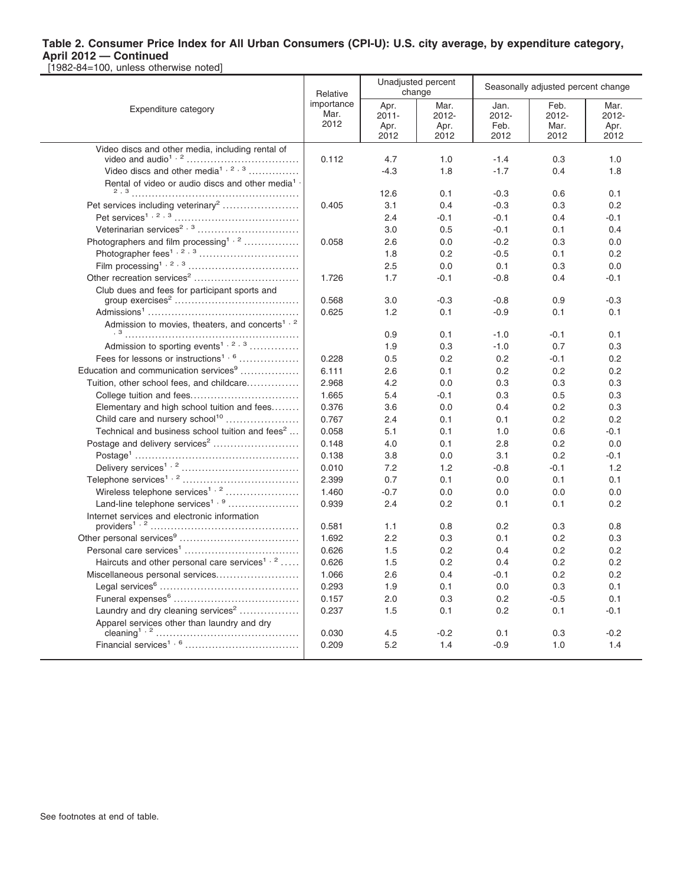|                                                             | Relative                   |                                  | Unadjusted percent<br>change  | Seasonally adjusted percent change |                               |                               |  |
|-------------------------------------------------------------|----------------------------|----------------------------------|-------------------------------|------------------------------------|-------------------------------|-------------------------------|--|
| Expenditure category                                        | importance<br>Mar.<br>2012 | Apr.<br>$2011 -$<br>Apr.<br>2012 | Mar.<br>2012-<br>Apr.<br>2012 | Jan.<br>2012-<br>Feb.<br>2012      | Feb.<br>2012-<br>Mar.<br>2012 | Mar.<br>2012-<br>Apr.<br>2012 |  |
| Video discs and other media, including rental of            |                            |                                  |                               |                                    |                               |                               |  |
|                                                             | 0.112                      | 4.7                              | 1.0                           | $-1.4$                             | 0.3                           | 1.0                           |  |
|                                                             |                            | $-4.3$                           | 1.8                           | $-1.7$                             | 0.4                           | 1.8                           |  |
| Rental of video or audio discs and other media <sup>1</sup> |                            |                                  |                               |                                    |                               |                               |  |
|                                                             |                            | 12.6                             | 0.1                           | $-0.3$                             | 0.6                           | 0.1                           |  |
| Pet services including veterinary <sup>2</sup>              | 0.405                      | 3.1                              | 0.4                           | $-0.3$                             | 0.3                           | 0.2                           |  |
|                                                             |                            | 2.4                              | $-0.1$                        | $-0.1$                             | 0.4                           | $-0.1$                        |  |
|                                                             |                            | 3.0                              | 0.5                           | $-0.1$                             | 0.1                           | 0.4                           |  |
| Photographers and film processing <sup>1,2</sup>            | 0.058                      | 2.6                              | 0.0                           | $-0.2$                             | 0.3                           | 0.0                           |  |
|                                                             |                            | 1.8                              | 0.2                           | $-0.5$                             | 0.1                           | 0.2                           |  |
|                                                             |                            | 2.5                              | 0.0                           | 0.1                                | 0.3                           | 0.0                           |  |
| Other recreation services <sup>2</sup>                      | 1.726                      | 1.7                              | $-0.1$                        | $-0.8$                             | 0.4                           | $-0.1$                        |  |
| Club dues and fees for participant sports and               |                            |                                  |                               |                                    |                               |                               |  |
|                                                             | 0.568                      | 3.0                              | $-0.3$                        | $-0.8$                             | 0.9                           | $-0.3$                        |  |
|                                                             | 0.625                      | 1.2                              | 0.1                           | $-0.9$                             | 0.1                           | 0.1                           |  |
| Admission to movies, theaters, and concerts <sup>1, 2</sup> |                            | 0.9                              |                               | $-1.0$                             |                               | 0.1                           |  |
| Admission to sporting events <sup>1, 2, 3</sup>             |                            | 1.9                              | 0.1<br>0.3                    | $-1.0$                             | $-0.1$<br>0.7                 | 0.3                           |  |
| Fees for lessons or instructions <sup>1, 6</sup>            | 0.228                      | 0.5                              | 0.2                           | 0.2                                | $-0.1$                        | 0.2                           |  |
| Education and communication services <sup>9</sup>           | 6.111                      | 2.6                              | 0.1                           | 0.2                                | 0.2                           | 0.2                           |  |
|                                                             | 2.968                      | 4.2                              | 0.0                           | 0.3                                | 0.3                           | 0.3                           |  |
| Tuition, other school fees, and childcare                   | 1.665                      | 5.4                              | $-0.1$                        | 0.3                                | 0.5                           | 0.3                           |  |
| Elementary and high school tuition and fees                 | 0.376                      | 3.6                              | 0.0                           | 0.4                                | 0.2                           | 0.3                           |  |
| Child care and nursery school <sup>10</sup>                 | 0.767                      | 2.4                              | 0.1                           | 0.1                                | 0.2                           | 0.2                           |  |
| Technical and business school tuition and fees <sup>2</sup> | 0.058                      | 5.1                              | 0.1                           | 1.0                                | 0.6                           | $-0.1$                        |  |
| Postage and delivery services <sup>2</sup>                  | 0.148                      | 4.0                              | 0.1                           | 2.8                                | 0.2                           | 0.0                           |  |
|                                                             | 0.138                      | 3.8                              | 0.0                           | 3.1                                | 0.2                           | $-0.1$                        |  |
|                                                             | 0.010                      | 7.2                              | 1.2                           | $-0.8$                             | $-0.1$                        | 1.2                           |  |
|                                                             | 2.399                      | 0.7                              | 0.1                           | 0.0                                | 0.1                           | 0.1                           |  |
| Wireless telephone services <sup>1, 2</sup>                 | 1.460                      | $-0.7$                           | 0.0                           | 0.0                                | 0.0                           | 0.0                           |  |
| Land-line telephone services <sup>1, 9</sup>                | 0.939                      | 2.4                              | 0.2                           | 0.1                                | 0.1                           | 0.2                           |  |
| Internet services and electronic information                |                            |                                  |                               |                                    |                               |                               |  |
|                                                             | 0.581                      | 1.1                              | 0.8                           | 0.2                                | 0.3                           | 0.8                           |  |
|                                                             | 1.692                      | 2.2                              | 0.3                           | 0.1                                | 0.2                           | 0.3                           |  |
|                                                             | 0.626                      | 1.5                              | 0.2                           | 0.4                                | 0.2                           | 0.2                           |  |
| Haircuts and other personal care services <sup>1, 2</sup>   | 0.626                      | 1.5                              | 0.2                           | 0.4                                | 0.2                           | 0.2                           |  |
| Miscellaneous personal services                             | 1.066                      | 2.6                              | 0.4                           | $-0.1$                             | 0.2                           | 0.2                           |  |
|                                                             | 0.293                      | 1.9                              | 0.1                           | 0.0                                | 0.3                           | 0.1                           |  |
|                                                             | 0.157                      | 2.0                              | 0.3                           | 0.2                                | $-0.5$                        | 0.1                           |  |
| Laundry and dry cleaning services <sup>2</sup>              | 0.237                      | 1.5                              | 0.1                           | 0.2                                | 0.1                           | $-0.1$                        |  |
| Apparel services other than laundry and dry                 | 0.030                      | 4.5                              | $-0.2$                        | 0.1                                | 0.3                           | $-0.2$                        |  |
|                                                             | 0.209                      | 5.2                              | 1.4                           | $-0.9$                             | 1.0                           | 1.4                           |  |
|                                                             |                            |                                  |                               |                                    |                               |                               |  |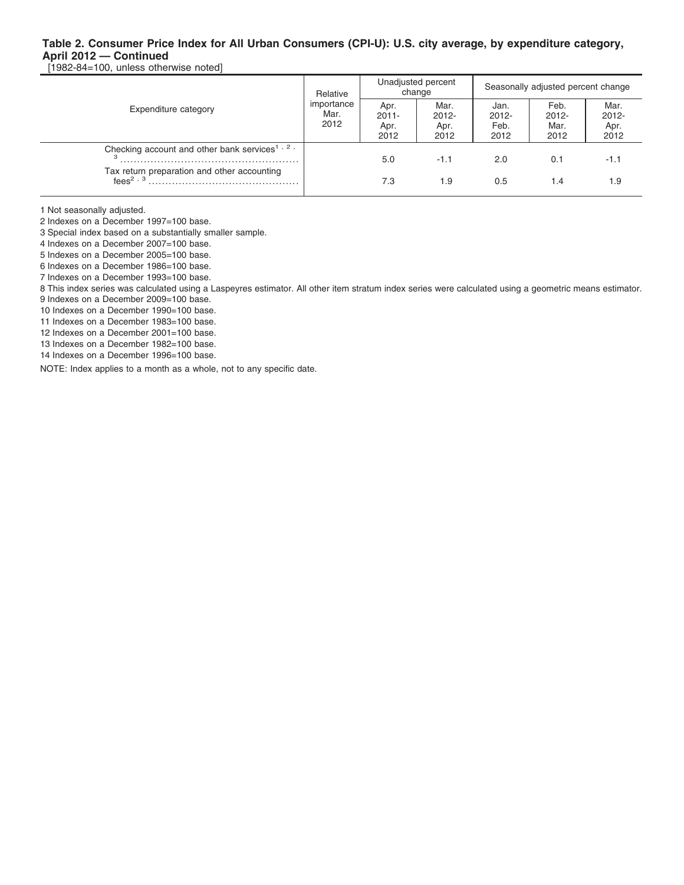[1982-84=100, unless otherwise noted]

| Expenditure category                                       | Relative                   |                                  | Unadjusted percent<br>change     | Seasonally adjusted percent change |                                  |                                  |  |
|------------------------------------------------------------|----------------------------|----------------------------------|----------------------------------|------------------------------------|----------------------------------|----------------------------------|--|
|                                                            | importance<br>Mar.<br>2012 | Apr.<br>$2011 -$<br>Apr.<br>2012 | Mar.<br>$2012 -$<br>Apr.<br>2012 | Jan.<br>$2012 -$<br>Feb.<br>2012   | Feb.<br>$2012 -$<br>Mar.<br>2012 | Mar.<br>$2012 -$<br>Apr.<br>2012 |  |
| Checking account and other bank services <sup>1, 2,</sup>  |                            | 5.0                              | $-1.1$                           | 2.0                                | 0.1                              | $-1.1$                           |  |
| Tax return preparation and other accounting<br>fees $2, 3$ |                            | 7.3                              | 1.9                              | 0.5                                | 1.4                              | 1.9                              |  |

1 Not seasonally adjusted.

2 Indexes on a December 1997=100 base.

3 Special index based on a substantially smaller sample.

4 Indexes on a December 2007=100 base.

5 Indexes on a December 2005=100 base.

6 Indexes on a December 1986=100 base.

7 Indexes on a December 1993=100 base.

8 This index series was calculated using a Laspeyres estimator. All other item stratum index series were calculated using a geometric means estimator.

9 Indexes on a December 2009=100 base.

10 Indexes on a December 1990=100 base.

11 Indexes on a December 1983=100 base.

12 Indexes on a December 2001=100 base. 13 Indexes on a December 1982=100 base.

14 Indexes on a December 1996=100 base.

NOTE: Index applies to a month as a whole, not to any specific date.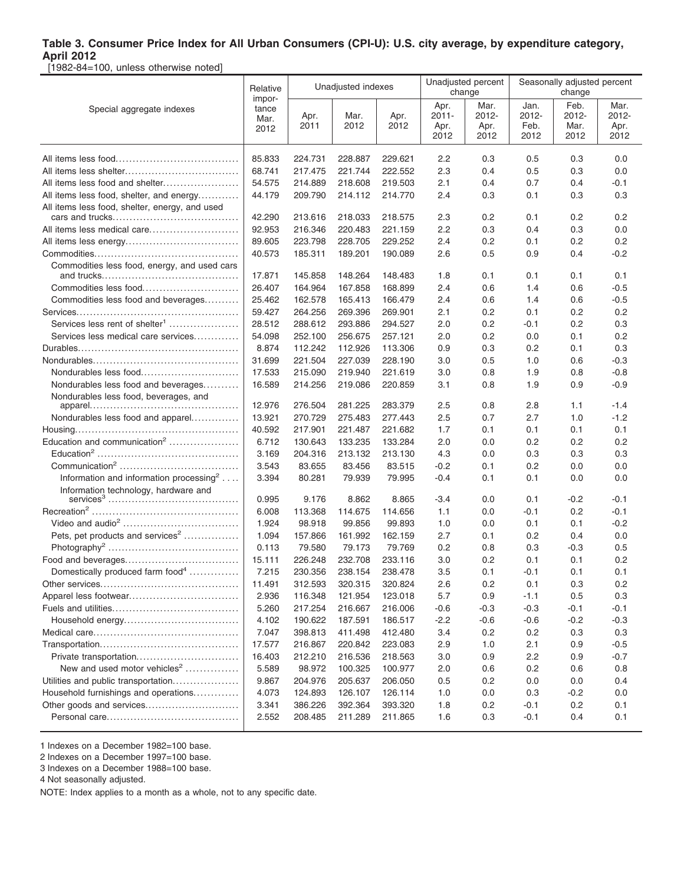[1982-84=100, unless otherwise noted]

|                                                     | Relative        | Unadjusted indexes |         |         | Unadjusted percent<br>change |               | Seasonally adjusted percent<br>change |               |                  |
|-----------------------------------------------------|-----------------|--------------------|---------|---------|------------------------------|---------------|---------------------------------------|---------------|------------------|
| Special aggregate indexes                           | impor-<br>tance | Apr.               | Mar.    | Apr.    | Apr.<br>$2011 -$             | Mar.<br>2012- | Jan.<br>2012-                         | Feb.<br>2012- | Mar.<br>$2012 -$ |
|                                                     | Mar.<br>2012    | 2011               | 2012    | 2012    | Apr.                         | Apr.          | Feb.                                  | Mar.          | Apr.             |
|                                                     |                 |                    |         |         | 2012                         | 2012          | 2012                                  | 2012          | 2012             |
|                                                     | 85.833          | 224.731            | 228.887 | 229.621 | 2.2                          | 0.3           | 0.5                                   | 0.3           | 0.0              |
|                                                     | 68.741          | 217.475            | 221.744 | 222.552 | 2.3                          | 0.4           | 0.5                                   | 0.3           | 0.0              |
| All items less food and shelter                     | 54.575          | 214.889            | 218.608 | 219.503 | 2.1                          | 0.4           | 0.7                                   | 0.4           | -0.1             |
| All items less food, shelter, and energy            | 44.179          | 209.790            | 214.112 | 214.770 | 2.4                          | 0.3           | 0.1                                   | 0.3           | 0.3              |
| All items less food, shelter, energy, and used      |                 |                    |         |         |                              |               |                                       |               |                  |
|                                                     | 42.290          | 213.616            | 218.033 | 218.575 | 2.3                          | 0.2           | 0.1                                   | 0.2           | 0.2              |
|                                                     | 92.953          | 216.346            | 220.483 | 221.159 | 2.2                          | 0.3           | 0.4                                   | 0.3           | 0.0              |
|                                                     | 89.605          | 223.798            | 228.705 | 229.252 | 2.4                          | 0.2           | 0.1                                   | 0.2           | 0.2              |
|                                                     | 40.573          | 185.311            | 189.201 | 190.089 | 2.6                          | 0.5           | 0.9                                   | 0.4           | $-0.2$           |
| Commodities less food, energy, and used cars        | 17.871          | 145.858            | 148.264 | 148.483 | 1.8                          | 0.1           | 0.1                                   | 0.1           | 0.1              |
| Commodities less food                               | 26.407          | 164.964            | 167.858 | 168.899 | 2.4                          | 0.6           | 1.4                                   | 0.6           | $-0.5$           |
| Commodities less food and beverages                 | 25.462          | 162.578            | 165.413 | 166.479 | 2.4                          | 0.6           | 1.4                                   | 0.6           | $-0.5$           |
|                                                     | 59.427          | 264.256            | 269.396 | 269.901 | 2.1                          | 0.2           | 0.1                                   | 0.2           | 0.2              |
| Services less rent of shelter <sup>1</sup>          | 28.512          | 288.612            | 293.886 | 294.527 | 2.0                          | 0.2           | $-0.1$                                | 0.2           | 0.3              |
| Services less medical care services                 | 54.098          | 252.100            | 256.675 | 257.121 | 2.0                          | 0.2           | 0.0                                   | 0.1           | 0.2              |
|                                                     | 8.874           | 112.242            | 112.926 | 113.306 | 0.9                          | 0.3           | 0.2                                   | 0.1           | 0.3              |
|                                                     | 31.699          | 221.504            | 227.039 | 228.190 | 3.0                          | 0.5           | 1.0                                   | 0.6           | $-0.3$           |
| Nondurables less food                               | 17.533          | 215.090            | 219.940 | 221.619 | 3.0                          | 0.8           | 1.9                                   | 0.8           | $-0.8$           |
| Nondurables less food and beverages                 | 16.589          | 214.256            | 219.086 | 220.859 | 3.1                          | 0.8           | 1.9                                   | 0.9           | $-0.9$           |
| Nondurables less food, beverages, and               |                 |                    |         |         |                              |               |                                       |               |                  |
|                                                     | 12.976          | 276.504            | 281.225 | 283.379 | 2.5                          | 0.8           | 2.8                                   | 1.1           | $-1.4$           |
| Nondurables less food and apparel                   | 13.921          | 270.729            | 275.483 | 277.443 | 2.5                          | 0.7           | 2.7                                   | 1.0           | $-1.2$           |
|                                                     | 40.592          | 217.901            | 221.487 | 221.682 | 1.7                          | 0.1           | 0.1                                   | 0.1           | 0.1              |
| Education and communication <sup>2</sup>            | 6.712           | 130.643            | 133.235 | 133.284 | 2.0                          | 0.0           | 0.2                                   | 0.2           | 0.2              |
|                                                     | 3.169           | 204.316            | 213.132 | 213.130 | 4.3                          | 0.0           | 0.3                                   | 0.3           | 0.3              |
|                                                     | 3.543           | 83.655             | 83.456  | 83.515  | $-0.2$                       | 0.1           | 0.2                                   | 0.0           | 0.0              |
| Information and information processing <sup>2</sup> | 3.394           | 80.281             | 79.939  | 79.995  | $-0.4$                       | 0.1           | 0.1                                   | 0.0           | 0.0              |
| Information technology, hardware and                | 0.995           | 9.176              | 8.862   | 8.865   | $-3.4$                       | 0.0           | 0.1                                   | $-0.2$        | $-0.1$           |
|                                                     | 6.008           | 113.368            | 114.675 | 114.656 | 1.1                          | 0.0           | $-0.1$                                | 0.2           | $-0.1$           |
|                                                     | 1.924           | 98.918             | 99.856  | 99.893  | 1.0                          | 0.0           | 0.1                                   | 0.1           | $-0.2$           |
| Pets, pet products and services <sup>2</sup>        | 1.094           | 157.866            | 161.992 | 162.159 | 2.7                          | 0.1           | 0.2                                   | 0.4           | 0.0              |
|                                                     | 0.113           | 79.580             | 79.173  | 79.769  | 0.2                          | 0.8           | 0.3                                   | $-0.3$        | 0.5              |
|                                                     | 15.111          | 226.248            | 232.708 | 233.116 | 3.0                          | 0.2           | 0.1                                   | 0.1           | 0.2              |
| Domestically produced farm food <sup>4</sup>        | 7.215           | 230.356            | 238.154 | 238.478 | 3.5                          | 0.1           | $-0.1$                                | 0.1           | 0.1              |
|                                                     | 11.491          | 312.593            | 320.315 | 320.824 | 2.6                          | 0.2           | 0.1                                   | 0.3           | 0.2              |
| Apparel less footwear                               | 2.936           | 116.348            | 121.954 | 123.018 | 5.7                          | 0.9           | $-1.1$                                | 0.5           | 0.3              |
|                                                     | 5.260           | 217.254            | 216.667 | 216.006 | $-0.6$                       | $-0.3$        | $-0.3$                                | $-0.1$        | $-0.1$           |
|                                                     | 4.102           | 190.622            | 187.591 | 186.517 | $-2.2$                       | $-0.6$        | $-0.6$                                | $-0.2$        | $-0.3$           |
|                                                     | 7.047           | 398.813            | 411.498 | 412.480 | 3.4                          | 0.2           | 0.2                                   | 0.3           | 0.3              |
|                                                     | 17.577          | 216.867            | 220.842 | 223.083 | 2.9                          | 1.0           | 2.1                                   | 0.9           | $-0.5$           |
| Private transportation                              | 16.403          | 212.210            | 216.536 | 218.563 | 3.0                          | 0.9           | 2.2                                   | 0.9           | $-0.7$           |
| New and used motor vehicles <sup>2</sup>            | 5.589           | 98.972             | 100.325 | 100.977 | 2.0                          | 0.6           | 0.2                                   | 0.6           | 0.8              |
| Utilities and public transportation                 | 9.867           | 204.976            | 205.637 | 206.050 | 0.5                          | 0.2           | 0.0                                   | 0.0           | 0.4              |
| Household furnishings and operations                | 4.073           | 124.893            | 126.107 | 126.114 | 1.0                          | 0.0           | 0.3                                   | $-0.2$        | 0.0              |
|                                                     | 3.341           | 386.226            | 392.364 | 393.320 | 1.8                          | 0.2           | $-0.1$                                | 0.2           | 0.1              |
|                                                     | 2.552           | 208.485            | 211.289 | 211.865 | 1.6                          | 0.3           | $-0.1$                                | 0.4           | 0.1              |

1 Indexes on a December 1982=100 base.

2 Indexes on a December 1997=100 base.

3 Indexes on a December 1988=100 base.

4 Not seasonally adjusted.

NOTE: Index applies to a month as a whole, not to any specific date.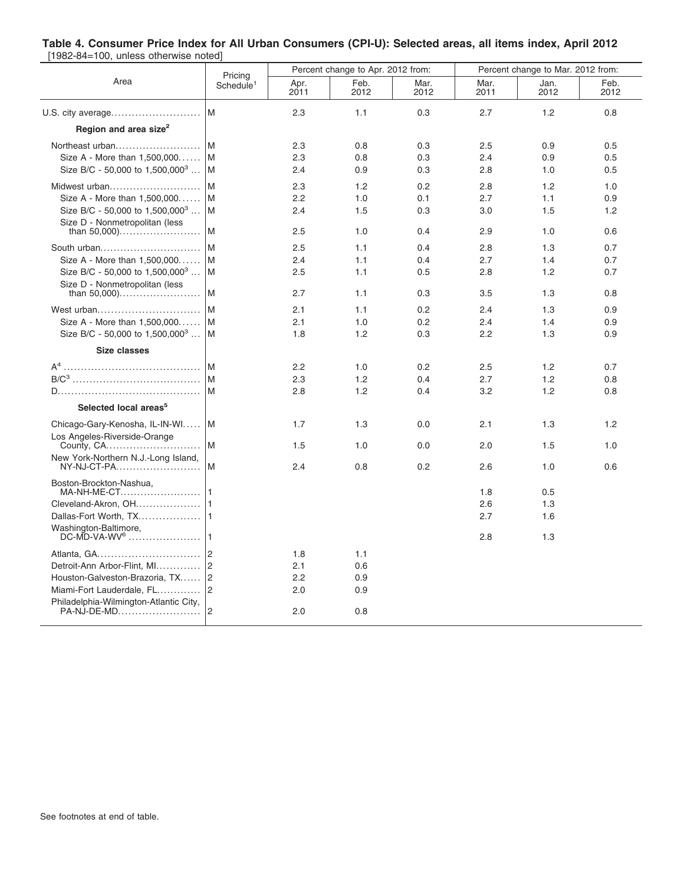#### **Table 4. Consumer Price Index for All Urban Consumers (CPI-U): Selected areas, all items index, April 2012** [1982-84=100, unless otherwise noted]

|                                                       |                                  |              | Percent change to Apr. 2012 from: |              | Percent change to Mar. 2012 from: |              |              |  |  |
|-------------------------------------------------------|----------------------------------|--------------|-----------------------------------|--------------|-----------------------------------|--------------|--------------|--|--|
| Area                                                  | Pricing<br>Schedule <sup>1</sup> | Apr.<br>2011 | Feb.<br>2012                      | Mar.<br>2012 | Mar.<br>2011                      | Jan.<br>2012 | Feb.<br>2012 |  |  |
| U.S. city average                                     | M                                | 2.3          | 1.1                               | 0.3          | 2.7                               | 1.2          | 0.8          |  |  |
| Region and area size <sup>2</sup>                     |                                  |              |                                   |              |                                   |              |              |  |  |
| Northeast urban                                       | l M                              | 2.3          | 0.8                               | 0.3          | 2.5                               | 0.9          | 0.5          |  |  |
| Size A - More than 1,500,000                          | l M                              | 2.3          | 0.8                               | 0.3          | 2.4                               | 0.9          | 0.5          |  |  |
| Size B/C - 50,000 to 1,500,000 <sup>3</sup>           | l M                              | 2.4          | 0.9                               | 0.3          | 2.8                               | 1.0          | 0.5          |  |  |
| Midwest urban                                         | l M                              | 2.3          | 1.2                               | 0.2          | 2.8                               | 1.2          | 1.0          |  |  |
| Size A - More than 1,500,000                          | l M                              | 2.2          | 1.0                               | 0.1          | 2.7                               | 1.1          | 0.9          |  |  |
| Size B/C - 50,000 to $1,500,000^3$                    | l M                              | 2.4          | 1.5                               | 0.3          | 3.0                               | 1.5          | 1.2          |  |  |
| Size D - Nonmetropolitan (less                        | l M                              | 2.5          | 1.0                               | 0.4          | 2.9                               | 1.0          | 0.6          |  |  |
| South urban                                           | l M                              | 2.5          | 1.1                               | 0.4          | 2.8                               | 1.3          | 0.7          |  |  |
| Size A - More than 1,500,000                          | M                                | 2.4          | 1.1                               | 0.4          | 2.7                               | 1.4          | 0.7          |  |  |
| Size B/C - 50,000 to $1,500,000^3$                    | l M                              | 2.5          | 1.1                               | 0.5          | 2.8                               | 1.2          | 0.7          |  |  |
| Size D - Nonmetropolitan (less<br>than $50,000)$      | M                                | 2.7          | 1.1                               | 0.3          | 3.5                               | 1.3          | 0.8          |  |  |
|                                                       | l M                              | 2.1          |                                   | 0.2          | 2.4                               |              |              |  |  |
| West urban<br>Size A - More than 1,500,000            | l M                              | 2.1          | 1.1<br>1.0                        | 0.2          | 2.4                               | 1.3<br>1.4   | 0.9<br>0.9   |  |  |
| Size B/C - 50,000 to $1,500,000^3$                    | ١M                               | 1.8          | 1.2                               | 0.3          | 2.2                               | 1.3          | 0.9          |  |  |
|                                                       |                                  |              |                                   |              |                                   |              |              |  |  |
| <b>Size classes</b>                                   |                                  |              |                                   |              |                                   |              |              |  |  |
|                                                       | ١M                               | 2.2          | 1.0                               | 0.2          | 2.5                               | 1.2          | 0.7          |  |  |
|                                                       | lм                               | 2.3          | 1.2                               | 0.4          | 2.7                               | 1.2          | 0.8          |  |  |
|                                                       | M                                | 2.8          | 1.2                               | 0.4          | 3.2                               | 1.2          | 0.8          |  |  |
| Selected local areas <sup>5</sup>                     |                                  |              |                                   |              |                                   |              |              |  |  |
| Chicago-Gary-Kenosha, IL-IN-WI                        | ΙM                               | 1.7          | 1.3                               | 0.0          | 2.1                               | 1.3          | 1.2          |  |  |
| Los Angeles-Riverside-Orange<br>County, CA            | M                                | 1.5          | 1.0                               | 0.0          | 2.0                               | 1.5          | 1.0          |  |  |
| New York-Northern N.J.-Long Island,<br>NY-NJ-CT-PA    | ١M                               | 2.4          | 0.8                               | 0.2          | 2.6                               | 1.0          | 0.6          |  |  |
| Boston-Brockton-Nashua,                               |                                  |              |                                   |              |                                   |              |              |  |  |
| MA-NH-ME-CT                                           | l 1                              |              |                                   |              | 1.8                               | 0.5          |              |  |  |
| Cleveland-Akron, OH                                   |                                  |              |                                   |              | 2.6<br>2.7                        | 1.3<br>1.6   |              |  |  |
| Washington-Baltimore,                                 |                                  |              |                                   |              |                                   |              |              |  |  |
| $DC-MD-VA-WV6$                                        | l 1                              |              |                                   |              | 2.8                               | 1.3          |              |  |  |
| Atlanta, GA                                           | 2                                | 1.8          | 1.1                               |              |                                   |              |              |  |  |
| Detroit-Ann Arbor-Flint, MI                           | $ 2\rangle$                      | 2.1          | 0.6                               |              |                                   |              |              |  |  |
| Houston-Galveston-Brazoria, TX                        | 2                                | 2.2          | 0.9                               |              |                                   |              |              |  |  |
| Miami-Fort Lauderdale, FL                             | $ 2\rangle$                      | 2.0          | 0.9                               |              |                                   |              |              |  |  |
| Philadelphia-Wilmington-Atlantic City,<br>PA-NJ-DE-MD | $\overline{2}$                   | 2.0          | 0.8                               |              |                                   |              |              |  |  |
|                                                       |                                  |              |                                   |              |                                   |              |              |  |  |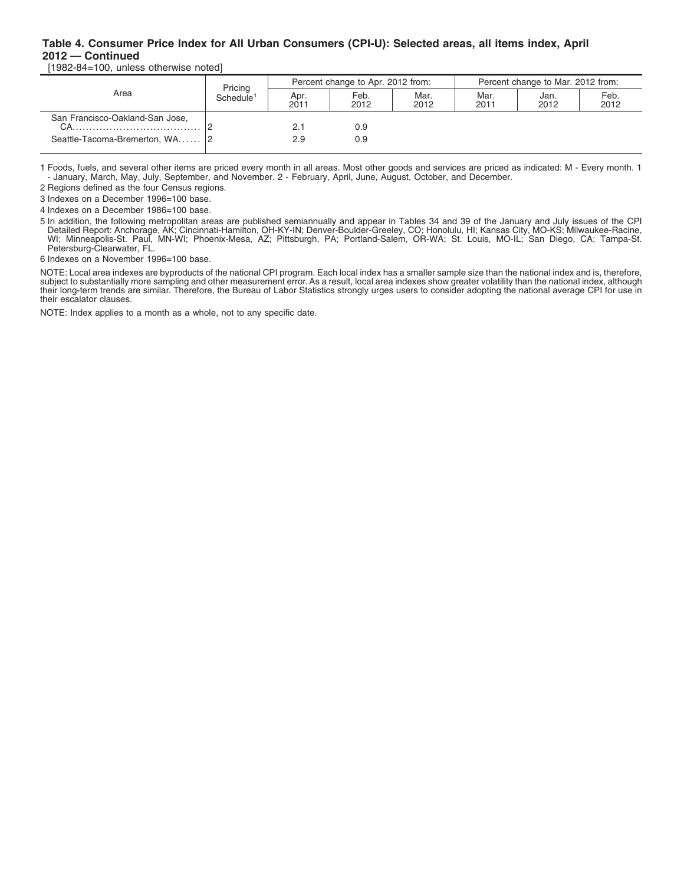## **Table 4. Consumer Price Index for All Urban Consumers (CPI-U): Selected areas, all items index, April 2012 — Continued**

[1982-84=100, unless otherwise noted]

| Area                            | Pricing<br>Schedule <sup>1</sup> |              | Percent change to Apr. 2012 from: |              | Percent change to Mar. 2012 from: |              |              |  |
|---------------------------------|----------------------------------|--------------|-----------------------------------|--------------|-----------------------------------|--------------|--------------|--|
|                                 |                                  | Apr.<br>2011 | Feb.<br>2012                      | Mar.<br>2012 | Mar.<br>2011                      | Jan.<br>2012 | Feb.<br>2012 |  |
| San Francisco-Oakland-San Jose, |                                  |              | 0.9                               |              |                                   |              |              |  |
| Seattle-Tacoma-Bremerton, WA 2  |                                  | 2.9          | 0.9                               |              |                                   |              |              |  |

1 Foods, fuels, and several other items are priced every month in all areas. Most other goods and services are priced as indicated: M - Every month. 1 - January, March, May, July, September, and November. 2 - February, April, June, August, October, and December.

2 Regions defined as the four Census regions.

3 Indexes on a December 1996=100 base.

4 Indexes on a December 1986=100 base.

5 In addition, the following metropolitan areas are published semiannually and appear in Tables 34 and 39 of the January and July issues of the CPI<br>Detailed Report: Anchorage, AK; Cincinnati-Hamilton, OH-KY-IN; Denver-Boul Petersburg-Clearwater, FL.

6 Indexes on a November 1996=100 base.

NOTE: Local area indexes are byproducts of the national CPI program. Each local index has a smaller sample size than the national index and is, therefore,<br>subject to substantially more sampling and other measurement error. their escalator clauses.

NOTE: Index applies to a month as a whole, not to any specific date.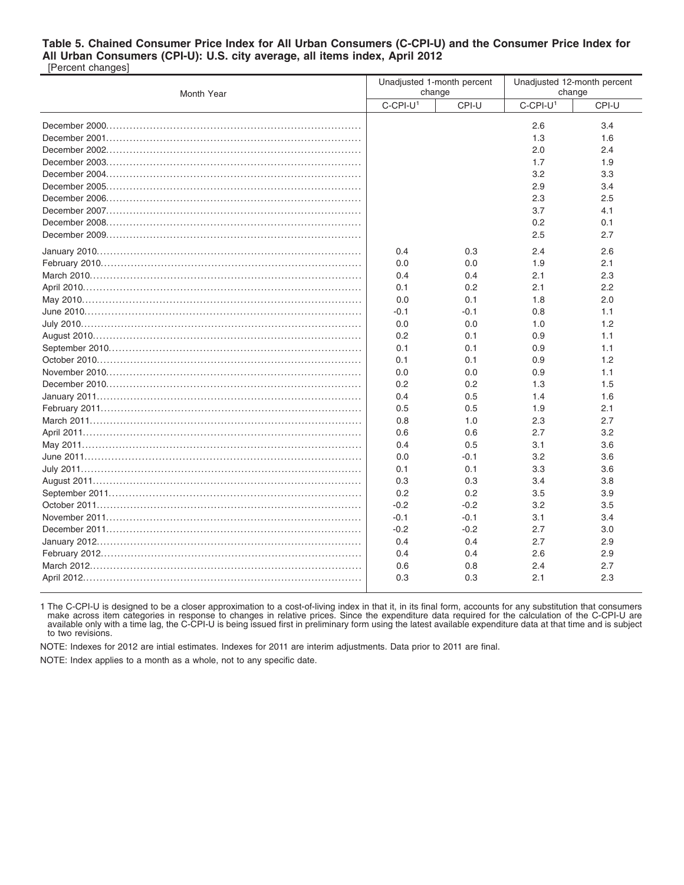#### **Table 5. Chained Consumer Price Index for All Urban Consumers (C-CPI-U) and the Consumer Price Index for All Urban Consumers (CPI-U): U.S. city average, all items index, April 2012** [Percent changes]

| Month Year |                         | Unadjusted 1-month percent<br>change | Unadjusted 12-month percent<br>change |       |  |
|------------|-------------------------|--------------------------------------|---------------------------------------|-------|--|
|            | $C$ -CPI-U <sup>1</sup> | CPI-U                                | $C$ -CPI-U <sup>1</sup>               | CPI-U |  |
|            |                         |                                      | 2.6                                   | 3.4   |  |
|            |                         |                                      | 1.3                                   | 1.6   |  |
|            |                         |                                      | 2.0                                   | 2.4   |  |
|            |                         |                                      | 1.7                                   | 1.9   |  |
|            |                         |                                      | 3.2                                   | 3.3   |  |
|            |                         |                                      | 2.9                                   | 3.4   |  |
|            |                         |                                      | 2.3                                   | 2.5   |  |
|            |                         |                                      | 3.7                                   | 4.1   |  |
|            |                         |                                      | 0.2                                   | 0.1   |  |
|            |                         |                                      | 2.5                                   | 2.7   |  |
|            | 0.4                     | 0.3                                  | 2.4                                   | 2.6   |  |
|            | 0.0                     | 0.0                                  | 1.9                                   | 2.1   |  |
|            | 0.4                     | 0.4                                  | 2.1                                   | 2.3   |  |
|            | 0.1                     | 0.2                                  | 2.1                                   | 2.2   |  |
|            | 0.0                     | 0.1                                  | 1.8                                   | 2.0   |  |
|            | $-0.1$                  | $-0.1$                               | 0.8                                   | 1.1   |  |
|            | 0.0                     | 0.0                                  | 1.0                                   | 1.2   |  |
|            | 0.2                     | 0.1                                  | 0.9                                   | 1.1   |  |
|            | 0.1                     | 0.1                                  | 0.9                                   | 1.1   |  |
|            | 0.1                     | 0.1                                  | 0.9                                   | 1.2   |  |
|            | 0.0                     | 0.0                                  | 0.9                                   | 1.1   |  |
|            | 0.2                     | 0.2                                  | 1.3                                   | 1.5   |  |
|            | 0.4                     | 0.5                                  | 1.4                                   | 1.6   |  |
|            | 0.5                     | 0.5                                  | 1.9                                   | 2.1   |  |
|            | 0.8                     | 1.0                                  | 2.3                                   | 2.7   |  |
|            | 0.6                     | 0.6                                  | 2.7                                   | 3.2   |  |
|            | 0.4                     | 0.5                                  | 3.1                                   | 3.6   |  |
|            | 0.0                     | $-0.1$                               | 3.2                                   | 3.6   |  |
|            | 0.1                     | 0.1                                  | 3.3                                   | 3.6   |  |
|            | 0.3                     | 0.3                                  | 3.4                                   | 3.8   |  |
|            | 0.2                     | 0.2                                  | 3.5                                   | 3.9   |  |
|            | $-0.2$                  | $-0.2$                               | 3.2                                   | 3.5   |  |
|            | $-0.1$                  | $-0.1$                               | 3.1                                   | 3.4   |  |
|            | $-0.2$                  | $-0.2$                               | 2.7                                   | 3.0   |  |
|            | 0.4                     | 0.4                                  | 2.7                                   | 2.9   |  |
|            | 0.4                     | 0.4                                  | 2.6                                   | 2.9   |  |
|            | 0.6                     | 0.8                                  | 2.4                                   | 2.7   |  |
|            | 0.3                     | 0.3                                  | 2.1                                   | 2.3   |  |
|            |                         |                                      |                                       |       |  |

1 The C-CPI-U is designed to be a closer approximation to a cost-of-living index in that it, in its final form, accounts for any substitution that consumers<br>make across item categories in response to changes in relative pr available only with a time lag, the C-CPI-U is being issued first in preliminary form using the latest available expenditure data at that time and is subject to two revisions.

NOTE: Indexes for 2012 are intial estimates. Indexes for 2011 are interim adjustments. Data prior to 2011 are final.

NOTE: Index applies to a month as a whole, not to any specific date.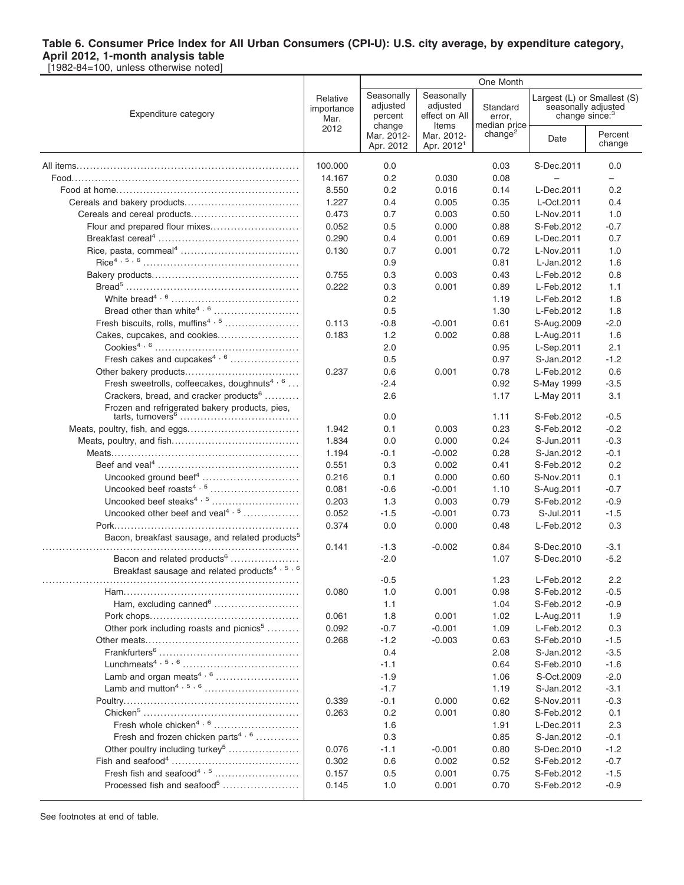[1982-84=100, unless otherwise noted]

|                                                             |                                | One Month                                   |                                                  |                                    |                                                                                  |                   |  |
|-------------------------------------------------------------|--------------------------------|---------------------------------------------|--------------------------------------------------|------------------------------------|----------------------------------------------------------------------------------|-------------------|--|
| Expenditure category                                        | Relative<br>importance<br>Mar. | Seasonally<br>adjusted<br>percent<br>change | Seasonally<br>adjusted<br>effect on All<br>Items | Standard<br>error,<br>median price | Largest (L) or Smallest (S)<br>seasonally adjusted<br>change since: <sup>3</sup> |                   |  |
|                                                             | 2012                           | Mar. 2012-<br>Apr. 2012                     | Mar. 2012-<br>Apr. 2012 <sup>1</sup>             | change <sup>2</sup>                | Date                                                                             | Percent<br>change |  |
|                                                             | 100.000                        | 0.0                                         |                                                  | 0.03                               | S-Dec.2011                                                                       | 0.0               |  |
|                                                             | 14.167                         | 0.2                                         | 0.030                                            | 0.08                               |                                                                                  | -                 |  |
|                                                             | 8.550                          | 0.2                                         | 0.016                                            | 0.14                               | L-Dec.2011                                                                       | 0.2               |  |
|                                                             | 1.227                          | 0.4                                         | 0.005                                            | 0.35                               | L-Oct.2011                                                                       | 0.4               |  |
| Cereals and cereal products                                 | 0.473                          | 0.7                                         | 0.003                                            | 0.50                               | L-Nov.2011                                                                       | 1.0               |  |
| Flour and prepared flour mixes                              | 0.052                          | 0.5                                         | 0.000                                            | 0.88                               | S-Feb.2012                                                                       | $-0.7$            |  |
|                                                             | 0.290                          | 0.4                                         | 0.001                                            | 0.69                               | L-Dec.2011                                                                       | 0.7               |  |
|                                                             | 0.130                          | 0.7                                         | 0.001                                            | 0.72                               | L-Nov.2011                                                                       | 1.0               |  |
|                                                             |                                | 0.9                                         |                                                  | 0.81                               | L-Jan.2012                                                                       | 1.6               |  |
|                                                             | 0.755                          | 0.3                                         | 0.003                                            | 0.43                               | L-Feb.2012                                                                       | 0.8               |  |
|                                                             | 0.222                          | 0.3                                         | 0.001                                            | 0.89                               | L-Feb.2012                                                                       | 1.1               |  |
|                                                             |                                | 0.2                                         |                                                  | 1.19                               | L-Feb.2012                                                                       | 1.8               |  |
|                                                             |                                | 0.5                                         |                                                  | 1.30                               | L-Feb.2012                                                                       | 1.8               |  |
| Fresh biscuits, rolls, muffins <sup>4, 5</sup>              | 0.113                          | $-0.8$                                      | $-0.001$                                         | 0.61                               | S-Aug.2009                                                                       | $-2.0$            |  |
| Cakes, cupcakes, and cookies                                | 0.183                          | 1.2                                         | 0.002                                            | 0.88                               | L-Aug.2011                                                                       | 1.6               |  |
|                                                             |                                | 2.0                                         |                                                  | 0.95                               | L-Sep.2011                                                                       | 2.1               |  |
| Fresh cakes and cupcakes <sup>4, 6</sup>                    |                                | 0.5                                         |                                                  | 0.97                               | S-Jan.2012                                                                       | $-1.2$            |  |
|                                                             | 0.237                          | 0.6                                         | 0.001                                            | 0.78                               | L-Feb.2012                                                                       | 0.6               |  |
| Fresh sweetrolls, coffeecakes, doughnuts <sup>4, 6</sup>    |                                | $-2.4$                                      |                                                  | 0.92                               | S-May 1999                                                                       | $-3.5$            |  |
| Crackers, bread, and cracker products <sup>6</sup>          |                                | 2.6                                         |                                                  | 1.17                               | L-May 2011                                                                       | 3.1               |  |
| Frozen and refrigerated bakery products, pies,              |                                | 0.0                                         |                                                  | 1.11                               | S-Feb.2012                                                                       | $-0.5$            |  |
|                                                             | 1.942                          | 0.1                                         | 0.003                                            | 0.23                               | S-Feb.2012                                                                       | $-0.2$            |  |
|                                                             | 1.834                          | 0.0                                         | 0.000                                            | 0.24                               | S-Jun.2011                                                                       | $-0.3$            |  |
|                                                             | 1.194                          | $-0.1$                                      | $-0.002$                                         | 0.28                               | S-Jan.2012                                                                       | $-0.1$            |  |
|                                                             | 0.551                          | 0.3                                         | 0.002                                            | 0.41                               | S-Feb.2012                                                                       | 0.2               |  |
|                                                             | 0.216                          | 0.1                                         | 0.000                                            | 0.60                               | S-Nov.2011                                                                       | 0.1               |  |
|                                                             | 0.081                          | $-0.6$                                      | $-0.001$                                         | 1.10                               | S-Aug.2011                                                                       | $-0.7$            |  |
| Uncooked beef steaks <sup>4, 5</sup>                        | 0.203                          | 1.3                                         | 0.003                                            | 0.79                               | S-Feb.2012                                                                       | $-0.9$            |  |
| Uncooked other beef and veal <sup>4, 5</sup>                | 0.052                          | $-1.5$                                      | $-0.001$                                         | 0.73                               | S-Jul.2011                                                                       | $-1.5$            |  |
|                                                             | 0.374                          | 0.0                                         | 0.000                                            | 0.48                               | L-Feb.2012                                                                       | 0.3               |  |
| Bacon, breakfast sausage, and related products <sup>5</sup> | 0.141                          | $-1.3$                                      | $-0.002$                                         | 0.84                               | S-Dec.2010                                                                       | $-3.1$            |  |
| Bacon and related products <sup>6</sup>                     |                                | $-2.0$                                      |                                                  | 1.07                               | S-Dec.2010                                                                       | $-5.2$            |  |
| Breakfast sausage and related products <sup>4, 5, 6</sup>   |                                |                                             |                                                  |                                    |                                                                                  |                   |  |
|                                                             |                                | $-0.5$                                      |                                                  | 1.23                               | L-Feb.2012                                                                       | 2.2               |  |
|                                                             | 0.080                          | 1.0                                         | 0.001                                            | 0.98                               | S-Feb.2012                                                                       | $-0.5$            |  |
| Ham, excluding canned <sup>6</sup>                          |                                | 1.1                                         |                                                  | 1.04                               | S-Feb.2012                                                                       | $-0.9$            |  |
|                                                             | 0.061                          | 1.8                                         | 0.001                                            | 1.02                               | L-Aug.2011                                                                       | 1.9               |  |
| Other pork including roasts and picnics <sup>5</sup>        | 0.092                          | $-0.7$                                      | $-0.001$                                         | 1.09                               | L-Feb.2012                                                                       | 0.3               |  |
|                                                             | 0.268                          | $-1.2$                                      | $-0.003$                                         | 0.63                               | S-Feb.2010                                                                       | $-1.5$            |  |
|                                                             |                                | 0.4                                         |                                                  | 2.08                               | S-Jan.2012                                                                       | $-3.5$            |  |
|                                                             |                                | $-1.1$                                      |                                                  | 0.64                               | S-Feb.2010                                                                       | $-1.6$            |  |
|                                                             |                                | $-1.9$                                      |                                                  | 1.06                               | S-Oct.2009                                                                       | $-2.0$            |  |
|                                                             |                                | $-1.7$                                      |                                                  | 1.19                               | S-Jan.2012                                                                       | $-3.1$            |  |
|                                                             | 0.339                          | $-0.1$                                      | 0.000                                            | 0.62                               | S-Nov.2011                                                                       | $-0.3$            |  |
|                                                             | 0.263                          | 0.2                                         | 0.001                                            | 0.80                               | S-Feb.2012                                                                       | 0.1               |  |
| Fresh whole chicken <sup>4, 6</sup>                         |                                | 1.6                                         |                                                  | 1.91                               | L-Dec.2011                                                                       | 2.3               |  |
| Fresh and frozen chicken parts <sup>4, 6</sup>              |                                | 0.3                                         |                                                  | 0.85                               | S-Jan.2012                                                                       | $-0.1$            |  |
| Other poultry including turkey <sup>5</sup>                 | 0.076                          | $-1.1$                                      | $-0.001$                                         | 0.80                               | S-Dec.2010                                                                       | $-1.2$            |  |
|                                                             | 0.302                          | 0.6                                         | 0.002                                            | 0.52                               | S-Feb.2012                                                                       | $-0.7$            |  |
| Fresh fish and seafood <sup>4, 5</sup>                      | 0.157                          | 0.5                                         | 0.001                                            | 0.75                               | S-Feb.2012                                                                       | $-1.5$            |  |
| Processed fish and seafood <sup>5</sup>                     | 0.145                          | 1.0                                         | 0.001                                            | 0.70                               | S-Feb.2012                                                                       | $-0.9$            |  |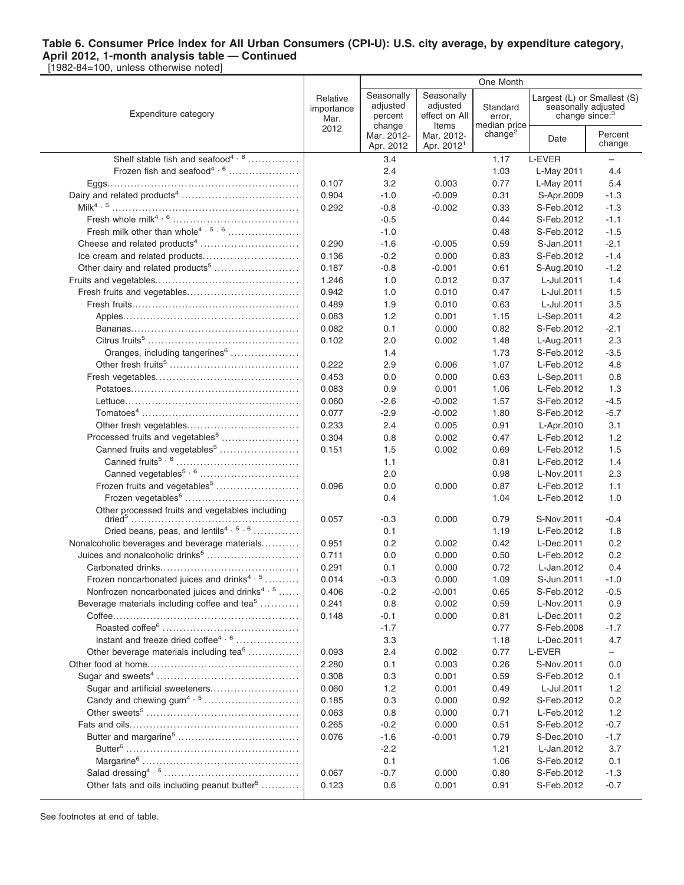[1982-84=100, unless otherwise noted]

|                                                           |                                | One Month                         |                                               |                                     |                            |                                                    |
|-----------------------------------------------------------|--------------------------------|-----------------------------------|-----------------------------------------------|-------------------------------------|----------------------------|----------------------------------------------------|
| Expenditure category                                      | Relative<br>importance<br>Mar. | Seasonally<br>adjusted<br>percent | Seasonally<br>adjusted<br>effect on All       | Standard<br>error,                  | change since: <sup>3</sup> | Largest (L) or Smallest (S)<br>seasonally adjusted |
|                                                           | 2012                           | change<br>Mar. 2012-<br>Apr. 2012 | Items<br>Mar. 2012-<br>Apr. 2012 <sup>1</sup> | median price<br>change <sup>2</sup> | Date                       | Percent<br>change                                  |
| Shelf stable fish and seafood <sup>4, 6</sup>             |                                | 3.4                               |                                               | 1.17                                | L-EVER                     | -                                                  |
| Frozen fish and seafood <sup>4, 6</sup>                   |                                | 2.4                               |                                               | 1.03                                | L-May 2011                 | 4.4                                                |
|                                                           | 0.107                          | 3.2                               | 0.003                                         | 0.77                                | L-May 2011                 | 5.4                                                |
|                                                           | 0.904                          | $-1.0$                            | $-0.009$                                      | 0.31                                | S-Apr.2009                 | $-1.3$                                             |
|                                                           | 0.292                          | $-0.8$                            | $-0.002$                                      | 0.33                                | S-Feb.2012                 | $-1.3$                                             |
|                                                           |                                | $-0.5$                            |                                               | 0.44                                | S-Feb.2012                 | $-1.1$                                             |
| Fresh milk other than whole <sup>4, 5, 6</sup>            |                                | $-1.0$                            |                                               | 0.48                                | S-Feb.2012                 | $-1.5$                                             |
|                                                           | 0.290                          | $-1.6$                            | $-0.005$                                      | 0.59                                | S-Jan.2011                 | $-2.1$                                             |
|                                                           | 0.136                          | $-0.2$                            | 0.000                                         | 0.83                                | S-Feb.2012                 | $-1.4$                                             |
| Other dairy and related products <sup>5</sup>             | 0.187                          | $-0.8$                            | $-0.001$                                      | 0.61                                | S-Aug.2010                 | $-1.2$                                             |
|                                                           | 1.246                          | 1.0                               | 0.012                                         | 0.37                                | L-Jul.2011                 | 1.4                                                |
|                                                           | 0.942                          | 1.0                               | 0.010                                         | 0.47                                | L-Jul.2011                 | 1.5                                                |
|                                                           | 0.489                          | 1.9                               | 0.010                                         | 0.63                                | L-Jul.2011                 | 3.5                                                |
|                                                           | 0.083                          | 1.2                               | 0.001                                         | 1.15                                | L-Sep.2011                 | 4.2                                                |
|                                                           | 0.082                          | 0.1                               | 0.000                                         | 0.82                                | S-Feb.2012                 | $-2.1$                                             |
|                                                           | 0.102                          | 2.0                               | 0.002                                         | 1.48                                | L-Aug.2011                 | 2.3                                                |
| Oranges, including tangerines <sup>6</sup>                |                                | 1.4                               |                                               | 1.73                                | S-Feb.2012                 | $-3.5$                                             |
|                                                           | 0.222                          | 2.9                               | 0.006                                         | 1.07                                | L-Feb.2012                 | 4.8                                                |
|                                                           | 0.453                          | 0.0                               | 0.000                                         | 0.63                                | L-Sep.2011                 | 0.8                                                |
|                                                           | 0.083                          | 0.9                               | 0.001                                         | 1.06                                | L-Feb.2012                 | 1.3                                                |
|                                                           | 0.060                          | -2.6                              | $-0.002$                                      | 1.57                                | S-Feb.2012                 | $-4.5$                                             |
|                                                           | 0.077                          | $-2.9$                            | $-0.002$                                      | 1.80                                | S-Feb.2012                 | $-5.7$                                             |
|                                                           | 0.233                          | 2.4                               | 0.005                                         | 0.91                                | L-Apr.2010                 | 3.1                                                |
| Processed fruits and vegetables <sup>5</sup>              | 0.304                          | 0.8                               | 0.002                                         | 0.47                                | L-Feb.2012                 | 1.2                                                |
| Canned fruits and vegetables <sup>5</sup>                 | 0.151                          | 1.5                               | 0.002                                         | 0.69                                | L-Feb.2012                 | 1.5                                                |
| Canned vegetables <sup>5, 6</sup>                         |                                | 1.1<br>2.0                        |                                               | 0.81<br>0.98                        | L-Feb.2012<br>L-Nov.2011   | 1.4<br>2.3                                         |
| Frozen fruits and vegetables <sup>5</sup>                 | 0.096                          | 0.0                               | 0.000                                         | 0.87                                | L-Feb.2012                 | 1.1                                                |
|                                                           |                                | 0.4                               |                                               | 1.04                                | L-Feb.2012                 | 1.0                                                |
| Other processed fruits and vegetables including           | 0.057                          | -0.3                              | 0.000                                         | 0.79                                | S-Nov.2011                 | $-0.4$                                             |
| Dried beans, peas, and lentils <sup>4, 5, 6</sup>         |                                | 0.1                               |                                               | 1.19                                | L-Feb.2012                 | 1.8                                                |
| Nonalcoholic beverages and beverage materials             | 0.951                          | 0.2                               | 0.002                                         | 0.42                                | L-Dec.2011                 | 0.2                                                |
| Juices and nonalcoholic drinks <sup>5</sup>               | 0.711                          | 0.0                               | 0.000                                         | 0.50                                | L-Feb.2012                 | 0.2                                                |
|                                                           | 0.291                          | 0.1                               | 0.000                                         | 0.72                                | L-Jan.2012                 | 0.4                                                |
| Frozen noncarbonated juices and drinks <sup>4, 5</sup>    | 0.014                          | $-0.3$                            | 0.000                                         | 1.09                                | S-Jun.2011                 | $-1.0$                                             |
| Nonfrozen noncarbonated juices and drinks <sup>4, 5</sup> | 0.406                          | $-0.2$                            | $-0.001$                                      | 0.65                                | S-Feb.2012                 | $-0.5$                                             |
| Beverage materials including coffee and tea <sup>5</sup>  | 0.241                          | 0.8                               | 0.002                                         | 0.59                                | L-Nov.2011                 | 0.9                                                |
|                                                           | 0.148                          | -0.1                              | 0.000                                         | 0.81                                | L-Dec.2011                 | 0.2                                                |
|                                                           |                                | $-1.7$                            |                                               | 0.77                                | S-Feb.2008                 | $-1.7$                                             |
| Instant and freeze dried coffee <sup>4, 6</sup>           |                                | 3.3                               |                                               | 1.18                                | L-Dec.2011                 | 4.7                                                |
| Other beverage materials including tea <sup>5</sup>       | 0.093                          | 2.4                               | 0.002                                         | 0.77                                | L-EVER                     | $\overline{\phantom{0}}$                           |
|                                                           | 2.280                          | 0.1                               | 0.003                                         | 0.26                                | S-Nov.2011                 | 0.0                                                |
|                                                           | 0.308                          | 0.3                               | 0.001                                         | 0.59                                | S-Feb.2012                 | 0.1                                                |
| Sugar and artificial sweeteners                           | 0.060                          | 1.2                               | 0.001                                         | 0.49                                | L-Jul.2011                 | 1.2                                                |
|                                                           | 0.185                          | 0.3                               | 0.000                                         | 0.92                                | S-Feb.2012                 | 0.2                                                |
|                                                           | 0.063                          | 0.8                               | 0.000                                         | 0.71                                | L-Feb.2012                 | 1.2                                                |
|                                                           | 0.265                          | -0.2                              | 0.000                                         | 0.51                                | S-Feb.2012                 | $-0.7$                                             |
|                                                           | 0.076                          | $-1.6$                            | $-0.001$                                      | 0.79                                | S-Dec.2010                 | $-1.7$                                             |
|                                                           |                                | $-2.2$                            |                                               | 1.21                                | L-Jan.2012                 | 3.7                                                |
|                                                           | 0.067                          | 0.1<br>$-0.7$                     |                                               | 1.06<br>0.80                        | S-Feb.2012                 | 0.1                                                |
| Other fats and oils including peanut butter <sup>5</sup>  | 0.123                          | 0.6                               | 0.000<br>0.001                                | 0.91                                | S-Feb.2012<br>S-Feb.2012   | $-1.3$<br>$-0.7$                                   |
|                                                           |                                |                                   |                                               |                                     |                            |                                                    |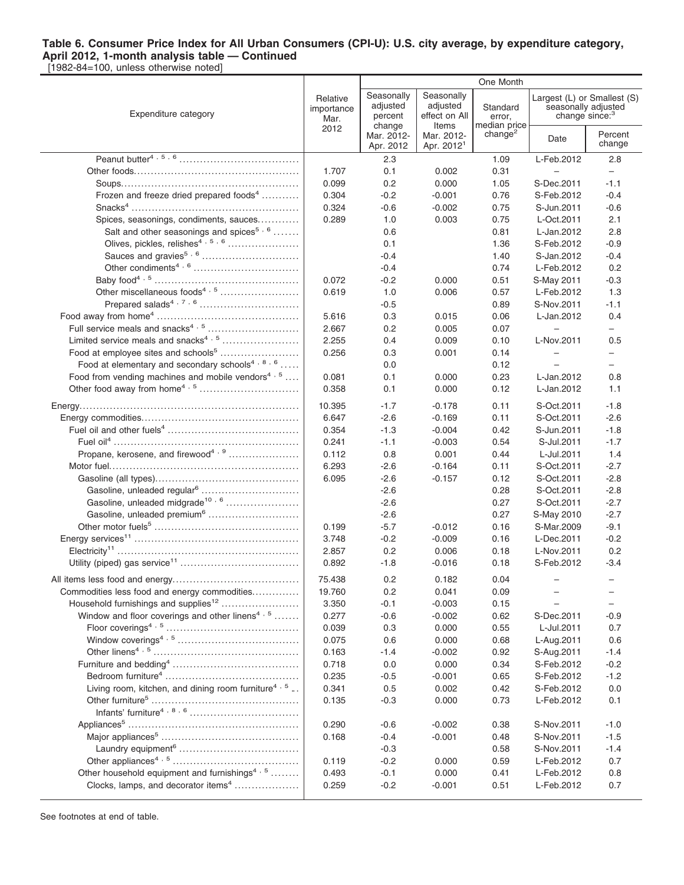[1982-84=100, unless otherwise noted]

|                                                                 |                                | One Month                         |                                                  |                                    |                                                                                  |                          |
|-----------------------------------------------------------------|--------------------------------|-----------------------------------|--------------------------------------------------|------------------------------------|----------------------------------------------------------------------------------|--------------------------|
| Expenditure category                                            | Relative<br>importance<br>Mar. | Seasonally<br>adjusted<br>percent | Seasonally<br>adjusted<br>effect on All<br>Items | Standard<br>error,<br>median price | Largest (L) or Smallest (S)<br>seasonally adjusted<br>change since: <sup>3</sup> |                          |
|                                                                 | 2012                           | change<br>Mar. 2012-<br>Apr. 2012 | Mar. 2012-<br>Apr. 2012 <sup>1</sup>             | change <sup>2</sup>                | Date                                                                             | Percent<br>change        |
|                                                                 |                                | 2.3                               |                                                  | 1.09                               | L-Feb.2012                                                                       | 2.8                      |
|                                                                 | 1.707                          | 0.1                               | 0.002                                            | 0.31                               | $\overline{\phantom{0}}$                                                         | $\overline{\phantom{0}}$ |
|                                                                 | 0.099                          | 0.2                               | 0.000                                            | 1.05                               | S-Dec.2011                                                                       | $-1.1$                   |
| Frozen and freeze dried prepared foods <sup>4</sup>             | 0.304                          | $-0.2$                            | $-0.001$                                         | 0.76                               | S-Feb.2012                                                                       | $-0.4$                   |
|                                                                 | 0.324                          | $-0.6$                            | $-0.002$                                         | 0.75                               | S-Jun.2011                                                                       | $-0.6$                   |
| Spices, seasonings, condiments, sauces                          | 0.289                          | 1.0                               | 0.003                                            | 0.75                               | L-Oct.2011                                                                       | 2.1                      |
| Salt and other seasonings and spices <sup>5, 6</sup>            |                                | 0.6                               |                                                  | 0.81                               | L-Jan.2012                                                                       | 2.8                      |
| Olives, pickles, relishes <sup>4, 5, 6</sup>                    |                                | 0.1                               |                                                  | 1.36                               | S-Feb.2012                                                                       | $-0.9$                   |
| Sauces and gravies <sup>5, 6</sup>                              |                                | $-0.4$                            |                                                  | 1.40                               | S-Jan.2012                                                                       | $-0.4$                   |
|                                                                 |                                | $-0.4$                            |                                                  | 0.74                               | L-Feb.2012                                                                       | 0.2                      |
|                                                                 | 0.072                          | $-0.2$                            | 0.000                                            | 0.51                               | S-May 2011                                                                       | $-0.3$                   |
| Other miscellaneous foods <sup>4, 5</sup>                       | 0.619                          | 1.0                               | 0.006                                            | 0.57                               | L-Feb.2012                                                                       | 1.3                      |
|                                                                 |                                | $-0.5$                            |                                                  | 0.89                               | S-Nov.2011                                                                       | $-1.1$                   |
|                                                                 | 5.616                          | 0.3                               | 0.015                                            | 0.06                               | L-Jan.2012                                                                       | 0.4                      |
| Full service meals and snacks <sup>4, 5</sup>                   | 2.667                          | 0.2                               | 0.005                                            | 0.07                               |                                                                                  | $\overline{\phantom{0}}$ |
| Limited service meals and snacks <sup>4, 5</sup>                | 2.255                          | 0.4                               | 0.009                                            | 0.10                               | L-Nov.2011                                                                       | 0.5                      |
| Food at employee sites and schools <sup>5</sup>                 | 0.256                          | 0.3                               | 0.001                                            | 0.14                               | $\equiv$                                                                         | $\overline{\phantom{0}}$ |
| Food at elementary and secondary schools <sup>4, 8, 6</sup>     |                                | 0.0                               |                                                  | 0.12                               |                                                                                  | $-$                      |
| Food from vending machines and mobile vendors <sup>4, 5</sup>   | 0.081                          | 0.1                               | 0.000                                            | 0.23                               | L-Jan.2012                                                                       | 0.8                      |
|                                                                 | 0.358                          | 0.1                               | 0.000                                            | 0.12                               | L-Jan.2012                                                                       | 1.1                      |
|                                                                 | 10.395                         | $-1.7$                            | $-0.178$                                         | 0.11                               | S-Oct.2011                                                                       | $-1.8$                   |
|                                                                 | 6.647                          | $-2.6$                            | $-0.169$                                         | 0.11                               | S-Oct.2011                                                                       | $-2.6$                   |
|                                                                 | 0.354                          | $-1.3$                            | $-0.004$                                         | 0.42                               | S-Jun.2011                                                                       | $-1.8$                   |
|                                                                 | 0.241                          | $-1.1$                            | $-0.003$                                         | 0.54                               | S-Jul.2011                                                                       | $-1.7$                   |
| Propane, kerosene, and firewood <sup>4, 9</sup>                 | 0.112                          | 0.8                               | 0.001                                            | 0.44                               | L-Jul.2011                                                                       | 1.4                      |
|                                                                 | 6.293                          | $-2.6$                            | $-0.164$                                         | 0.11                               | S-Oct.2011                                                                       | $-2.7$                   |
|                                                                 | 6.095                          | $-2.6$                            | $-0.157$                                         | 0.12                               | S-Oct.2011                                                                       | $-2.8$                   |
| Gasoline, unleaded regular <sup>6</sup>                         |                                | $-2.6$                            |                                                  | 0.28                               | S-Oct.2011                                                                       | $-2.8$                   |
| Gasoline, unleaded midgrade <sup>10, 6</sup>                    |                                | $-2.6$                            |                                                  | 0.27                               | S-Oct.2011                                                                       | $-2.7$                   |
| Gasoline, unleaded premium <sup>6</sup>                         |                                | $-2.6$                            |                                                  | 0.27                               | S-May 2010                                                                       | $-2.7$                   |
|                                                                 | 0.199                          | $-5.7$                            | $-0.012$                                         | 0.16                               | S-Mar.2009                                                                       | $-9.1$                   |
|                                                                 | 3.748                          | $-0.2$                            | $-0.009$                                         | 0.16                               | L-Dec.2011                                                                       | $-0.2$                   |
|                                                                 | 2.857                          | 0.2                               | 0.006                                            | 0.18                               | L-Nov.2011                                                                       | 0.2                      |
|                                                                 | 0.892                          | $-1.8$                            | $-0.016$                                         | 0.18                               | S-Feb.2012                                                                       | $-3.4$                   |
|                                                                 | 75.438                         | 0.2                               | 0.182                                            | 0.04                               |                                                                                  |                          |
| Commodities less food and energy commodities                    | 19.760                         | 0.2                               | 0.041                                            | 0.09                               |                                                                                  |                          |
| Household furnishings and supplies <sup>12</sup>                | 3.350                          | $-0.1$                            | $-0.003$                                         | 0.15                               |                                                                                  | -                        |
| Window and floor coverings and other linens <sup>4, 5</sup>     | 0.277                          | $-0.6$                            | $-0.002$                                         | 0.62                               | S-Dec.2011                                                                       | $-0.9$                   |
|                                                                 | 0.039                          | 0.3                               | 0.000                                            | 0.55                               | L-Jul.2011                                                                       | 0.7                      |
|                                                                 | 0.075                          | 0.6                               | 0.000                                            | 0.68                               | L-Aug.2011                                                                       | 0.6                      |
|                                                                 | 0.163                          | $-1.4$                            | $-0.002$                                         | 0.92                               | S-Aug.2011                                                                       | $-1.4$                   |
|                                                                 | 0.718                          | 0.0                               | 0.000                                            | 0.34                               | S-Feb.2012                                                                       | $-0.2$                   |
|                                                                 | 0.235                          | $-0.5$                            | $-0.001$                                         | 0.65                               | S-Feb.2012                                                                       | $-1.2$                   |
| Living room, kitchen, and dining room furniture <sup>4, 5</sup> | 0.341                          | 0.5                               | 0.002                                            | 0.42                               | S-Feb.2012                                                                       | 0.0                      |
|                                                                 | 0.135                          | $-0.3$                            | 0.000                                            | 0.73                               | L-Feb.2012                                                                       | 0.1                      |
|                                                                 |                                |                                   |                                                  |                                    |                                                                                  |                          |
|                                                                 | 0.290                          | $-0.6$                            | $-0.002$                                         | 0.38                               | S-Nov.2011                                                                       | $-1.0$                   |
|                                                                 | 0.168                          | $-0.4$                            | $-0.001$                                         | 0.48                               | S-Nov.2011                                                                       | $-1.5$                   |
|                                                                 |                                | $-0.3$                            |                                                  | 0.58                               | S-Nov.2011                                                                       | $-1.4$                   |
|                                                                 | 0.119                          | $-0.2$                            | 0.000                                            | 0.59                               | L-Feb.2012                                                                       | 0.7                      |
| Other household equipment and furnishings <sup>4, 5</sup>       | 0.493                          | $-0.1$                            | 0.000                                            | 0.41                               | L-Feb.2012                                                                       | 0.8                      |
| Clocks, lamps, and decorator items <sup>4</sup>                 | 0.259                          | $-0.2$                            | $-0.001$                                         | 0.51                               | L-Feb.2012                                                                       | 0.7                      |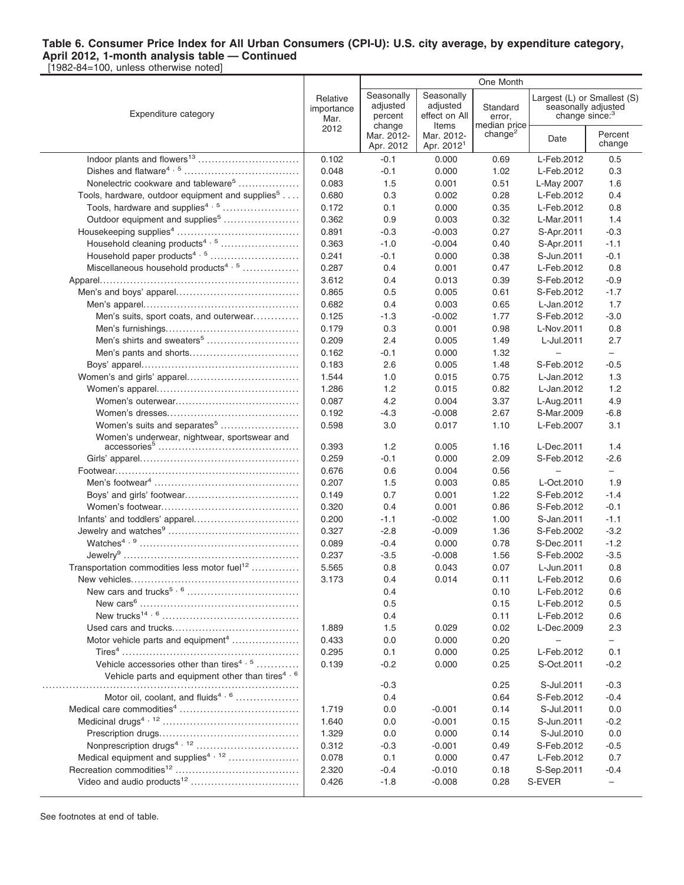[1982-84=100, unless otherwise noted]

|                                                              |                                | One Month                         |                                               |                                     |                                                   |                             |
|--------------------------------------------------------------|--------------------------------|-----------------------------------|-----------------------------------------------|-------------------------------------|---------------------------------------------------|-----------------------------|
| Expenditure category                                         | Relative<br>importance<br>Mar. | Seasonally<br>adjusted<br>percent | Seasonally<br>adjusted<br>effect on All       | Standard<br>error,                  | seasonally adjusted<br>change since: <sup>3</sup> | Largest (L) or Smallest (S) |
|                                                              | 2012                           | change<br>Mar. 2012-<br>Apr. 2012 | Items<br>Mar. 2012-<br>Apr. 2012 <sup>1</sup> | median price<br>change <sup>2</sup> | Date                                              | Percent<br>change           |
|                                                              | 0.102                          | $-0.1$                            | 0.000                                         | 0.69                                | L-Feb.2012                                        | 0.5                         |
|                                                              | 0.048                          | $-0.1$                            | 0.000                                         | 1.02                                | L-Feb.2012                                        | 0.3                         |
| Nonelectric cookware and tableware <sup>5</sup>              | 0.083                          | 1.5                               | 0.001                                         | 0.51                                | L-May 2007                                        | 1.6                         |
| Tools, hardware, outdoor equipment and supplies <sup>5</sup> | 0.680                          | 0.3                               | 0.002                                         | 0.28                                | L-Feb.2012                                        | 0.4                         |
| Tools, hardware and supplies <sup>4, 5</sup>                 | 0.172                          | 0.1                               | 0.000                                         | 0.35                                | L-Feb.2012                                        | 0.8                         |
| Outdoor equipment and supplies <sup>5</sup>                  | 0.362                          | 0.9                               | 0.003                                         | 0.32                                | L-Mar.2011                                        | 1.4                         |
|                                                              | 0.891                          | $-0.3$                            | $-0.003$                                      | 0.27                                | S-Apr.2011                                        | $-0.3$                      |
| Household cleaning products <sup>4, 5</sup>                  | 0.363                          | $-1.0$                            | $-0.004$                                      | 0.40                                | S-Apr.2011                                        | $-1.1$                      |
|                                                              | 0.241                          | $-0.1$                            | 0.000                                         | 0.38                                | S-Jun.2011                                        | $-0.1$                      |
| Miscellaneous household products <sup>4, 5</sup>             | 0.287                          | 0.4                               | 0.001                                         | 0.47                                | L-Feb.2012                                        | 0.8                         |
|                                                              | 3.612                          | 0.4                               | 0.013                                         | 0.39                                | S-Feb.2012                                        | $-0.9$                      |
|                                                              | 0.865                          | 0.5                               | 0.005                                         | 0.61                                | S-Feb.2012                                        | $-1.7$                      |
|                                                              | 0.682                          | 0.4                               | 0.003                                         | 0.65                                | L-Jan.2012                                        | 1.7                         |
| Men's suits, sport coats, and outerwear                      | 0.125                          | $-1.3$                            | $-0.002$                                      | 1.77                                | S-Feb.2012                                        | $-3.0$                      |
|                                                              | 0.179                          | 0.3                               | 0.001                                         | 0.98                                | L-Nov.2011                                        | 0.8                         |
| Men's shirts and sweaters <sup>5</sup>                       | 0.209                          | 2.4                               | 0.005                                         | 1.49                                | L-Jul.2011                                        | 2.7                         |
|                                                              | 0.162                          | $-0.1$                            | 0.000                                         | 1.32                                | $\overline{\phantom{0}}$                          | $-$                         |
|                                                              | 0.183                          | 2.6                               | 0.005                                         | 1.48                                | S-Feb.2012                                        | $-0.5$                      |
|                                                              | 1.544                          | 1.0                               | 0.015                                         | 0.75                                | L-Jan.2012                                        | 1.3                         |
|                                                              | 1.286                          | 1.2                               | 0.015                                         | 0.82                                | L-Jan.2012                                        | 1.2                         |
|                                                              | 0.087                          | 4.2                               | 0.004                                         | 3.37                                | L-Aug.2011                                        | 4.9                         |
|                                                              | 0.192                          | $-4.3$                            | $-0.008$                                      | 2.67                                | S-Mar.2009                                        | $-6.8$                      |
| Women's suits and separates <sup>5</sup>                     | 0.598                          | 3.0                               | 0.017                                         | 1.10                                | L-Feb.2007                                        | 3.1                         |
| Women's underwear, nightwear, sportswear and                 | 0.393                          | 1.2                               | 0.005                                         | 1.16                                | L-Dec.2011                                        | 1.4                         |
|                                                              | 0.259                          | $-0.1$                            | 0.000                                         | 2.09                                | S-Feb.2012                                        | $-2.6$                      |
|                                                              | 0.676                          | 0.6                               | 0.004                                         | 0.56                                |                                                   | $\qquad \qquad -$           |
|                                                              | 0.207                          | 1.5                               | 0.003                                         | 0.85                                | L-Oct.2010                                        | 1.9                         |
|                                                              | 0.149                          | 0.7                               | 0.001                                         | 1.22                                | S-Feb.2012                                        | $-1.4$                      |
|                                                              | 0.320                          | 0.4                               | 0.001                                         | 0.86                                | S-Feb.2012                                        | $-0.1$                      |
|                                                              | 0.200                          | $-1.1$                            | $-0.002$                                      | 1.00                                | S-Jan.2011                                        | $-1.1$                      |
|                                                              | 0.327                          | $-2.8$                            | $-0.009$                                      | 1.36                                | S-Feb.2002                                        | $-3.2$                      |
|                                                              | 0.089                          | $-0.4$                            | 0.000                                         | 0.78                                | S-Dec.2011                                        | $-1.2$                      |
|                                                              | 0.237                          | $-3.5$                            | $-0.008$                                      | 1.56                                | S-Feb.2002                                        | $-3.5$                      |
| Transportation commodities less motor fuel <sup>12</sup>     | 5.565                          | 0.8                               | 0.043                                         | 0.07                                | L-Jun.2011                                        | 0.8                         |
| New vehicles                                                 | 3.173                          | 0.4                               | 0.014                                         | 0.11                                | L-Feb.2012                                        | 0.6                         |
|                                                              |                                | 0.4                               |                                               | 0.10                                | L-Feb.2012                                        | 0.6                         |
|                                                              |                                | 0.5                               |                                               | 0.15                                | L-Feb.2012                                        | 0.5                         |
|                                                              |                                | 0.4                               |                                               | 0.11                                | L-Feb.2012                                        | 0.6                         |
|                                                              | 1.889                          | 1.5                               | 0.029                                         | 0.02                                | L-Dec.2009                                        | 2.3                         |
| Motor vehicle parts and equipment <sup>4</sup>               | 0.433                          | 0.0                               | 0.000                                         | 0.20                                | $\qquad \qquad -$                                 | $\overline{\phantom{0}}$    |
|                                                              | 0.295                          | 0.1                               | 0.000                                         | 0.25                                | L-Feb.2012                                        | 0.1                         |
| Vehicle accessories other than tires <sup>4, 5</sup>         | 0.139                          | $-0.2$                            | 0.000                                         | 0.25                                | S-Oct.2011                                        | $-0.2$                      |
| Vehicle parts and equipment other than tires <sup>4, 6</sup> |                                |                                   |                                               |                                     |                                                   |                             |
|                                                              |                                | $-0.3$                            |                                               | 0.25                                | S-Jul.2011                                        | $-0.3$                      |
| Motor oil, coolant, and fluids <sup>4, 6</sup>               |                                | 0.4                               |                                               | 0.64                                | S-Feb.2012<br>S-Jul.2011                          | $-0.4$                      |
|                                                              | 1.719<br>1.640                 | 0.0                               | $-0.001$<br>$-0.001$                          | 0.14                                | S-Jun.2011                                        | 0.0<br>$-0.2$               |
|                                                              | 1.329                          | 0.0                               |                                               | 0.15                                | S-Jul.2010                                        | 0.0                         |
|                                                              | 0.312                          | 0.0                               | 0.000<br>$-0.001$                             | 0.14<br>0.49                        | S-Feb.2012                                        | $-0.5$                      |
| Medical equipment and supplies <sup>4, 12</sup>              | 0.078                          | $-0.3$<br>0.1                     | 0.000                                         |                                     | L-Feb.2012                                        | 0.7                         |
|                                                              | 2.320                          |                                   | $-0.010$                                      | 0.47                                |                                                   |                             |
|                                                              |                                | $-0.4$                            |                                               | 0.18                                | S-Sep.2011                                        | $-0.4$                      |
|                                                              | 0.426                          | $-1.8$                            | $-0.008$                                      | 0.28                                | S-EVER                                            | -                           |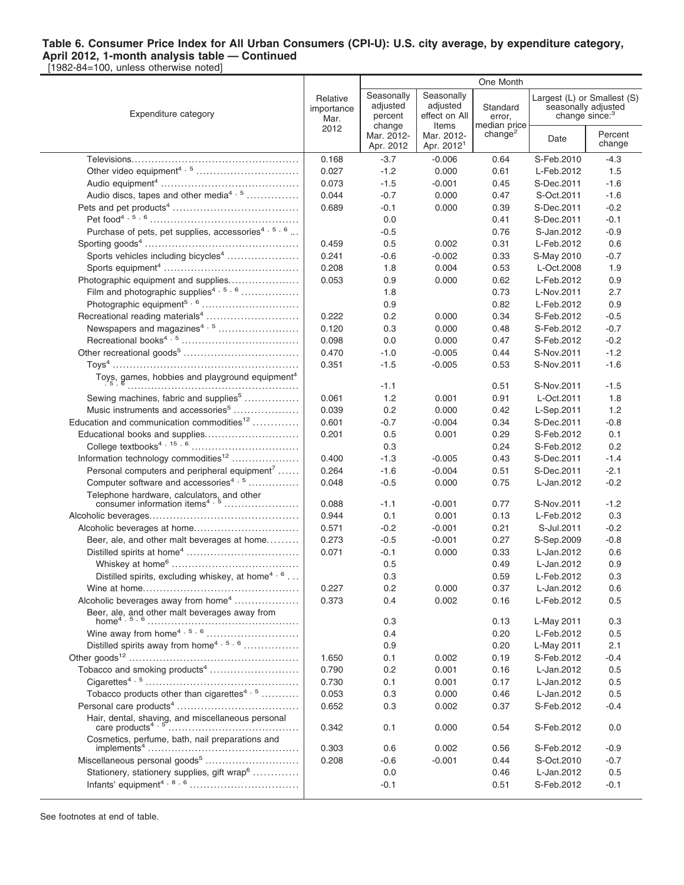|                                                                                          |                                | One Month                         |                                               |                                     |                          |                                                                                  |
|------------------------------------------------------------------------------------------|--------------------------------|-----------------------------------|-----------------------------------------------|-------------------------------------|--------------------------|----------------------------------------------------------------------------------|
| Expenditure category                                                                     | Relative<br>importance<br>Mar. | Seasonally<br>adjusted<br>percent | Seasonally<br>adjusted<br>effect on All       | Standard<br>error,                  |                          | Largest (L) or Smallest (S)<br>seasonally adjusted<br>change since: <sup>3</sup> |
|                                                                                          | 2012                           | change<br>Mar. 2012-<br>Apr. 2012 | Items<br>Mar. 2012-<br>Apr. 2012 <sup>1</sup> | median price<br>change <sup>2</sup> | Date                     | Percent<br>change                                                                |
|                                                                                          | 0.168                          | $-3.7$                            | $-0.006$                                      | 0.64                                | S-Feb.2010               | $-4.3$                                                                           |
|                                                                                          | 0.027                          | $-1.2$                            | 0.000                                         | 0.61                                | L-Feb.2012               | 1.5                                                                              |
|                                                                                          | 0.073                          | $-1.5$                            | -0.001                                        | 0.45                                | S-Dec.2011               | $-1.6$                                                                           |
| Audio discs, tapes and other media <sup>4, 5</sup>                                       | 0.044                          | $-0.7$                            | 0.000                                         | 0.47                                | S-Oct.2011               | $-1.6$                                                                           |
|                                                                                          | 0.689                          | $-0.1$                            | 0.000                                         | 0.39                                | S-Dec.2011               | $-0.2$                                                                           |
|                                                                                          |                                | 0.0                               |                                               | 0.41                                | S-Dec.2011               | $-0.1$                                                                           |
| Purchase of pets, pet supplies, accessories <sup>4, 5, 6</sup>                           |                                | $-0.5$                            |                                               | 0.76                                | S-Jan.2012               | $-0.9$                                                                           |
|                                                                                          | 0.459                          | 0.5                               | 0.002                                         | 0.31                                | L-Feb.2012               | 0.6                                                                              |
| Sports vehicles including bicycles <sup>4</sup>                                          | 0.241                          | $-0.6$                            | $-0.002$                                      | 0.33                                | S-May 2010               | $-0.7$                                                                           |
|                                                                                          | 0.208                          | 1.8                               | 0.004                                         | 0.53                                | L-Oct.2008               | 1.9                                                                              |
| Photographic equipment and supplies                                                      | 0.053                          | 0.9                               | 0.000                                         | 0.62                                | L-Feb.2012               | 0.9                                                                              |
| Film and photographic supplies <sup>4, 5, 6</sup>                                        |                                | 1.8                               |                                               | 0.73                                | L-Nov.2011               | 2.7                                                                              |
|                                                                                          |                                | 0.9                               |                                               | 0.82                                | L-Feb.2012               | 0.9                                                                              |
|                                                                                          | 0.222                          | 0.2                               | 0.000                                         | 0.34                                | S-Feb.2012               | $-0.5$                                                                           |
| Newspapers and magazines <sup>4, 5</sup>                                                 | 0.120                          | 0.3                               | 0.000                                         | 0.48                                | S-Feb.2012               | $-0.7$                                                                           |
|                                                                                          | 0.098                          | 0.0                               | 0.000                                         | 0.47                                | S-Feb.2012               | $-0.2$                                                                           |
|                                                                                          | 0.470                          | $-1.0$                            | $-0.005$                                      | 0.44                                | S-Nov.2011               | $-1.2$                                                                           |
|                                                                                          | 0.351                          | $-1.5$                            | $-0.005$                                      | 0.53                                | S-Nov.2011               | $-1.6$                                                                           |
| Toys, games, hobbies and playground equipment <sup>4</sup>                               |                                |                                   |                                               |                                     |                          |                                                                                  |
|                                                                                          |                                | $-1.1$                            |                                               | 0.51                                | S-Nov.2011               | $-1.5$                                                                           |
| Sewing machines, fabric and supplies <sup>5</sup>                                        | 0.061                          | 1.2                               | 0.001                                         | 0.91                                | L-Oct.2011               | 1.8                                                                              |
| Music instruments and accessories <sup>5</sup>                                           | 0.039                          | 0.2                               | 0.000                                         | 0.42                                | L-Sep.2011               | 1.2                                                                              |
| Education and communication commodities <sup>12</sup>                                    | 0.601                          | $-0.7$                            | $-0.004$                                      | 0.34                                | S-Dec.2011               | $-0.8$                                                                           |
| Educational books and supplies                                                           | 0.201                          | 0.5                               | 0.001                                         | 0.29                                | S-Feb.2012               | 0.1                                                                              |
|                                                                                          |                                | 0.3                               |                                               | 0.24                                | S-Feb.2012               | 0.2                                                                              |
| Information technology commodities <sup>12</sup>                                         | 0.400                          | $-1.3$                            | $-0.005$                                      | 0.43                                | S-Dec.2011               | $-1.4$                                                                           |
| Personal computers and peripheral equipment <sup>7</sup>                                 | 0.264                          | $-1.6$                            | $-0.004$                                      | 0.51                                | S-Dec.2011               | $-2.1$                                                                           |
| Computer software and accessories <sup>4, 5</sup>                                        | 0.048                          | $-0.5$                            | 0.000                                         | 0.75                                | L-Jan.2012               | $-0.2$                                                                           |
| Telephone hardware, calculators, and other<br>consumer information items <sup>4, 5</sup> | 0.088                          | $-1.1$                            | -0.001                                        | 0.77                                | S-Nov.2011               | $-1.2$                                                                           |
|                                                                                          | 0.944                          | 0.1                               | 0.001                                         | 0.13                                | L-Feb.2012               | 0.3                                                                              |
|                                                                                          | 0.571                          | $-0.2$                            | $-0.001$                                      | 0.21                                | S-Jul.2011               | $-0.2$                                                                           |
| Beer, ale, and other malt beverages at home                                              | 0.273                          | $-0.5$                            | $-0.001$                                      | 0.27                                | S-Sep.2009               | $-0.8$                                                                           |
|                                                                                          | 0.071                          | $-0.1$                            | 0.000                                         | 0.33                                | L-Jan.2012               | 0.6                                                                              |
|                                                                                          |                                | 0.5                               |                                               | 0.49                                | L-Jan.2012               | 0.9                                                                              |
| Distilled spirits, excluding whiskey, at home <sup>4, 6</sup> .                          |                                | 0.3                               |                                               | 0.59                                | L-Feb.2012               | 0.3                                                                              |
|                                                                                          | 0.227                          | 0.2                               | 0.000                                         | 0.37                                | L-Jan.2012               | 0.6                                                                              |
| Alcoholic beverages away from home <sup>4</sup>                                          | 0.373                          | 0.4                               | 0.002                                         | 0.16                                | L-Feb.2012               | 0.5                                                                              |
|                                                                                          |                                |                                   |                                               |                                     |                          |                                                                                  |
|                                                                                          |                                | 0.3                               |                                               | 0.13                                | L-May 2011               | 0.3                                                                              |
|                                                                                          |                                | 0.4                               |                                               | 0.20                                | L-Feb.2012               | 0.5                                                                              |
| Distilled spirits away from home <sup>4, 5, 6</sup>                                      |                                | 0.9                               |                                               | 0.20                                | L-May 2011               | 2.1                                                                              |
|                                                                                          | 1.650                          | 0.1                               | 0.002                                         | 0.19                                | S-Feb.2012               | $-0.4$                                                                           |
| Tobacco and smoking products <sup>4</sup>                                                | 0.790                          | 0.2                               | 0.001                                         | 0.16                                | L-Jan.2012               | 0.5                                                                              |
|                                                                                          | 0.730                          | 0.1                               | 0.001                                         | 0.17                                | L-Jan.2012               | 0.5                                                                              |
| Tobacco products other than cigarettes <sup>4, 5</sup>                                   | 0.053                          | 0.3                               | 0.000                                         | 0.46                                | L-Jan.2012               | 0.5                                                                              |
|                                                                                          | 0.652                          | 0.3                               | 0.002                                         | 0.37                                | S-Feb.2012               | $-0.4$                                                                           |
|                                                                                          | 0.342                          | 0.1                               | 0.000                                         | 0.54                                | S-Feb.2012               | 0.0                                                                              |
| Cosmetics, perfume, bath, nail preparations and                                          | 0.303                          |                                   | 0.002                                         |                                     |                          | $-0.9$                                                                           |
| $\textsf{Miscellaneous personal goods}$                                                  |                                | 0.6<br>$-0.6$                     |                                               | 0.56                                | S-Feb.2012<br>S-Oct.2010 | $-0.7$                                                                           |
| Stationery, stationery supplies, gift wrap <sup>6</sup>                                  | 0.208                          | 0.0                               | $-0.001$                                      | 0.44<br>0.46                        | L-Jan.2012               | 0.5                                                                              |
|                                                                                          |                                | $-0.1$                            |                                               | 0.51                                | S-Feb.2012               | $-0.1$                                                                           |
|                                                                                          |                                |                                   |                                               |                                     |                          |                                                                                  |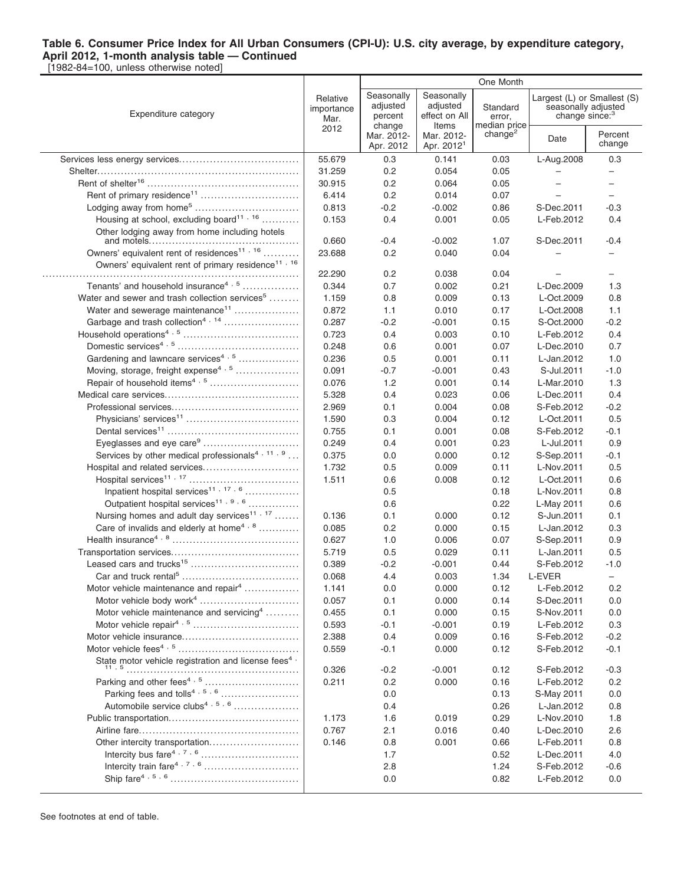|                                                                                                                |                                | One Month                         |                                               |                                     |                                                   |                             |
|----------------------------------------------------------------------------------------------------------------|--------------------------------|-----------------------------------|-----------------------------------------------|-------------------------------------|---------------------------------------------------|-----------------------------|
| Expenditure category                                                                                           | Relative<br>importance<br>Mar. | Seasonally<br>adjusted<br>percent | Seasonally<br>adjusted<br>effect on All       | Standard<br>error,                  | seasonally adjusted<br>change since: <sup>3</sup> | Largest (L) or Smallest (S) |
|                                                                                                                | 2012                           | change<br>Mar. 2012-<br>Apr. 2012 | Items<br>Mar. 2012-<br>Apr. 2012 <sup>1</sup> | median price<br>change <sup>2</sup> | Date                                              | Percent<br>change           |
|                                                                                                                | 55.679                         | 0.3                               | 0.141                                         | 0.03                                | L-Aug.2008                                        | 0.3                         |
|                                                                                                                | 31.259                         | 0.2                               | 0.054                                         | 0.05                                |                                                   |                             |
|                                                                                                                | 30.915                         | 0.2                               | 0.064                                         | 0.05                                |                                                   | $\overline{\phantom{m}}$    |
|                                                                                                                | 6.414                          | 0.2                               | 0.014                                         | 0.07                                |                                                   | $\equiv$                    |
|                                                                                                                | 0.813                          | $-0.2$                            | $-0.002$                                      | 0.86                                | S-Dec.2011                                        | $-0.3$                      |
| Housing at school, excluding board <sup>11, 16</sup>                                                           | 0.153                          | 0.4                               | 0.001                                         | 0.05                                | L-Feb.2012                                        | 0.4                         |
| Other lodging away from home including hotels                                                                  | 0.660                          | $-0.4$                            | $-0.002$                                      | 1.07                                | S-Dec.2011                                        | $-0.4$                      |
| Owners' equivalent rent of residences <sup>11, 16</sup>                                                        | 23.688                         | 0.2                               | 0.040                                         | 0.04                                |                                                   |                             |
| Owners' equivalent rent of primary residence <sup>11, 16</sup>                                                 |                                |                                   |                                               |                                     |                                                   |                             |
|                                                                                                                | 22.290                         | 0.2                               | 0.038                                         | 0.04                                |                                                   |                             |
| Tenants' and household insurance <sup>4, 5</sup>                                                               | 0.344                          | 0.7                               | 0.002                                         | 0.21                                | L-Dec.2009                                        | 1.3                         |
| Water and sewer and trash collection services <sup>5</sup>                                                     | 1.159                          | 0.8                               | 0.009                                         | 0.13                                | L-Oct.2009                                        | 0.8                         |
| Water and sewerage maintenance <sup>11</sup>                                                                   | 0.872                          | 1.1                               | 0.010                                         | 0.17                                | L-Oct.2008                                        | 1.1                         |
| Garbage and trash collection <sup>4, 14</sup>                                                                  | 0.287                          | $-0.2$                            | $-0.001$                                      | 0.15                                | S-Oct.2000                                        | $-0.2$                      |
|                                                                                                                | 0.723                          | 0.4                               | 0.003                                         | 0.10                                | L-Feb.2012                                        | 0.4                         |
|                                                                                                                | 0.248                          | 0.6                               | 0.001                                         | 0.07                                | L-Dec.2010                                        | 0.7                         |
| Gardening and lawncare services <sup>4, 5</sup>                                                                | 0.236                          | 0.5                               | 0.001                                         | 0.11                                | L-Jan.2012                                        | 1.0                         |
| Moving, storage, freight expense <sup>4, 5</sup>                                                               | 0.091                          | $-0.7$                            | $-0.001$                                      | 0.43                                | S-Jul.2011                                        | $-1.0$                      |
|                                                                                                                | 0.076                          | 1.2                               | 0.001                                         | 0.14                                | L-Mar.2010                                        | 1.3                         |
|                                                                                                                |                                |                                   |                                               |                                     |                                                   |                             |
|                                                                                                                | 5.328                          | 0.4                               | 0.023                                         | 0.06                                | L-Dec.2011                                        | 0.4                         |
|                                                                                                                | 2.969                          | 0.1                               | 0.004                                         | 0.08                                | S-Feb.2012                                        | $-0.2$                      |
|                                                                                                                | 1.590                          | 0.3                               | 0.004                                         | 0.12                                | L-Oct.2011                                        | 0.5                         |
|                                                                                                                | 0.755                          | 0.1                               | 0.001                                         | 0.08                                | S-Feb.2012                                        | $-0.1$                      |
| Eyeglasses and eye care <sup>9</sup>                                                                           | 0.249                          | 0.4                               | 0.001                                         | 0.23                                | L-Jul.2011                                        | 0.9                         |
| Services by other medical professionals <sup>4, 11, 9</sup>                                                    | 0.375                          | 0.0                               | 0.000                                         | 0.12                                | S-Sep.2011                                        | $-0.1$                      |
| Hospital and related services                                                                                  | 1.732                          | 0.5                               | 0.009                                         | 0.11                                | L-Nov.2011                                        | 0.5                         |
|                                                                                                                | 1.511                          | 0.6                               | 0.008                                         | 0.12                                | L-Oct.2011                                        | 0.6                         |
| Inpatient hospital services <sup>11, 17, 6</sup>                                                               |                                | 0.5                               |                                               | 0.18                                | L-Nov.2011                                        | 0.8                         |
| Outpatient hospital services <sup>11, 9, 6</sup>                                                               |                                | 0.6                               |                                               | 0.22                                | L-May 2011                                        | 0.6                         |
| Nursing homes and adult day services <sup>11, 17</sup>                                                         | 0.136                          | 0.1                               | 0.000                                         | 0.12                                | S-Jun.2011                                        | 0.1                         |
| Care of invalids and elderly at home <sup>4, 8</sup>                                                           | 0.085                          | 0.2                               | 0.000                                         | 0.15                                | L-Jan.2012                                        | 0.3                         |
|                                                                                                                | 0.627                          | 1.0                               | 0.006                                         | 0.07                                | S-Sep.2011                                        | 0.9                         |
|                                                                                                                | 5.719                          | 0.5                               | 0.029                                         | 0.11                                | L-Jan.2011                                        | 0.5                         |
| Leased cars and trucks <sup>15</sup>                                                                           | 0.389                          | $-0.2$                            | $-0.001$                                      | 0.44                                | S-Feb.2012                                        | $-1.0$                      |
|                                                                                                                | 0.068                          | 4.4                               | 0.003                                         | 1.34                                | L-EVER                                            |                             |
| Motor vehicle maintenance and repair <sup>4</sup>                                                              | 1.141                          | 0.0                               | 0.000                                         | 0.12                                | L-Feb.2012                                        | 0.2                         |
| Motor vehicle body work <sup>4</sup>                                                                           | 0.057                          | 0.1                               | 0.000                                         | 0.14                                | S-Dec.2011                                        | 0.0                         |
| Motor vehicle maintenance and servicing <sup>4</sup>                                                           | 0.455                          | 0.1                               | 0.000                                         | 0.15                                | S-Nov.2011                                        | 0.0                         |
|                                                                                                                | 0.593                          | $-0.1$                            | $-0.001$                                      | 0.19                                | L-Feb.2012                                        | 0.3                         |
|                                                                                                                | 2.388                          | 0.4                               | 0.009                                         | 0.16                                | S-Feb.2012                                        | $-0.2$                      |
|                                                                                                                | 0.559                          | $-0.1$                            | 0.000                                         | 0.12                                | S-Feb.2012                                        | $-0.1$                      |
| State motor vehicle registration and license fees <sup>4</sup> ,                                               | 0.326                          | $-0.2$                            | $-0.001$                                      | 0.12                                | S-Feb.2012                                        | $-0.3$                      |
|                                                                                                                | 0.211                          | 0.2                               | 0.000                                         | 0.16                                | L-Feb.2012                                        | 0.2                         |
|                                                                                                                |                                | 0.0                               |                                               | 0.13                                | S-May 2011                                        | 0.0                         |
| Automobile service clubs <sup>4, 5, 6</sup>                                                                    |                                | 0.4                               |                                               | 0.26                                | L-Jan.2012                                        | 0.8                         |
|                                                                                                                | 1.173                          | 1.6                               | 0.019                                         | 0.29                                | L-Nov.2010                                        | 1.8                         |
|                                                                                                                | 0.767                          | 2.1                               | 0.016                                         | 0.40                                | L-Dec.2010                                        | 2.6                         |
|                                                                                                                |                                |                                   |                                               |                                     |                                                   |                             |
| Other intercity transportation<br>Intercity bus fare $4, 7, 6, \ldots, \ldots, \ldots, \ldots, \ldots, \ldots$ | 0.146                          | 0.8                               | 0.001                                         | 0.66                                | L-Feb.2011                                        | 0.8                         |
|                                                                                                                |                                | 1.7                               |                                               | 0.52                                | L-Dec.2011                                        | 4.0                         |
|                                                                                                                |                                | 2.8                               |                                               | 1.24                                | S-Feb.2012                                        | $-0.6$                      |
|                                                                                                                |                                | 0.0                               |                                               | 0.82                                | L-Feb.2012                                        | 0.0                         |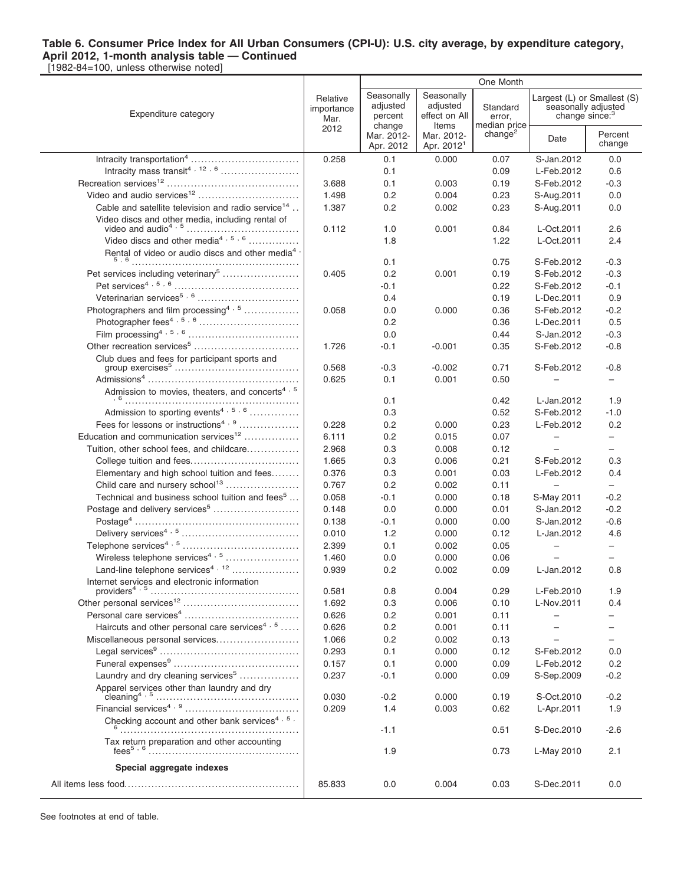[1982-84=100, unless otherwise noted]

|                                                                          | One Month                      |                                   |                                               |                                    |                                                   |                             |
|--------------------------------------------------------------------------|--------------------------------|-----------------------------------|-----------------------------------------------|------------------------------------|---------------------------------------------------|-----------------------------|
| Expenditure category                                                     | Relative<br>importance<br>Mar. | Seasonally<br>adjusted<br>percent | Seasonally<br>adjusted<br>effect on All       | Standard<br>error,<br>median price | seasonally adjusted<br>change since: <sup>3</sup> | Largest (L) or Smallest (S) |
|                                                                          | 2012                           | change<br>Mar. 2012-<br>Apr. 2012 | Items<br>Mar. 2012-<br>Apr. 2012 <sup>1</sup> | change <sup>2</sup>                | Date                                              | Percent<br>change           |
| Intracity transportation <sup>4</sup>                                    | 0.258                          | 0.1                               | 0.000                                         | 0.07                               | S-Jan.2012                                        | 0.0                         |
|                                                                          |                                | 0.1                               |                                               | 0.09                               | L-Feb.2012                                        | 0.6                         |
|                                                                          | 3.688                          | 0.1                               | 0.003                                         | 0.19                               | S-Feb.2012                                        | $-0.3$                      |
|                                                                          | 1.498                          | 0.2                               | 0.004                                         | 0.23                               | S-Aug.2011                                        | 0.0                         |
| Cable and satellite television and radio service <sup>14</sup>           | 1.387                          | 0.2                               | 0.002                                         | 0.23                               | S-Aug.2011                                        | 0.0                         |
|                                                                          |                                |                                   |                                               |                                    |                                                   |                             |
|                                                                          | 0.112                          | 1.0                               | 0.001                                         | 0.84                               | L-Oct.2011                                        | 2.6                         |
| Video discs and other media <sup>4, 5, 6</sup>                           |                                | 1.8                               |                                               | 1.22                               | L-Oct.2011                                        | 2.4                         |
| Rental of video or audio discs and other media <sup>4</sup><br>5,6       |                                | 0.1                               |                                               | 0.75                               | S-Feb.2012                                        | $-0.3$                      |
| Pet services including veterinary <sup>5</sup>                           | 0.405                          | 0.2                               | 0.001                                         | 0.19                               | S-Feb.2012                                        | $-0.3$                      |
|                                                                          |                                | -0.1                              |                                               | 0.22                               | S-Feb.2012                                        | $-0.1$                      |
|                                                                          |                                | 0.4                               |                                               | 0.19                               | L-Dec.2011                                        | 0.9                         |
| Photographers and film processing <sup>4, 5</sup>                        | 0.058                          | 0.0                               | 0.000                                         | 0.36                               | S-Feb.2012                                        | $-0.2$                      |
|                                                                          |                                | 0.2                               |                                               | 0.36                               | L-Dec.2011                                        | 0.5                         |
|                                                                          |                                | 0.0                               |                                               | 0.44                               | S-Jan.2012                                        | $-0.3$                      |
| Other recreation services <sup>5</sup>                                   | 1.726                          | -0.1                              | $-0.001$                                      | 0.35                               | S-Feb.2012                                        | $-0.8$                      |
| Club dues and fees for participant sports and                            |                                |                                   |                                               |                                    |                                                   |                             |
|                                                                          | 0.568                          | $-0.3$                            | $-0.002$                                      | 0.71                               | S-Feb.2012                                        | $-0.8$                      |
|                                                                          | 0.625                          | 0.1                               | 0.001                                         | 0.50                               |                                                   |                             |
| Admission to movies, theaters, and concerts <sup>4, 5</sup>              |                                |                                   |                                               |                                    |                                                   |                             |
| Admission to sporting events <sup>4, 5, 6</sup>                          |                                | 0.1                               |                                               | 0.42                               | L-Jan.2012                                        | 1.9                         |
| Fees for lessons or instructions <sup>4, 9</sup>                         |                                | 0.3                               |                                               | 0.52                               | S-Feb.2012                                        | $-1.0$                      |
| Education and communication services <sup>12</sup>                       | 0.228<br>6.111                 | 0.2<br>0.2                        | 0.000<br>0.015                                | 0.23<br>0.07                       | L-Feb.2012<br>$\qquad \qquad -$                   | 0.2<br>$\qquad \qquad -$    |
| Tuition, other school fees, and childcare                                | 2.968                          | 0.3                               | 0.008                                         | 0.12                               |                                                   | $-$                         |
|                                                                          | 1.665                          | 0.3                               | 0.006                                         | 0.21                               | S-Feb.2012                                        | 0.3                         |
| Elementary and high school tuition and fees                              | 0.376                          | 0.3                               | 0.001                                         | 0.03                               | L-Feb.2012                                        | 0.4                         |
| Child care and nursery school <sup>13</sup>                              | 0.767                          | 0.2                               | 0.002                                         | 0.11                               | $\qquad \qquad -$                                 | $\overline{\phantom{0}}$    |
| Technical and business school tuition and fees <sup>5</sup>              | 0.058                          | -0.1                              | 0.000                                         | 0.18                               | S-May 2011                                        | $-0.2$                      |
|                                                                          | 0.148                          | 0.0                               | 0.000                                         | 0.01                               | S-Jan.2012                                        | $-0.2$                      |
|                                                                          | 0.138                          | $-0.1$                            | 0.000                                         | 0.00                               | S-Jan.2012                                        | $-0.6$                      |
|                                                                          | 0.010                          | 1.2                               | 0.000                                         | 0.12                               | L-Jan.2012                                        | 4.6                         |
|                                                                          | 2.399                          | 0.1                               | 0.002                                         | 0.05                               | $\overline{\phantom{0}}$                          | $\overline{\phantom{0}}$    |
| Wireless telephone services <sup>4, 5</sup>                              | 1.460                          | 0.0                               | 0.000                                         | 0.06                               |                                                   | $\overline{\phantom{0}}$    |
| Land-line telephone services <sup>4, 12</sup>                            | 0.939                          | 0.2                               | 0.002                                         | 0.09                               | L-Jan.2012                                        | 0.8                         |
| Internet services and electronic information                             |                                |                                   |                                               |                                    |                                                   |                             |
|                                                                          | 0.581                          | 0.8                               | 0.004                                         | 0.29                               | L-Feb.2010                                        | 1.9                         |
|                                                                          | 1.692                          | 0.3                               | 0.006                                         | 0.10                               | L-Nov.2011                                        | 0.4                         |
|                                                                          | 0.626                          | 0.2                               | 0.001                                         | 0.11                               |                                                   |                             |
| Haircuts and other personal care services <sup>4, 5</sup>                | 0.626                          | 0.2                               | 0.001                                         | 0.11                               |                                                   |                             |
| Miscellaneous personal services                                          | 1.066                          | 0.2                               | 0.002                                         | 0.13                               |                                                   |                             |
|                                                                          | 0.293                          | 0.1                               | 0.000                                         | 0.12                               | S-Feb.2012                                        | 0.0                         |
|                                                                          | 0.157                          | 0.1                               | 0.000                                         | 0.09                               | L-Feb.2012                                        | 0.2                         |
| Laundry and dry cleaning services <sup>5</sup>                           | 0.237                          | -0.1                              | 0.000                                         | 0.09                               | S-Sep.2009                                        | $-0.2$                      |
| Apparel services other than laundry and dry<br>cleaning <sup>4</sup> , 5 | 0.030                          | $-0.2$                            | 0.000                                         | 0.19                               | S-Oct.2010                                        | $-0.2$                      |
|                                                                          | 0.209                          | 1.4                               | 0.003                                         | 0.62                               | L-Apr.2011                                        | 1.9                         |
| Checking account and other bank services <sup>4, 5,</sup>                |                                |                                   |                                               |                                    |                                                   |                             |
|                                                                          |                                | $-1.1$                            |                                               | 0.51                               | S-Dec.2010                                        | $-2.6$                      |
| Tax return preparation and other accounting                              |                                | 1.9                               |                                               | 0.73                               | L-May 2010                                        | 2.1                         |
| Special aggregate indexes                                                |                                |                                   |                                               |                                    |                                                   |                             |
|                                                                          | 85.833                         | 0.0                               | 0.004                                         | 0.03                               | S-Dec.2011                                        | 0.0                         |
|                                                                          |                                |                                   |                                               |                                    |                                                   |                             |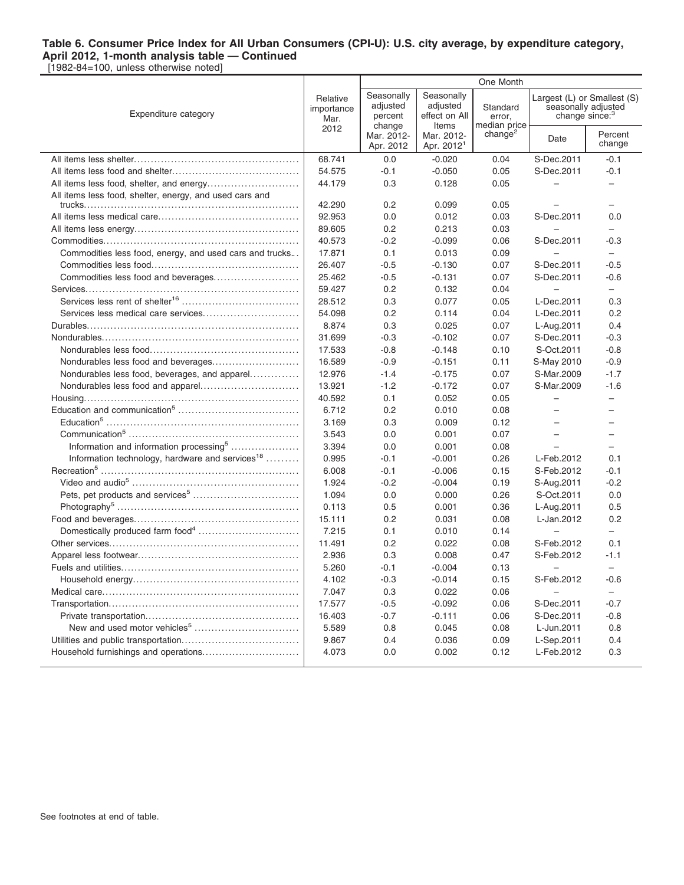|                                                                                                                   |                                | One Month                                   |                                                  |                                    |                                                                                  |                          |  |
|-------------------------------------------------------------------------------------------------------------------|--------------------------------|---------------------------------------------|--------------------------------------------------|------------------------------------|----------------------------------------------------------------------------------|--------------------------|--|
| Expenditure category                                                                                              | Relative<br>importance<br>Mar. | Seasonally<br>adjusted<br>percent<br>change | Seasonally<br>adjusted<br>effect on All<br>Items | Standard<br>error,<br>median price | Largest (L) or Smallest (S)<br>seasonally adjusted<br>change since: <sup>3</sup> |                          |  |
|                                                                                                                   | 2012                           | Mar. 2012-<br>Apr. 2012                     | Mar. 2012-<br>Apr. 2012 <sup>1</sup>             | change <sup>2</sup>                | Date                                                                             | Percent<br>change        |  |
|                                                                                                                   | 68.741                         | 0.0                                         | $-0.020$                                         | 0.04                               | S-Dec.2011                                                                       | $-0.1$                   |  |
|                                                                                                                   | 54.575                         | -0.1                                        | $-0.050$                                         | 0.05                               | S-Dec.2011                                                                       | $-0.1$                   |  |
|                                                                                                                   | 44.179                         | 0.3                                         | 0.128                                            | 0.05                               | $\overline{\phantom{0}}$                                                         | ÷                        |  |
| All items less food, shelter, energy, and used cars and                                                           |                                |                                             |                                                  |                                    |                                                                                  |                          |  |
|                                                                                                                   | 42.290                         | 0.2                                         | 0.099                                            | 0.05                               |                                                                                  |                          |  |
|                                                                                                                   | 92.953                         | 0.0                                         | 0.012                                            | 0.03                               | S-Dec.2011                                                                       | 0.0                      |  |
|                                                                                                                   | 89.605                         | 0.2                                         | 0.213                                            | 0.03                               |                                                                                  | $\overline{\phantom{0}}$ |  |
|                                                                                                                   | 40.573                         | $-0.2$                                      | $-0.099$                                         | 0.06                               | S-Dec.2011                                                                       | $-0.3$                   |  |
| Commodities less food, energy, and used cars and trucks                                                           | 17.871                         | 0.1                                         | 0.013                                            | 0.09                               |                                                                                  | $\overline{\phantom{0}}$ |  |
|                                                                                                                   | 26.407                         | $-0.5$                                      | $-0.130$                                         | 0.07                               | S-Dec.2011                                                                       | $-0.5$                   |  |
| Commodities less food and beverages                                                                               | 25.462<br>59.427               | $-0.5$                                      | $-0.131$<br>0.132                                | 0.07                               | S-Dec.2011                                                                       | $-0.6$                   |  |
|                                                                                                                   |                                | 0.2                                         |                                                  | 0.04                               |                                                                                  | $\overline{\phantom{0}}$ |  |
|                                                                                                                   | 28.512                         | 0.3                                         | 0.077                                            | 0.05                               | L-Dec.2011                                                                       | 0.3                      |  |
|                                                                                                                   | 54.098<br>8.874                | 0.2<br>0.3                                  | 0.114                                            | 0.04<br>0.07                       | L-Dec.2011                                                                       | 0.2<br>0.4               |  |
|                                                                                                                   | 31.699                         | -0.3                                        | 0.025<br>$-0.102$                                | 0.07                               | L-Aug.2011<br>S-Dec.2011                                                         | $-0.3$                   |  |
|                                                                                                                   | 17.533                         | $-0.8$                                      | $-0.148$                                         | 0.10                               | S-Oct.2011                                                                       | $-0.8$                   |  |
|                                                                                                                   | 16.589                         | $-0.9$                                      | $-0.151$                                         | 0.11                               | S-May 2010                                                                       | $-0.9$                   |  |
| Nondurables less food, beverages, and apparel                                                                     | 12.976                         | $-1.4$                                      | $-0.175$                                         | 0.07                               | S-Mar.2009                                                                       | $-1.7$                   |  |
|                                                                                                                   | 13.921                         | $-1.2$                                      | $-0.172$                                         | 0.07                               | S-Mar.2009                                                                       | $-1.6$                   |  |
|                                                                                                                   | 40.592                         | 0.1                                         | 0.052                                            | 0.05                               | $\qquad \qquad -$                                                                | $\equiv$                 |  |
|                                                                                                                   | 6.712                          | 0.2                                         | 0.010                                            | 0.08                               | $-$                                                                              | $\overline{\phantom{0}}$ |  |
|                                                                                                                   | 3.169                          | 0.3                                         | 0.009                                            | 0.12                               |                                                                                  | $\overline{\phantom{0}}$ |  |
|                                                                                                                   | 3.543                          | 0.0                                         | 0.001                                            | 0.07                               |                                                                                  |                          |  |
| Information and information processing <sup>5</sup>                                                               | 3.394                          | 0.0                                         | 0.001                                            | 0.08                               |                                                                                  |                          |  |
| Information technology, hardware and services <sup>18</sup>                                                       | 0.995                          | $-0.1$                                      | $-0.001$                                         | 0.26                               | L-Feb.2012                                                                       | 0.1                      |  |
|                                                                                                                   | 6.008                          | $-0.1$                                      | $-0.006$                                         | 0.15                               | S-Feb.2012                                                                       | $-0.1$                   |  |
|                                                                                                                   | 1.924                          | $-0.2$                                      | $-0.004$                                         | 0.19                               | S-Aug.2011                                                                       | $-0.2$                   |  |
|                                                                                                                   | 1.094                          | 0.0                                         | 0.000                                            | 0.26                               | S-Oct.2011                                                                       | 0.0                      |  |
|                                                                                                                   | 0.113                          | 0.5                                         | 0.001                                            | 0.36                               | L-Aug.2011                                                                       | 0.5                      |  |
|                                                                                                                   | 15.111                         | 0.2                                         | 0.031                                            | 0.08                               | L-Jan.2012                                                                       | 0.2                      |  |
| Domestically produced farm food <sup>4</sup>                                                                      | 7.215                          | 0.1                                         | 0.010                                            | 0.14                               | $\overline{\phantom{0}}$                                                         | -                        |  |
|                                                                                                                   | 11.491                         | 0.2                                         | 0.022                                            | 0.08                               | S-Feb.2012                                                                       | 0.1                      |  |
|                                                                                                                   | 2.936                          | 0.3                                         | 0.008                                            | 0.47                               | S-Feb.2012                                                                       | $-1.1$                   |  |
|                                                                                                                   | 5.260                          | $-0.1$                                      | $-0.004$                                         | 0.13                               | -                                                                                | $\overline{\phantom{0}}$ |  |
| $\label{thm:main} \textbf{Household energy}.\dots.\dots.\dots.\dots.\dots.\dots.\dots.\dots.\dots\dots\dots\dots$ | 4.102                          | $-0.3$                                      | $-0.014$                                         | 0.15                               | S-Feb.2012                                                                       | $-0.6$                   |  |
|                                                                                                                   | 7.047                          | 0.3                                         | 0.022                                            | 0.06                               | -                                                                                | $\overline{\phantom{0}}$ |  |
|                                                                                                                   | 17.577                         | $-0.5$                                      | $-0.092$                                         | 0.06                               | S-Dec.2011                                                                       | $-0.7$                   |  |
|                                                                                                                   | 16.403                         | $-0.7$                                      | $-0.111$                                         | 0.06                               | S-Dec.2011                                                                       | $-0.8$                   |  |
| New and used motor vehicles <sup>5</sup>                                                                          | 5.589                          | 0.8                                         | 0.045                                            | 0.08                               | L-Jun.2011                                                                       | 0.8                      |  |
|                                                                                                                   | 9.867                          | 0.4                                         | 0.036                                            | 0.09                               | L-Sep.2011                                                                       | 0.4                      |  |
| Household furnishings and operations                                                                              | 4.073                          | 0.0                                         | 0.002                                            | 0.12                               | L-Feb.2012                                                                       | 0.3                      |  |
|                                                                                                                   |                                |                                             |                                                  |                                    |                                                                                  |                          |  |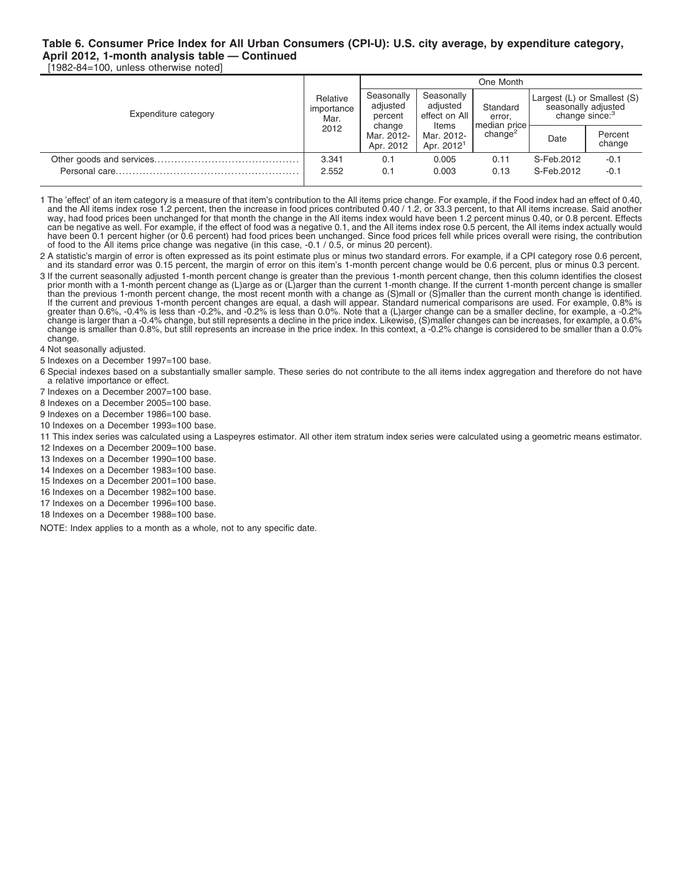[1982-84=100, unless otherwise noted]

|                      |                                        | One Month                         |                                                  |                                                             |                                                                                  |                   |  |
|----------------------|----------------------------------------|-----------------------------------|--------------------------------------------------|-------------------------------------------------------------|----------------------------------------------------------------------------------|-------------------|--|
| Expenditure category | Relative<br>importance<br>Mar.<br>2012 | Seasonally<br>adjusted<br>percent | Seasonally<br>adjusted<br>effect on All<br>Items | Standard<br>error.<br> median price <br>change <sup>2</sup> | Largest (L) or Smallest (S)<br>seasonally adjusted<br>change since: <sup>3</sup> |                   |  |
|                      |                                        | change<br>Mar. 2012-<br>Apr. 2012 | Mar. 2012-<br>Apr. 2012 <sup>1</sup>             |                                                             | Date                                                                             | Percent<br>change |  |
|                      | 3.341                                  | 0.1                               | 0.005                                            | 0.11                                                        | S-Feb.2012                                                                       | $-0.1$            |  |
|                      | 2.552                                  | 0.1                               | 0.003                                            | 0.13                                                        | S-Feb.2012                                                                       | $-0.1$            |  |

1 The 'effect' of an item category is a measure of that item's contribution to the All items price change. For example, if the Food index had an effect of 0.40,<br>and the All items index rose 1.2 percent, then the increase i way, had food prices been unchanged for that month the change in the All items index would have been 1.2 percent minus 0.40, or 0.8 percent. Effects can be negative as well. For example, if the effect of food was a negative 0.1, and the All items index rose 0.5 percent, the All items index actually would have been 0.1 percent higher (or 0.6 percent) had food prices been unchanged. Since food prices fell while prices overall were rising, the contribution of food to the All items price change was negative (in this case, -0.1 / 0.5, or minus 20 percent).

2 A statistic's margin of error is often expressed as its point estimate plus or minus two standard errors. For example, if a CPI category rose 0.6 percent, and its standard error was 0.15 percent, the margin of error on this item's 1-month percent change would be 0.6 percent, plus or minus 0.3 percent.

3 If the current seasonally adjusted 1-month percent change is greater than the previous 1-month percent change, then this column identifies the closest prior month with a 1-month percent change as (L)arge as or (L)arger than the current 1-month change. If the current 1-month percent change is smaller<br>than the previous 1-month percent change, the most recent month with a c If the current and previous 1-month percent changes are equal, a dash will appear. Standard numerical comparisons are used. For example, 0.8% is greater than 0.6%, -0.4% is less than -0.2%, and -0.2% is less than 0.0%. Note that a (L)arger change can be a smaller decline, for example, a -0.2% change is larger than a -0.4% change, but still represents a decline in the price index. Likewise, (S)maller changes can be increases, for example, a 0.6% change is smaller than 0.8%, but still represents an increase in the price index. In this context, a -0.2% change is considered to be smaller than a 0.0% change.

4 Not seasonally adjusted.

5 Indexes on a December 1997=100 base.

- 6 Special indexes based on a substantially smaller sample. These series do not contribute to the all items index aggregation and therefore do not have a relative importance or effect.
- 7 Indexes on a December 2007=100 base.
- 8 Indexes on a December 2005=100 base.
- 9 Indexes on a December 1986=100 base.
- 10 Indexes on a December 1993=100 base.
- 11 This index series was calculated using a Laspeyres estimator. All other item stratum index series were calculated using a geometric means estimator.
- 12 Indexes on a December 2009=100 base.
- 13 Indexes on a December 1990=100 base.
- 14 Indexes on a December 1983=100 base.
- 15 Indexes on a December 2001=100 base.
- 16 Indexes on a December 1982=100 base.
- 17 Indexes on a December 1996=100 base.
- 18 Indexes on a December 1988=100 base.

NOTE: Index applies to a month as a whole, not to any specific date.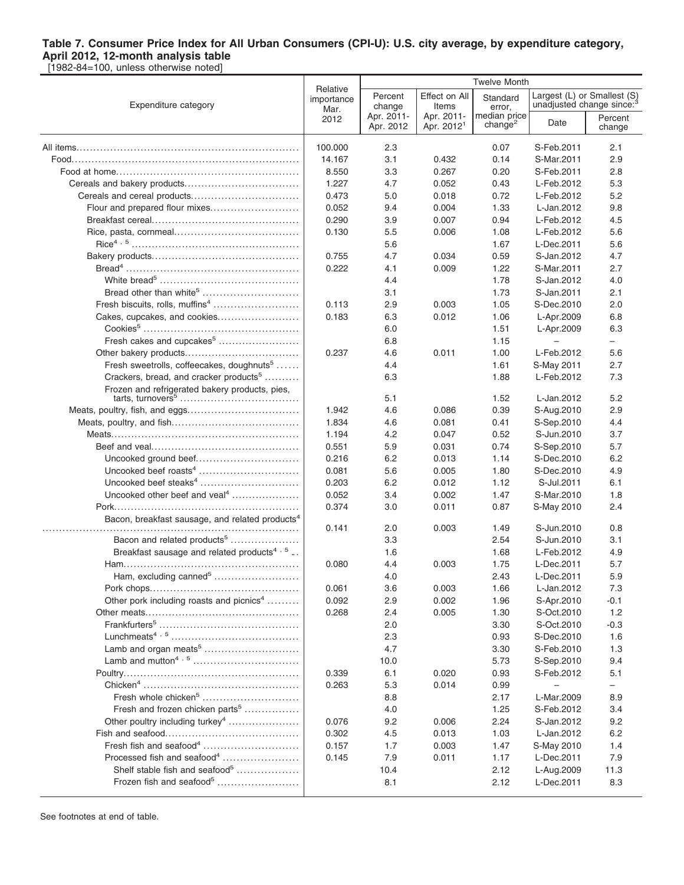|                                                             | Relative           |                         |                                      | <b>Twelve Month</b>                 |            |                                                         |  |
|-------------------------------------------------------------|--------------------|-------------------------|--------------------------------------|-------------------------------------|------------|---------------------------------------------------------|--|
| Expenditure category                                        | importance<br>Mar. | Percent<br>change       | Effect on All<br>Items               | Standard<br>error,                  |            | Largest (L) or Smallest (S)<br>unadjusted change since: |  |
|                                                             | 2012               | Apr. 2011-<br>Apr. 2012 | Apr. 2011-<br>Apr. 2012 <sup>1</sup> | median price<br>change <sup>2</sup> | Date       | Percent<br>change                                       |  |
|                                                             | 100.000            | 2.3                     |                                      | 0.07                                | S-Feb.2011 | 2.1                                                     |  |
|                                                             | 14.167             | 3.1                     | 0.432                                | 0.14                                | S-Mar.2011 | 2.9                                                     |  |
|                                                             | 8.550              | 3.3                     | 0.267                                | 0.20                                | S-Feb.2011 | 2.8                                                     |  |
|                                                             | 1.227              | 4.7                     | 0.052                                | 0.43                                | L-Feb.2012 | 5.3                                                     |  |
|                                                             | 0.473              | 5.0                     | 0.018                                | 0.72                                | L-Feb.2012 | 5.2                                                     |  |
| Flour and prepared flour mixes                              | 0.052              | 9.4                     | 0.004                                | 1.33                                | L-Jan.2012 | 9.8                                                     |  |
|                                                             | 0.290              | 3.9                     | 0.007                                | 0.94                                | L-Feb.2012 | 4.5                                                     |  |
|                                                             | 0.130              | 5.5                     | 0.006                                | 1.08                                | L-Feb.2012 | 5.6                                                     |  |
|                                                             |                    | 5.6                     |                                      | 1.67                                | L-Dec.2011 | 5.6                                                     |  |
|                                                             | 0.755              | 4.7                     | 0.034                                | 0.59                                | S-Jan.2012 | 4.7                                                     |  |
|                                                             | 0.222              | 4.1                     | 0.009                                | 1.22                                | S-Mar.2011 | 2.7                                                     |  |
|                                                             |                    | 4.4                     |                                      | 1.78                                | S-Jan.2012 | 4.0                                                     |  |
| Bread other than white <sup>5</sup>                         |                    | 3.1                     |                                      | 1.73                                | S-Jan.2011 | 2.1                                                     |  |
| Fresh biscuits, rolls, muffins <sup>4</sup>                 | 0.113              | 2.9                     | 0.003                                | 1.05                                | S-Dec.2010 | 2.0                                                     |  |
| Cakes, cupcakes, and cookies                                | 0.183              | 6.3                     | 0.012                                | 1.06                                | L-Apr.2009 | 6.8                                                     |  |
|                                                             |                    | 6.0                     |                                      | 1.51                                | L-Apr.2009 | 6.3                                                     |  |
| Fresh cakes and cupcakes <sup>5</sup>                       |                    | 6.8                     |                                      | 1.15                                |            |                                                         |  |
|                                                             | 0.237              | 4.6                     | 0.011                                | 1.00                                | L-Feb.2012 | 5.6                                                     |  |
| Fresh sweetrolls, coffeecakes, doughnuts <sup>5</sup>       |                    | 4.4                     |                                      | 1.61                                | S-May 2011 | 2.7                                                     |  |
| Crackers, bread, and cracker products <sup>5</sup>          |                    | 6.3                     |                                      | 1.88                                | L-Feb.2012 | 7.3                                                     |  |
| Frozen and refrigerated bakery products, pies,              |                    | 5.1                     |                                      | 1.52                                | L-Jan.2012 | 5.2                                                     |  |
|                                                             | 1.942              | 4.6                     | 0.086                                | 0.39                                | S-Aug.2010 | 2.9                                                     |  |
|                                                             | 1.834              | 4.6                     | 0.081                                | 0.41                                | S-Sep.2010 | 4.4                                                     |  |
|                                                             | 1.194              | 4.2                     | 0.047                                | 0.52                                | S-Jun.2010 | 3.7                                                     |  |
|                                                             | 0.551              | 5.9                     | 0.031                                | 0.74                                | S-Sep.2010 | 5.7                                                     |  |
|                                                             | 0.216              | 6.2                     | 0.013                                | 1.14                                | S-Dec.2010 | 6.2                                                     |  |
|                                                             | 0.081              | 5.6                     | 0.005                                | 1.80                                | S-Dec.2010 | 4.9                                                     |  |
|                                                             | 0.203              | 6.2                     | 0.012                                | 1.12                                | S-Jul.2011 | 6.1                                                     |  |
| Uncooked other beef and veal <sup>4</sup>                   | 0.052              | 3.4                     | 0.002                                | 1.47                                | S-Mar.2010 | 1.8                                                     |  |
|                                                             | 0.374              | 3.0                     | 0.011                                | 0.87                                | S-May 2010 | 2.4                                                     |  |
| Bacon, breakfast sausage, and related products <sup>4</sup> |                    |                         |                                      |                                     |            |                                                         |  |
|                                                             | 0.141              | 2.0                     | 0.003                                | 1.49                                | S-Jun.2010 | 0.8                                                     |  |
| Bacon and related products <sup>5</sup>                     |                    | 3.3                     |                                      | 2.54                                | S-Jun.2010 | 3.1                                                     |  |
| Breakfast sausage and related products <sup>4, 5</sup> .    |                    | 1.6                     |                                      | 1.68                                | L-Feb.2012 | 4.9                                                     |  |
|                                                             | 0.080              | 4.4                     | 0.003                                | 1.75                                | L-Dec.2011 | 5.7                                                     |  |
|                                                             |                    | 4.0                     |                                      | 2.43                                | L-Dec.2011 | 5.9                                                     |  |
|                                                             | 0.061              | 3.6                     | 0.003                                | 1.66                                | L-Jan.2012 | 7.3                                                     |  |
| Other pork including roasts and picnics <sup>4</sup>        | 0.092              | 2.9                     | 0.002                                | 1.96                                | S-Apr.2010 | $-0.1$                                                  |  |
|                                                             | 0.268              | 2.4                     | 0.005                                | 1.30                                | S-Oct.2010 | 1.2                                                     |  |
|                                                             |                    | 2.0                     |                                      | 3.30                                | S-Oct.2010 | $-0.3$                                                  |  |
|                                                             |                    | 2.3                     |                                      | 0.93                                | S-Dec.2010 | 1.6                                                     |  |
| Lamb and organ meats <sup>5</sup>                           |                    | 4.7                     |                                      | 3.30                                | S-Feb.2010 | 1.3                                                     |  |
|                                                             |                    | 10.0                    |                                      | 5.73                                | S-Sep.2010 | 9.4                                                     |  |
|                                                             | 0.339              | 6.1                     | 0.020                                | 0.93                                | S-Feb.2012 | 5.1                                                     |  |
|                                                             | 0.263              | 5.3                     | 0.014                                | 0.99                                |            | $\overline{\phantom{0}}$                                |  |
| Fresh whole chicken <sup>5</sup>                            |                    | 8.8                     |                                      | 2.17                                | L-Mar.2009 | 8.9                                                     |  |
| Fresh and frozen chicken parts <sup>5</sup>                 |                    | 4.0                     |                                      | 1.25                                | S-Feb.2012 | 3.4                                                     |  |
| Other poultry including turkey <sup>4</sup>                 | 0.076              | 9.2                     | 0.006                                | 2.24                                | S-Jan.2012 | 9.2                                                     |  |
|                                                             | 0.302              | 4.5                     | 0.013                                | 1.03                                | L-Jan.2012 | 6.2                                                     |  |
|                                                             | 0.157              | 1.7                     | 0.003                                | 1.47                                | S-May 2010 | 1.4                                                     |  |
| Processed fish and seafood <sup>4</sup>                     | 0.145              | 7.9                     | 0.011                                | 1.17                                | L-Dec.2011 | 7.9                                                     |  |
| Shelf stable fish and seafood <sup>5</sup>                  |                    | 10.4                    |                                      | 2.12                                | L-Aug.2009 | 11.3                                                    |  |
| Frozen fish and seafood <sup>5</sup>                        |                    | 8.1                     |                                      | 2.12                                | L-Dec.2011 | 8.3                                                     |  |
|                                                             |                    |                         |                                      |                                     |            |                                                         |  |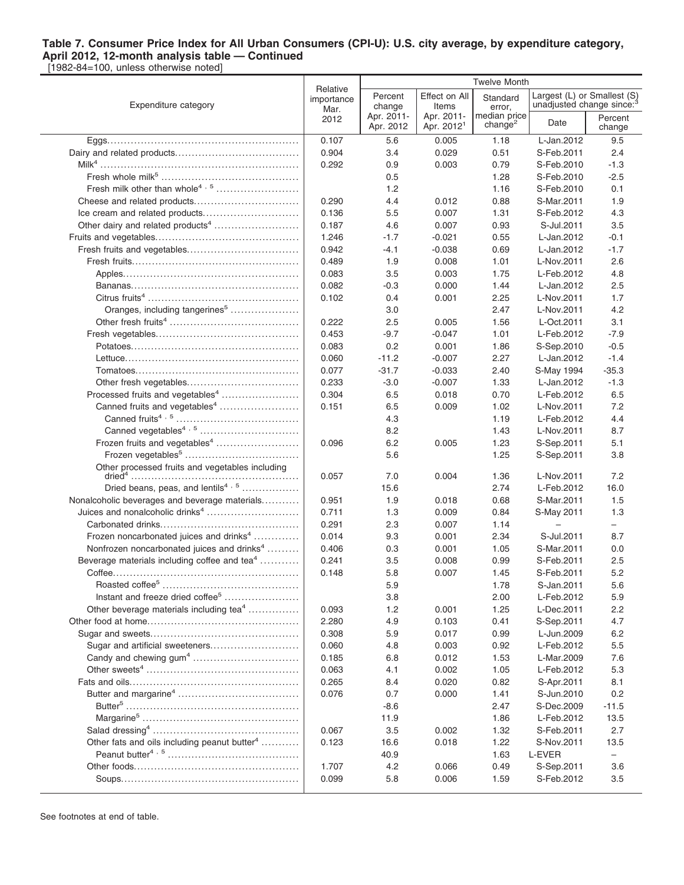|                                                          | Relative           |                         |                                      | <b>Twelve Month</b>                 |            |                                                                      |  |
|----------------------------------------------------------|--------------------|-------------------------|--------------------------------------|-------------------------------------|------------|----------------------------------------------------------------------|--|
| Expenditure category                                     | importance<br>Mar. | Percent<br>change       | Effect on All<br>Items               | Standard<br>error,                  |            | Largest (L) or Smallest (S)<br>unadjusted change since: <sup>3</sup> |  |
|                                                          | 2012               | Apr. 2011-<br>Apr. 2012 | Apr. 2011-<br>Apr. 2012 <sup>1</sup> | median price<br>change <sup>2</sup> | Date       | Percent<br>change                                                    |  |
|                                                          | 0.107              | 5.6                     | 0.005                                | 1.18                                | L-Jan.2012 | 9.5                                                                  |  |
|                                                          | 0.904              | 3.4                     | 0.029                                | 0.51                                | S-Feb.2011 | 2.4                                                                  |  |
|                                                          | 0.292              | 0.9                     | 0.003                                | 0.79                                | S-Feb.2010 | $-1.3$                                                               |  |
|                                                          |                    | 0.5                     |                                      | 1.28                                | S-Feb.2010 | $-2.5$                                                               |  |
| Fresh milk other than whole <sup>4, 5</sup>              |                    | 1.2                     |                                      | 1.16                                | S-Feb.2010 | 0.1                                                                  |  |
|                                                          | 0.290              | 4.4                     | 0.012                                | 0.88                                | S-Mar.2011 | 1.9                                                                  |  |
|                                                          | 0.136              | 5.5                     | 0.007                                | 1.31                                | S-Feb.2012 | 4.3                                                                  |  |
| Other dairy and related products <sup>4</sup>            | 0.187              | 4.6                     | 0.007                                | 0.93                                | S-Jul.2011 | 3.5                                                                  |  |
|                                                          | 1.246              | $-1.7$                  | $-0.021$                             | 0.55                                | L-Jan.2012 | $-0.1$                                                               |  |
|                                                          | 0.942              | -4.1                    | $-0.038$                             | 0.69                                | L-Jan.2012 | $-1.7$                                                               |  |
|                                                          | 0.489              | 1.9                     | 0.008                                | 1.01                                | L-Nov.2011 | 2.6                                                                  |  |
|                                                          | 0.083              | 3.5                     | 0.003                                | 1.75                                | L-Feb.2012 | 4.8                                                                  |  |
|                                                          | 0.082              | -0.3                    | 0.000                                | 1.44                                | L-Jan.2012 | 2.5                                                                  |  |
|                                                          | 0.102              | 0.4                     | 0.001                                | 2.25                                | L-Nov.2011 | 1.7                                                                  |  |
| Oranges, including tangerines <sup>5</sup>               |                    | 3.0                     |                                      | 2.47                                | L-Nov.2011 | 4.2                                                                  |  |
|                                                          | 0.222              | 2.5                     | 0.005                                | 1.56                                | L-Oct.2011 | 3.1                                                                  |  |
|                                                          | 0.453              | $-9.7$                  | $-0.047$                             | 1.01                                | L-Feb.2012 | $-7.9$                                                               |  |
|                                                          | 0.083              | 0.2                     | 0.001                                | 1.86                                | S-Sep.2010 | $-0.5$                                                               |  |
|                                                          | 0.060              | $-11.2$                 | $-0.007$                             | 2.27                                | L-Jan.2012 | $-1.4$                                                               |  |
|                                                          | 0.077              | $-31.7$                 | $-0.033$                             | 2.40                                | S-May 1994 | $-35.3$                                                              |  |
|                                                          | 0.233              | $-3.0$                  | $-0.007$                             | 1.33                                | L-Jan.2012 | $-1.3$                                                               |  |
| Processed fruits and vegetables <sup>4</sup>             | 0.304              | 6.5                     | 0.018                                | 0.70                                | L-Feb.2012 | 6.5                                                                  |  |
| Canned fruits and vegetables <sup>4</sup>                | 0.151              | 6.5                     | 0.009                                | 1.02                                | L-Nov.2011 | 7.2                                                                  |  |
|                                                          |                    | 4.3                     |                                      | 1.19                                | L-Feb.2012 | 4.4                                                                  |  |
| Canned vegetables <sup>4, 5</sup>                        |                    | 8.2                     |                                      | 1.43                                | L-Nov.2011 | 8.7                                                                  |  |
| Frozen fruits and vegetables <sup>4</sup>                | 0.096              | 6.2                     | 0.005                                | 1.23                                | S-Sep.2011 | 5.1                                                                  |  |
|                                                          |                    | 5.6                     |                                      | 1.25                                | S-Sep.2011 | 3.8                                                                  |  |
| Other processed fruits and vegetables including          | 0.057              | 7.0                     | 0.004                                | 1.36                                | L-Nov.2011 | 7.2                                                                  |  |
| Dried beans, peas, and lentils <sup>4, 5</sup>           |                    | 15.6                    |                                      | 2.74                                | L-Feb.2012 | 16.0                                                                 |  |
| Nonalcoholic beverages and beverage materials            | 0.951              | 1.9                     | 0.018                                | 0.68                                | S-Mar.2011 | 1.5                                                                  |  |
| Juices and nonalcoholic drinks <sup>4</sup>              | 0.711              | 1.3                     | 0.009                                | 0.84                                | S-May 2011 | 1.3                                                                  |  |
|                                                          | 0.291              | 2.3                     | 0.007                                | 1.14                                |            | $\overline{\phantom{0}}$                                             |  |
| Frozen noncarbonated juices and drinks <sup>4</sup>      | 0.014              | 9.3                     | 0.001                                | 2.34                                | S-Jul.2011 | 8.7                                                                  |  |
| Nonfrozen noncarbonated juices and drinks <sup>4</sup>   | 0.406              | 0.3                     | 0.001                                | 1.05                                | S-Mar.2011 | 0.0                                                                  |  |
| Beverage materials including coffee and tea <sup>4</sup> | 0.241              | 3.5                     | 0.008                                | 0.99                                | S-Feb.2011 | 2.5                                                                  |  |
|                                                          | 0.148              | 5.8                     | 0.007                                | 1.45                                | S-Feb.2011 | 5.2                                                                  |  |
|                                                          |                    | 5.9                     |                                      | 1.78                                | S-Jan.2011 | 5.6                                                                  |  |
| Instant and freeze dried coffee <sup>5</sup>             |                    | 3.8                     |                                      | 2.00                                | L-Feb.2012 | 5.9                                                                  |  |
| Other beverage materials including tea <sup>4</sup>      | 0.093              | 1.2                     | 0.001                                | 1.25                                | L-Dec.2011 | 2.2                                                                  |  |
|                                                          | 2.280              | 4.9                     | 0.103                                | 0.41                                | S-Sep.2011 | 4.7                                                                  |  |
|                                                          | 0.308              | 5.9                     | 0.017                                | 0.99                                | L-Jun.2009 | 6.2                                                                  |  |
| Sugar and artificial sweeteners                          | 0.060              | 4.8                     | 0.003                                | 0.92                                | L-Feb.2012 | 5.5                                                                  |  |
| Candy and chewing gum <sup>4</sup>                       | 0.185              | 6.8                     | 0.012                                | 1.53                                | L-Mar.2009 | 7.6                                                                  |  |
|                                                          | 0.063              | 4.1                     | 0.002                                | 1.05                                | L-Feb.2012 | 5.3                                                                  |  |
|                                                          | 0.265              | 8.4                     | 0.020                                | 0.82                                | S-Apr.2011 | 8.1                                                                  |  |
|                                                          | 0.076              | 0.7                     | 0.000                                | 1.41                                | S-Jun.2010 | 0.2                                                                  |  |
|                                                          |                    | -8.6                    |                                      | 2.47                                | S-Dec.2009 | $-11.5$                                                              |  |
|                                                          |                    | 11.9                    |                                      | 1.86                                | L-Feb.2012 | 13.5                                                                 |  |
|                                                          | 0.067              | 3.5                     | 0.002                                | 1.32                                | S-Feb.2011 | 2.7                                                                  |  |
| Other fats and oils including peanut butter <sup>4</sup> | 0.123              | 16.6                    | 0.018                                | 1.22                                | S-Nov.2011 | 13.5                                                                 |  |
|                                                          |                    | 40.9                    |                                      | 1.63                                | L-EVER     | -                                                                    |  |
|                                                          | 1.707              | 4.2                     | 0.066                                | 0.49                                | S-Sep.2011 | 3.6                                                                  |  |
|                                                          | 0.099              | 5.8                     | 0.006                                | 1.59                                | S-Feb.2012 | 3.5                                                                  |  |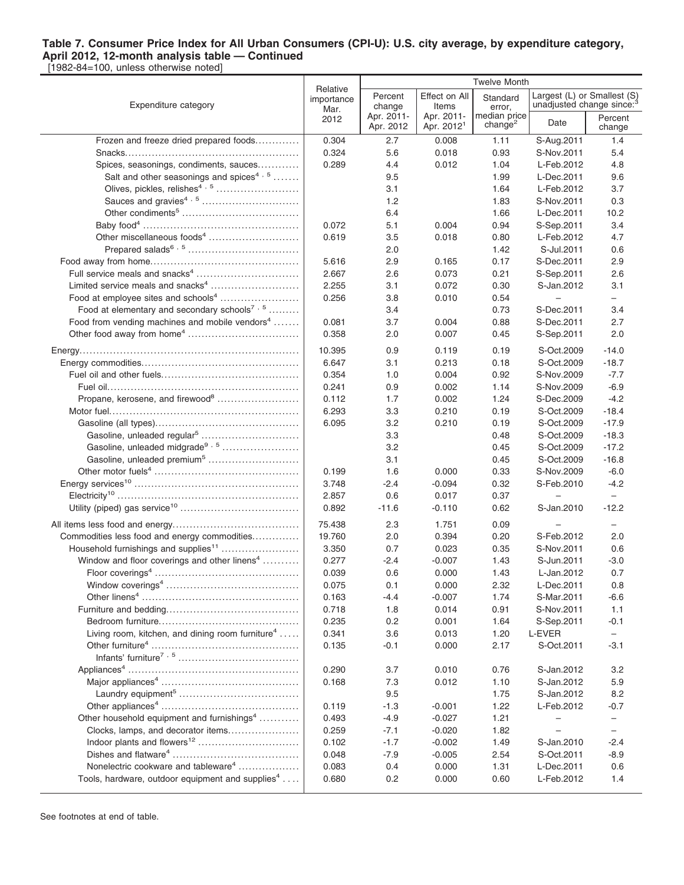|                                                                                                             |                                | <b>Twelve Month</b>     |                                      |                                     |                                        |                                                                      |
|-------------------------------------------------------------------------------------------------------------|--------------------------------|-------------------------|--------------------------------------|-------------------------------------|----------------------------------------|----------------------------------------------------------------------|
| Expenditure category                                                                                        | Relative<br>importance<br>Mar. | Percent<br>change       | Effect on All<br>Items               | Standard<br>error,                  |                                        | Largest (L) or Smallest (S)<br>unadjusted change since: <sup>3</sup> |
|                                                                                                             | 2012                           | Apr. 2011-<br>Apr. 2012 | Apr. 2011-<br>Apr. 2012 <sup>1</sup> | median price<br>change <sup>2</sup> | Date                                   | Percent<br>change                                                    |
| Frozen and freeze dried prepared foods                                                                      | 0.304                          | 2.7                     | 0.008                                | 1.11                                | S-Aug.2011                             | 1.4                                                                  |
|                                                                                                             | 0.324                          | 5.6                     | 0.018                                | 0.93                                | S-Nov.2011                             | 5.4                                                                  |
| Spices, seasonings, condiments, sauces                                                                      | 0.289                          | 4.4                     | 0.012                                | 1.04                                | L-Feb.2012                             | 4.8                                                                  |
| Salt and other seasonings and spices <sup>4, 5</sup>                                                        |                                | 9.5                     |                                      | 1.99                                | L-Dec.2011                             | 9.6                                                                  |
| Olives, pickles, relishes <sup>4, 5</sup>                                                                   |                                | 3.1                     |                                      | 1.64                                | L-Feb.2012                             | 3.7                                                                  |
|                                                                                                             |                                | 1.2                     |                                      | 1.83                                | S-Nov.2011                             | 0.3                                                                  |
|                                                                                                             |                                | 6.4                     |                                      | 1.66                                | L-Dec.2011                             | 10.2                                                                 |
|                                                                                                             | 0.072                          | 5.1                     | 0.004                                | 0.94                                | S-Sep.2011                             | 3.4                                                                  |
|                                                                                                             | 0.619                          | 3.5                     | 0.018                                | 0.80                                | L-Feb.2012                             | 4.7                                                                  |
|                                                                                                             |                                | 2.0                     |                                      | 1.42                                | S-Jul.2011                             | 0.6                                                                  |
|                                                                                                             | 5.616                          | 2.9                     | 0.165                                | 0.17                                | S-Dec.2011                             | 2.9                                                                  |
|                                                                                                             | 2.667                          | 2.6                     | 0.073                                | 0.21                                | S-Sep.2011                             | 2.6                                                                  |
| Limited service meals and snacks <sup>4</sup>                                                               | 2.255                          | 3.1                     | 0.072                                | 0.30                                | S-Jan.2012<br>$\overline{\phantom{0}}$ | 3.1                                                                  |
| Food at employee sites and schools <sup>4</sup><br>Food at elementary and secondary schools <sup>7, 5</sup> | 0.256                          | 3.8<br>3.4              | 0.010                                | 0.54<br>0.73                        | S-Dec.2011                             | $\overline{\phantom{0}}$<br>3.4                                      |
| Food from vending machines and mobile vendors <sup>4</sup>                                                  | 0.081                          | 3.7                     | 0.004                                | 0.88                                | S-Dec.2011                             | 2.7                                                                  |
|                                                                                                             | 0.358                          | 2.0                     | 0.007                                | 0.45                                | S-Sep.2011                             | 2.0                                                                  |
|                                                                                                             |                                |                         |                                      |                                     |                                        |                                                                      |
|                                                                                                             | 10.395                         | 0.9                     | 0.119                                | 0.19                                | S-Oct.2009                             | $-14.0$                                                              |
|                                                                                                             | 6.647                          | 3.1                     | 0.213                                | 0.18                                | S-Oct.2009                             | $-18.7$                                                              |
|                                                                                                             | 0.354<br>0.241                 | 1.0<br>0.9              | 0.004<br>0.002                       | 0.92<br>1.14                        | S-Nov.2009<br>S-Nov.2009               | $-7.7$<br>$-6.9$                                                     |
| Propane, kerosene, and firewood <sup>8</sup>                                                                | 0.112                          | 1.7                     | 0.002                                | 1.24                                | S-Dec.2009                             | $-4.2$                                                               |
|                                                                                                             | 6.293                          | 3.3                     | 0.210                                | 0.19                                | S-Oct.2009                             | $-18.4$                                                              |
|                                                                                                             | 6.095                          | 3.2                     | 0.210                                | 0.19                                | S-Oct.2009                             | $-17.9$                                                              |
|                                                                                                             |                                | 3.3                     |                                      | 0.48                                | S-Oct.2009                             | $-18.3$                                                              |
|                                                                                                             |                                | 3.2                     |                                      | 0.45                                | S-Oct.2009                             | $-17.2$                                                              |
| Gasoline, unleaded premium <sup>5</sup>                                                                     |                                | 3.1                     |                                      | 0.45                                | S-Oct.2009                             | $-16.8$                                                              |
|                                                                                                             | 0.199                          | 1.6                     | 0.000                                | 0.33                                | S-Nov.2009                             | $-6.0$                                                               |
|                                                                                                             | 3.748                          | $-2.4$                  | $-0.094$                             | 0.32                                | S-Feb.2010                             | $-4.2$                                                               |
|                                                                                                             | 2.857                          | 0.6                     | 0.017                                | 0.37                                | $\qquad \qquad -$                      | $\overline{\phantom{0}}$                                             |
|                                                                                                             | 0.892                          | $-11.6$                 | $-0.110$                             | 0.62                                | S-Jan.2010                             | $-12.2$                                                              |
|                                                                                                             | 75.438                         | 2.3                     | 1.751                                | 0.09                                |                                        |                                                                      |
| Commodities less food and energy commodities                                                                | 19.760                         | 2.0                     | 0.394                                | 0.20                                | S-Feb.2012                             | 2.0                                                                  |
| Household furnishings and supplies <sup>11</sup>                                                            | 3.350                          | 0.7                     | 0.023                                | 0.35                                | S-Nov.2011                             | 0.6                                                                  |
| Window and floor coverings and other linens <sup>4</sup>                                                    | 0.277                          | $-2.4$                  | $-0.007$                             | 1.43                                | S-Jun.2011                             | $-3.0$                                                               |
|                                                                                                             | 0.039                          | 0.6                     | 0.000                                | 1.43                                | L-Jan.2012                             | 0.7                                                                  |
|                                                                                                             | 0.075                          | 0.1                     | 0.000                                | 2.32                                | L-Dec.2011                             | 0.8                                                                  |
|                                                                                                             | 0.163                          | -4.4                    | $-0.007$                             | 1.74                                | S-Mar.2011                             | $-6.6$                                                               |
|                                                                                                             | 0.718                          | 1.8                     | 0.014                                | 0.91                                | S-Nov.2011                             | 1.1                                                                  |
|                                                                                                             | 0.235                          | 0.2                     | 0.001                                | 1.64                                | S-Sep.2011                             | -0.1                                                                 |
| Living room, kitchen, and dining room furniture <sup>4</sup>                                                | 0.341                          | 3.6                     | 0.013                                | 1.20                                | L-EVER                                 | $\overline{\phantom{0}}$                                             |
|                                                                                                             | 0.135                          | $-0.1$                  | 0.000                                | 2.17                                | S-Oct.2011                             | $-3.1$                                                               |
|                                                                                                             |                                |                         |                                      |                                     |                                        |                                                                      |
|                                                                                                             | 0.290                          | 3.7                     | 0.010                                | 0.76                                | S-Jan.2012                             | 3.2                                                                  |
|                                                                                                             | 0.168                          | 7.3                     | 0.012                                | 1.10                                | S-Jan.2012                             | 5.9                                                                  |
|                                                                                                             |                                | 9.5                     |                                      | 1.75                                | S-Jan.2012                             | 8.2                                                                  |
|                                                                                                             | 0.119                          | $-1.3$                  | $-0.001$                             | 1.22                                | L-Feb.2012                             | $-0.7$                                                               |
| Other household equipment and furnishings <sup>4</sup>                                                      | 0.493                          | $-4.9$                  | $-0.027$                             | 1.21                                | -                                      | $\overline{\phantom{0}}$                                             |
| Clocks, lamps, and decorator items                                                                          | 0.259<br>0.102                 | $-7.1$<br>$-1.7$        | $-0.020$<br>$-0.002$                 | 1.82                                | S-Jan.2010                             | $\overline{\phantom{0}}$<br>$-2.4$                                   |
|                                                                                                             | 0.048                          | $-7.9$                  | $-0.005$                             | 1.49<br>2.54                        | S-Oct.2011                             | $-8.9$                                                               |
| Nonelectric cookware and tableware <sup>4</sup>                                                             | 0.083                          | 0.4                     | 0.000                                | 1.31                                | L-Dec.2011                             | 0.6                                                                  |
| Tools, hardware, outdoor equipment and supplies <sup>4</sup>                                                | 0.680                          | 0.2                     | 0.000                                | 0.60                                | L-Feb.2012                             | 1.4                                                                  |
|                                                                                                             |                                |                         |                                      |                                     |                                        |                                                                      |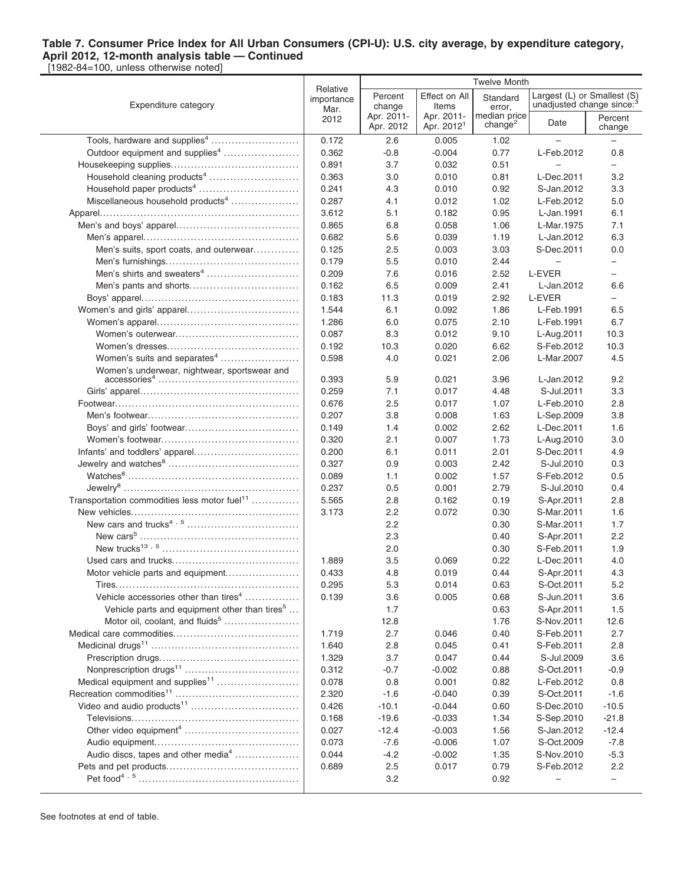|                                                           |                        |                         | <b>Twelve Month</b>                  |                                     |                                       |                          |
|-----------------------------------------------------------|------------------------|-------------------------|--------------------------------------|-------------------------------------|---------------------------------------|--------------------------|
|                                                           | Relative<br>importance | Percent                 | Effect on All                        | Standard                            | Largest (L) or Smallest (S)           |                          |
| Expenditure category                                      | Mar.                   | change                  | Items                                | error,                              | unadjusted change since: <sup>3</sup> |                          |
|                                                           | 2012                   | Apr. 2011-<br>Apr. 2012 | Apr. 2011-<br>Apr. 2012 <sup>1</sup> | median price<br>change <sup>2</sup> | Date                                  | Percent<br>change        |
|                                                           | 0.172                  | 2.6                     | 0.005                                | 1.02                                |                                       |                          |
|                                                           |                        |                         |                                      |                                     |                                       | 0.8                      |
| Outdoor equipment and supplies <sup>4</sup>               | 0.362                  | $-0.8$                  | $-0.004$                             | 0.77                                | L-Feb.2012                            |                          |
|                                                           | 0.891                  | 3.7                     | 0.032                                | 0.51                                | $\overline{\phantom{0}}$              | $-$                      |
| Household cleaning products <sup>4</sup>                  | 0.363                  | 3.0                     | 0.010                                | 0.81                                | L-Dec.2011                            | 3.2                      |
|                                                           | 0.241                  | 4.3                     | 0.010                                | 0.92                                | S-Jan.2012                            | 3.3                      |
| Miscellaneous household products <sup>4</sup>             | 0.287                  | 4.1                     | 0.012                                | 1.02                                | L-Feb.2012                            | 5.0                      |
|                                                           | 3.612                  | 5.1                     | 0.182                                | 0.95                                | L-Jan.1991                            | 6.1                      |
|                                                           | 0.865                  | 6.8                     | 0.058                                | 1.06                                | L-Mar.1975                            | 7.1                      |
|                                                           | 0.682                  | 5.6                     | 0.039                                | 1.19                                | L-Jan.2012                            | 6.3                      |
| Men's suits, sport coats, and outerwear                   | 0.125                  | 2.5                     | 0.003                                | 3.03                                | S-Dec.2011                            | 0.0                      |
|                                                           | 0.179                  | 5.5                     | 0.010                                | 2.44                                | $\qquad \qquad -$                     | $\qquad \qquad -$        |
| Men's shirts and sweaters <sup>4</sup>                    | 0.209                  | 7.6                     | 0.016                                | 2.52                                | L-EVER                                | $\overline{\phantom{0}}$ |
|                                                           | 0.162                  | 6.5                     | 0.009                                | 2.41                                | L-Jan.2012                            | 6.6                      |
|                                                           | 0.183                  | 11.3                    | 0.019                                | 2.92                                | L-EVER                                | -                        |
|                                                           | 1.544                  | 6.1                     | 0.092                                | 1.86                                | L-Feb.1991                            | 6.5                      |
|                                                           | 1.286                  | 6.0                     | 0.075                                | 2.10                                | L-Feb.1991                            | 6.7                      |
|                                                           | 0.087                  | 8.3                     | 0.012                                | 9.10                                | L-Aug.2011                            | 10.3                     |
|                                                           | 0.192                  | 10.3                    | 0.020                                | 6.62                                | S-Feb.2012                            | 10.3                     |
| Women's suits and separates <sup>4</sup>                  | 0.598                  | 4.0                     | 0.021                                | 2.06                                | L-Mar.2007                            | 4.5                      |
| Women's underwear, nightwear, sportswear and              | 0.393                  | 5.9                     | 0.021                                | 3.96                                | L-Jan.2012                            | 9.2                      |
|                                                           | 0.259                  | 7.1                     | 0.017                                | 4.48                                | S-Jul.2011                            | 3.3                      |
|                                                           | 0.676                  | 2.5                     | 0.017                                | 1.07                                | L-Feb.2010                            | 2.8                      |
|                                                           | 0.207                  | 3.8                     | 0.008                                | 1.63                                | L-Sep.2009                            | 3.8                      |
|                                                           | 0.149                  | 1.4                     | 0.002                                | 2.62                                | L-Dec.2011                            | 1.6                      |
|                                                           | 0.320                  | 2.1                     | 0.007                                | 1.73                                | L-Aug.2010                            | 3.0                      |
|                                                           | 0.200                  | 6.1                     | 0.011                                | 2.01                                | S-Dec.2011                            | 4.9                      |
|                                                           | 0.327                  | 0.9                     | 0.003                                | 2.42                                | S-Jul.2010                            | 0.3                      |
|                                                           | 0.089                  | 1.1                     | 0.002                                | 1.57                                | S-Feb.2012                            | 0.5                      |
|                                                           | 0.237                  | 0.5                     | 0.001                                | 2.79                                | S-Jul.2010                            | 0.4                      |
| Transportation commodities less motor fuel <sup>11</sup>  | 5.565                  | 2.8                     | 0.162                                | 0.19                                | S-Apr.2011                            | 2.8                      |
|                                                           | 3.173                  | 2.2                     | 0.072                                | 0.30                                | S-Mar.2011                            | 1.6                      |
|                                                           |                        | 2.2                     |                                      | 0.30                                | S-Mar.2011                            | 1.7                      |
|                                                           |                        | 2.3                     |                                      | 0.40                                | S-Apr.2011                            | 2.2                      |
|                                                           |                        | 2.0                     |                                      | 0.30                                | S-Feb.2011                            | 1.9                      |
|                                                           | 1.889                  | 3.5                     | 0.069                                | 0.22                                | L-Dec.2011                            | 4.0                      |
| Motor vehicle parts and equipment                         | 0.433                  | 4.8                     | 0.019                                | 0.44                                | S-Apr.2011                            | 4.3                      |
|                                                           | 0.295                  | 5.3                     | 0.014                                | 0.63                                | S-Oct.2011                            | 5.2                      |
| Vehicle accessories other than tires <sup>4</sup>         | 0.139                  | 3.6                     | 0.005                                | 0.68                                | S-Jun.2011                            | 3.6                      |
| Vehicle parts and equipment other than tires <sup>5</sup> |                        | 1.7                     |                                      | 0.63                                | S-Apr.2011                            | 1.5                      |
| Motor oil, coolant, and fluids <sup>5</sup>               |                        | 12.8                    |                                      | 1.76                                | S-Nov.2011                            | 12.6                     |
|                                                           | 1.719                  | 2.7                     | 0.046                                | 0.40                                | S-Feb.2011                            | 2.7                      |
|                                                           | 1.640                  | 2.8                     | 0.045                                | 0.41                                | S-Feb.2011                            | 2.8                      |
|                                                           | 1.329                  | 3.7                     | 0.047                                | 0.44                                | S-Jul.2009                            | 3.6                      |
|                                                           | 0.312                  | $-0.7$                  | $-0.002$                             | 0.88                                | S-Oct.2011                            | $-0.9$                   |
| Medical equipment and supplies <sup>11</sup>              | 0.078                  | 0.8                     | 0.001                                | 0.82                                | L-Feb.2012                            | 0.8                      |
|                                                           | 2.320                  | $-1.6$                  | $-0.040$                             | 0.39                                | S-Oct.2011                            | $-1.6$                   |
|                                                           | 0.426                  | $-10.1$                 | $-0.044$                             | 0.60                                | S-Dec.2010                            | $-10.5$                  |
|                                                           | 0.168                  | $-19.6$                 | $-0.033$                             | 1.34                                | S-Sep.2010                            | $-21.8$                  |
|                                                           | 0.027                  | $-12.4$                 | $-0.003$                             | 1.56                                | S-Jan.2012                            | $-12.4$                  |
|                                                           | 0.073                  | $-7.6$                  | $-0.006$                             | 1.07                                | S-Oct.2009                            | $-7.8$                   |
| Audio discs, tapes and other media <sup>4</sup>           | 0.044                  | $-4.2$                  | $-0.002$                             | 1.35                                | S-Nov.2010                            | $-5.3$                   |
|                                                           | 0.689                  | 2.5                     | 0.017                                | 0.79                                | S-Feb.2012                            | 2.2                      |
|                                                           |                        | 3.2                     |                                      | 0.92                                | -                                     | -                        |
|                                                           |                        |                         |                                      |                                     |                                       |                          |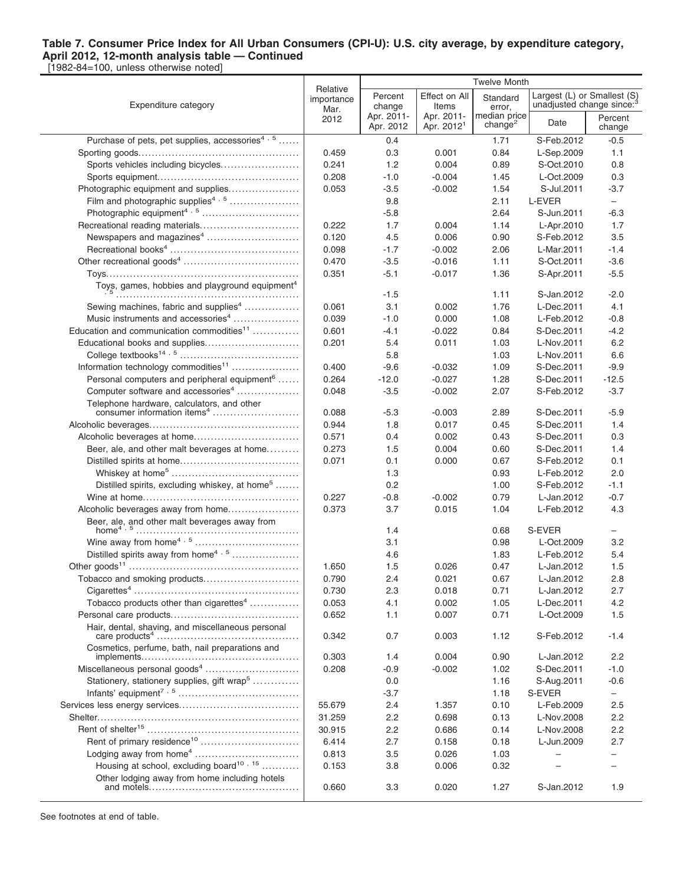[1982-84=100, unless otherwise noted]

|                                                                         | <b>Twelve Month</b>    |                         |                                      |                                     |                                       |                   |  |  |
|-------------------------------------------------------------------------|------------------------|-------------------------|--------------------------------------|-------------------------------------|---------------------------------------|-------------------|--|--|
|                                                                         | Relative<br>importance | Percent                 | Effect on All                        | Standard                            | Largest (L) or Smallest (S)           |                   |  |  |
| Expenditure category                                                    | Mar.                   | change                  | Items                                | error,                              | unadjusted change since: <sup>3</sup> |                   |  |  |
|                                                                         | 2012                   | Apr. 2011-<br>Apr. 2012 | Apr. 2011-<br>Apr. 2012 <sup>1</sup> | median price<br>change <sup>2</sup> | Date                                  | Percent<br>change |  |  |
| Purchase of pets, pet supplies, accessories <sup>4, 5</sup>             |                        | 0.4                     |                                      | 1.71                                | S-Feb.2012                            | $-0.5$            |  |  |
|                                                                         | 0.459                  | 0.3                     | 0.001                                | 0.84                                | L-Sep.2009                            | 1.1               |  |  |
| Sports vehicles including bicycles                                      | 0.241                  | 1.2                     | 0.004                                | 0.89                                | S-Oct.2010                            | 0.8               |  |  |
|                                                                         | 0.208                  | $-1.0$                  | $-0.004$                             |                                     | L-Oct.2009                            | 0.3               |  |  |
| Photographic equipment and supplies                                     |                        | $-3.5$                  | $-0.002$                             | 1.45<br>1.54                        | S-Jul.2011                            | $-3.7$            |  |  |
| Film and photographic supplies <sup>4, 5</sup>                          | 0.053                  |                         |                                      |                                     |                                       |                   |  |  |
|                                                                         |                        | 9.8<br>-5.8             |                                      | 2.11<br>2.64                        | L-EVER<br>S-Jun.2011                  | $-$<br>$-6.3$     |  |  |
|                                                                         | 0.222                  | 1.7                     |                                      | 1.14                                |                                       |                   |  |  |
| Recreational reading materials<br>Newspapers and magazines <sup>4</sup> | 0.120                  | 4.5                     | 0.004<br>0.006                       | 0.90                                | L-Apr.2010<br>S-Feb.2012              | 1.7<br>3.5        |  |  |
|                                                                         | 0.098                  |                         |                                      |                                     |                                       | $-1.4$            |  |  |
|                                                                         |                        | $-1.7$                  | $-0.002$                             | 2.06                                | L-Mar.2011                            |                   |  |  |
|                                                                         | 0.470                  | -3.5                    | $-0.016$                             | 1.11                                | S-Oct.2011                            | $-3.6$            |  |  |
|                                                                         | 0.351                  | $-5.1$                  | $-0.017$                             | 1.36                                | S-Apr.2011                            | $-5.5$            |  |  |
| Toys, games, hobbies and playground equipment <sup>4</sup>              |                        | $-1.5$                  |                                      | 1.11                                | S-Jan.2012                            | $-2.0$            |  |  |
| Sewing machines, fabric and supplies <sup>4</sup>                       | 0.061                  | 3.1                     | 0.002                                | 1.76                                | L-Dec.2011                            | 4.1               |  |  |
| Music instruments and accessories <sup>4</sup>                          | 0.039                  | $-1.0$                  | 0.000                                | 1.08                                | L-Feb.2012                            | $-0.8$            |  |  |
| Education and communication commodities <sup>11</sup>                   | 0.601                  | $-4.1$                  | $-0.022$                             | 0.84                                | S-Dec.2011                            | $-4.2$            |  |  |
| Educational books and supplies                                          | 0.201                  | 5.4                     | 0.011                                | 1.03                                | L-Nov.2011                            | 6.2               |  |  |
|                                                                         |                        | 5.8                     |                                      | 1.03                                | L-Nov.2011                            | 6.6               |  |  |
| Information technology commodities <sup>11</sup>                        | 0.400                  | $-9.6$                  | $-0.032$                             | 1.09                                | S-Dec.2011                            | $-9.9$            |  |  |
| Personal computers and peripheral equipment <sup>6</sup>                | 0.264                  | $-12.0$                 | $-0.027$                             | 1.28                                | S-Dec.2011                            | $-12.5$           |  |  |
| Computer software and accessories <sup>4</sup>                          | 0.048                  | $-3.5$                  | $-0.002$                             | 2.07                                | S-Feb.2012                            | $-3.7$            |  |  |
| Telephone hardware, calculators, and other                              |                        |                         |                                      |                                     |                                       |                   |  |  |
|                                                                         | 0.088                  | $-5.3$                  | $-0.003$                             | 2.89                                | S-Dec.2011                            | $-5.9$            |  |  |
|                                                                         | 0.944                  | 1.8                     | 0.017                                | 0.45                                | S-Dec.2011                            | 1.4               |  |  |
|                                                                         | 0.571                  | 0.4                     | 0.002                                | 0.43                                | S-Dec.2011                            | 0.3               |  |  |
| Beer, ale, and other malt beverages at home                             | 0.273                  | 1.5                     | 0.004                                | 0.60                                | S-Dec.2011                            | 1.4               |  |  |
|                                                                         | 0.071                  | 0.1                     | 0.000                                | 0.67                                | S-Feb.2012                            | 0.1               |  |  |
|                                                                         |                        | 1.3                     |                                      | 0.93                                | L-Feb.2012                            | 2.0               |  |  |
| Distilled spirits, excluding whiskey, at home <sup>5</sup>              |                        | 0.2                     |                                      | 1.00                                | S-Feb.2012                            | $-1.1$            |  |  |
|                                                                         | 0.227                  | $-0.8$                  | $-0.002$                             | 0.79                                | L-Jan.2012                            | $-0.7$            |  |  |
|                                                                         | 0.373                  | 3.7                     | 0.015                                | 1.04                                | L-Feb.2012                            | 4.3               |  |  |
| Beer, ale, and other malt beverages away from                           |                        |                         |                                      |                                     |                                       |                   |  |  |
| home <sup>4</sup> , 5                                                   |                        | 1.4                     |                                      | 0.68                                | S-EVER                                | -                 |  |  |
|                                                                         |                        | 3.1                     |                                      | 0.98                                | L-Oct.2009                            | 3.2               |  |  |
| Distilled spirits away from home <sup>4, 5</sup>                        |                        | 4.6                     |                                      | 1.83                                | L-Feb.2012                            | 5.4               |  |  |
|                                                                         | 1.650                  | 1.5                     | 0.026                                | 0.47                                | L-Jan.2012                            | 1.5               |  |  |
| Tobacco and smoking products                                            | 0.790                  | 2.4                     | 0.021                                | 0.67                                | L-Jan.2012                            | 2.8               |  |  |
|                                                                         | 0.730                  | 2.3                     | 0.018                                | 0.71                                | L-Jan.2012                            | 2.7               |  |  |
| Tobacco products other than cigarettes <sup>4</sup>                     | 0.053                  | 4.1                     | 0.002                                | 1.05                                | L-Dec.2011                            | 4.2               |  |  |
|                                                                         | 0.652                  | 1.1                     | 0.007                                | 0.71                                | L-Oct.2009                            | 1.5               |  |  |
| Hair, dental, shaving, and miscellaneous personal                       |                        | 0.7                     | 0.003                                |                                     |                                       | $-1.4$            |  |  |
| Cosmetics, perfume, bath, nail preparations and                         | 0.342                  |                         |                                      | 1.12                                | S-Feb.2012                            |                   |  |  |
|                                                                         | 0.303                  | 1.4                     | 0.004                                | 0.90                                | L-Jan.2012                            | 2.2               |  |  |
| Miscellaneous personal goods <sup>4</sup>                               | 0.208                  | -0.9                    | $-0.002$                             | 1.02                                | S-Dec.2011                            | $-1.0$            |  |  |
| Stationery, stationery supplies, gift wrap <sup>5</sup>                 |                        | 0.0                     |                                      | 1.16                                | S-Aug.2011                            | $-0.6$            |  |  |
|                                                                         |                        | $-3.7$                  |                                      | 1.18                                | S-EVER                                | $-$               |  |  |
|                                                                         | 55.679                 | 2.4                     | 1.357                                | 0.10                                | L-Feb.2009                            | 2.5               |  |  |
|                                                                         | 31.259                 | 2.2                     | 0.698                                | 0.13                                | L-Nov.2008                            | 2.2               |  |  |
|                                                                         | 30.915                 | 2.2                     | 0.686                                | 0.14                                | L-Nov.2008                            | 2.2               |  |  |
| Rent of primary residence <sup>10</sup>                                 | 6.414                  | 2.7                     | 0.158                                | 0.18                                | L-Jun.2009                            | 2.7               |  |  |
| Lodging away from home <sup>4</sup>                                     | 0.813                  | 3.5                     | 0.026                                | 1.03                                |                                       |                   |  |  |
| Housing at school, excluding board <sup>10, 15</sup>                    | 0.153                  | 3.8                     | 0.006                                | 0.32                                |                                       |                   |  |  |
| Other lodging away from home including hotels                           |                        |                         |                                      |                                     |                                       |                   |  |  |
|                                                                         | 0.660                  | 3.3                     | 0.020                                | 1.27                                | S-Jan.2012                            | 1.9               |  |  |
|                                                                         |                        |                         |                                      |                                     |                                       |                   |  |  |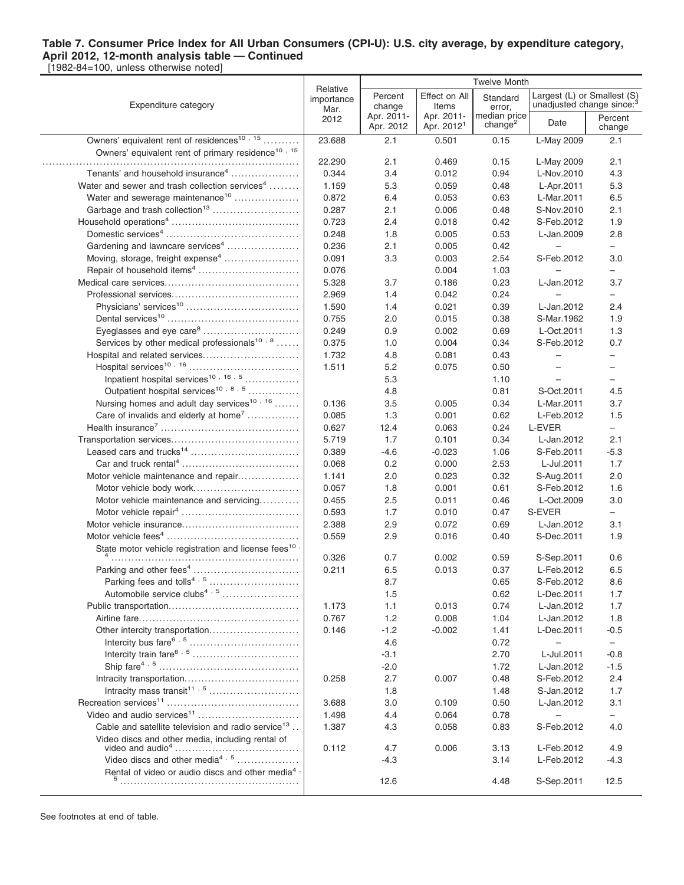|                                                                                                                                                                                                                                                                                                                                                  |                                | <b>Twelve Month</b>     |                                      |                                     |                                                                      |                          |
|--------------------------------------------------------------------------------------------------------------------------------------------------------------------------------------------------------------------------------------------------------------------------------------------------------------------------------------------------|--------------------------------|-------------------------|--------------------------------------|-------------------------------------|----------------------------------------------------------------------|--------------------------|
| Expenditure category                                                                                                                                                                                                                                                                                                                             | Relative<br>importance<br>Mar. | Percent<br>change       | Effect on All<br>Items               | Standard<br>error,                  | Largest (L) or Smallest (S)<br>unadjusted change since: <sup>3</sup> |                          |
|                                                                                                                                                                                                                                                                                                                                                  | 2012                           | Apr. 2011-<br>Apr. 2012 | Apr. 2011-<br>Apr. 2012 <sup>1</sup> | median price<br>change <sup>2</sup> | Date                                                                 | Percent<br>change        |
| Owners' equivalent rent of residences <sup>10, 15</sup>                                                                                                                                                                                                                                                                                          | 23.688                         | 2.1                     | 0.501                                | 0.15                                | L-May 2009                                                           | 2.1                      |
| Owners' equivalent rent of primary residence <sup>10, 15</sup>                                                                                                                                                                                                                                                                                   |                                |                         |                                      |                                     |                                                                      |                          |
|                                                                                                                                                                                                                                                                                                                                                  | 22.290                         | 2.1                     | 0.469                                | 0.15                                | L-May 2009                                                           | 2.1                      |
| Tenants' and household insurance <sup>4</sup>                                                                                                                                                                                                                                                                                                    | 0.344                          | 3.4                     | 0.012                                | 0.94                                | L-Nov.2010                                                           | 4.3                      |
| Water and sewer and trash collection services <sup>4</sup>                                                                                                                                                                                                                                                                                       | 1.159                          | 5.3                     | 0.059                                | 0.48                                | L-Apr.2011                                                           | 5.3                      |
| Water and sewerage maintenance <sup>10</sup>                                                                                                                                                                                                                                                                                                     | 0.872                          | 6.4                     | 0.053                                | 0.63                                | L-Mar.2011                                                           | 6.5                      |
| Garbage and trash collection <sup>13</sup>                                                                                                                                                                                                                                                                                                       | 0.287                          | 2.1                     | 0.006                                | 0.48                                | S-Nov.2010                                                           | 2.1                      |
|                                                                                                                                                                                                                                                                                                                                                  | 0.723                          | 2.4                     | 0.018                                | 0.42                                | S-Feb.2012                                                           | 1.9                      |
|                                                                                                                                                                                                                                                                                                                                                  | 0.248                          | 1.8                     | 0.005                                | 0.53                                | L-Jan.2009                                                           | 2.8                      |
| Gardening and lawncare services <sup>4</sup>                                                                                                                                                                                                                                                                                                     | 0.236                          | 2.1                     | 0.005                                | 0.42                                |                                                                      | $\overline{\phantom{0}}$ |
| Moving, storage, freight expense <sup>4</sup>                                                                                                                                                                                                                                                                                                    | 0.091                          | 3.3                     | 0.003                                | 2.54                                | S-Feb.2012                                                           | 3.0                      |
|                                                                                                                                                                                                                                                                                                                                                  | 0.076                          |                         | 0.004                                | 1.03                                |                                                                      |                          |
|                                                                                                                                                                                                                                                                                                                                                  | 5.328                          | 3.7                     | 0.186                                | 0.23                                | L-Jan.2012                                                           | 3.7                      |
|                                                                                                                                                                                                                                                                                                                                                  | 2.969                          | 1.4                     | 0.042                                | 0.24                                |                                                                      | $\overline{\phantom{0}}$ |
|                                                                                                                                                                                                                                                                                                                                                  | 1.590                          | 1.4                     | 0.021                                | 0.39                                | L-Jan.2012                                                           | 2.4                      |
|                                                                                                                                                                                                                                                                                                                                                  | 0.755                          | 2.0                     | 0.015                                | 0.38                                | S-Mar.1962                                                           | 1.9                      |
| Eyeglasses and eye care <sup>8</sup>                                                                                                                                                                                                                                                                                                             | 0.249                          | 0.9                     | 0.002                                | 0.69                                | L-Oct.2011                                                           | 1.3                      |
| Services by other medical professionals <sup>10,8</sup>                                                                                                                                                                                                                                                                                          | 0.375                          | 1.0                     | 0.004                                | 0.34                                | S-Feb.2012                                                           | 0.7                      |
| Hospital and related services                                                                                                                                                                                                                                                                                                                    | 1.732                          | 4.8                     | 0.081                                | 0.43                                | $\qquad \qquad -$                                                    | $\overline{\phantom{0}}$ |
|                                                                                                                                                                                                                                                                                                                                                  | 1.511                          | 5.2                     | 0.075                                | 0.50                                | $\overline{\phantom{0}}$                                             | $\overline{\phantom{0}}$ |
| Inpatient hospital services <sup>10, 16, 5</sup>                                                                                                                                                                                                                                                                                                 |                                | 5.3                     |                                      | 1.10                                |                                                                      | $\overline{\phantom{0}}$ |
| Outpatient hospital services <sup>10,8,5</sup>                                                                                                                                                                                                                                                                                                   |                                | 4.8                     |                                      | 0.81                                | S-Oct.2011                                                           | 4.5                      |
| Nursing homes and adult day services <sup>10, 16</sup>                                                                                                                                                                                                                                                                                           | 0.136                          | 3.5                     | 0.005                                | 0.34                                | L-Mar.2011                                                           | 3.7                      |
| Care of invalids and elderly at home <sup>7</sup>                                                                                                                                                                                                                                                                                                | 0.085                          | 1.3                     | 0.001                                | 0.62                                | L-Feb.2012                                                           | 1.5                      |
|                                                                                                                                                                                                                                                                                                                                                  | 0.627                          | 12.4                    | 0.063                                | 0.24                                | L-EVER                                                               | $\overline{\phantom{0}}$ |
|                                                                                                                                                                                                                                                                                                                                                  | 5.719                          | 1.7                     | 0.101                                | 0.34                                | L-Jan.2012                                                           | 2.1                      |
|                                                                                                                                                                                                                                                                                                                                                  | 0.389                          | $-4.6$                  | $-0.023$                             | 1.06                                | S-Feb.2011                                                           | $-5.3$                   |
|                                                                                                                                                                                                                                                                                                                                                  | 0.068                          | 0.2                     | 0.000                                | 2.53                                | L-Jul.2011                                                           | 1.7                      |
| Motor vehicle maintenance and repair                                                                                                                                                                                                                                                                                                             | 1.141                          | 2.0                     | 0.023                                | 0.32                                | S-Aug.2011                                                           | 2.0                      |
|                                                                                                                                                                                                                                                                                                                                                  | 0.057                          | 1.8                     | 0.001                                | 0.61                                | S-Feb.2012                                                           | 1.6                      |
| Motor vehicle maintenance and servicing                                                                                                                                                                                                                                                                                                          | 0.455                          | 2.5                     | 0.011                                | 0.46                                | L-Oct.2009                                                           | 3.0                      |
|                                                                                                                                                                                                                                                                                                                                                  | 0.593                          | 1.7                     | 0.010                                | 0.47                                | S-EVER                                                               | $-$                      |
|                                                                                                                                                                                                                                                                                                                                                  | 2.388                          | 2.9                     | 0.072                                | 0.69                                | L-Jan.2012                                                           | 3.1                      |
|                                                                                                                                                                                                                                                                                                                                                  | 0.559                          | 2.9                     | 0.016                                | 0.40                                | S-Dec.2011                                                           | 1.9                      |
| State motor vehicle registration and license fees <sup>10</sup>                                                                                                                                                                                                                                                                                  |                                |                         |                                      |                                     |                                                                      |                          |
|                                                                                                                                                                                                                                                                                                                                                  | 0.326                          | 0.7                     | 0.002                                | 0.59                                | S-Sep.2011                                                           | 0.6                      |
|                                                                                                                                                                                                                                                                                                                                                  | 0.211                          | 6.5                     | 0.013                                | 0.37                                | L-Feb.2012                                                           | 6.5                      |
|                                                                                                                                                                                                                                                                                                                                                  |                                | 8.7                     |                                      | 0.65                                | S-Feb.2012                                                           | 8.6                      |
| Automobile service clubs <sup>4, 5</sup>                                                                                                                                                                                                                                                                                                         |                                | 1.5                     |                                      | 0.62                                | L-Dec.2011                                                           | 1.7                      |
|                                                                                                                                                                                                                                                                                                                                                  | 1.173                          | 1.1                     | 0.013                                | 0.74                                | L-Jan.2012                                                           | 1.7                      |
|                                                                                                                                                                                                                                                                                                                                                  | 0.767                          | 1.2                     | 0.008                                | 1.04                                | L-Jan.2012                                                           | 1.8                      |
| Other intercity transportation                                                                                                                                                                                                                                                                                                                   | 0.146                          | $-1.2$                  | $-0.002$                             | 1.41                                | L-Dec.2011                                                           | $-0.5$                   |
| Intercity bus fare $6, 5, \ldots, 6, \ldots, 6, \ldots, 6, \ldots, 6, \ldots, 6, \ldots, 6, \ldots, 6, \ldots, 6, \ldots, 6, \ldots, 6, \ldots, 6, \ldots, 6, \ldots, 6, \ldots, 6, \ldots, 6, \ldots, 6, \ldots, 6, \ldots, 6, \ldots, 6, \ldots, 6, \ldots, 6, \ldots, 6, \ldots, 6, \ldots, 6, \ldots, 6, \ldots, 6, \ldots, 6, \ldots, 6, \$ |                                | 4.6                     |                                      | 0.72                                |                                                                      | $\qquad \qquad -$        |
|                                                                                                                                                                                                                                                                                                                                                  |                                | $-3.1$                  |                                      | 2.70                                | L-Jul.2011                                                           | $-0.8$                   |
|                                                                                                                                                                                                                                                                                                                                                  |                                | $-2.0$                  |                                      | 1.72                                | L-Jan.2012                                                           | $-1.5$                   |
|                                                                                                                                                                                                                                                                                                                                                  | 0.258                          | 2.7                     | 0.007                                | 0.48                                | S-Feb.2012                                                           | 2.4                      |
|                                                                                                                                                                                                                                                                                                                                                  |                                | 1.8                     |                                      | 1.48                                | S-Jan.2012                                                           | 1.7                      |
|                                                                                                                                                                                                                                                                                                                                                  | 3.688                          | 3.0                     | 0.109                                | 0.50                                | L-Jan.2012                                                           | 3.1                      |
|                                                                                                                                                                                                                                                                                                                                                  | 1.498                          | 4.4                     | 0.064                                | 0.78                                |                                                                      | $\overline{\phantom{0}}$ |
| Cable and satellite television and radio service <sup>13</sup>                                                                                                                                                                                                                                                                                   | 1.387                          | 4.3                     | 0.058                                | 0.83                                | S-Feb.2012                                                           | 4.0                      |
| Video discs and other media, including rental of                                                                                                                                                                                                                                                                                                 |                                |                         |                                      |                                     |                                                                      |                          |
|                                                                                                                                                                                                                                                                                                                                                  | 0.112                          | 4.7                     | 0.006                                | 3.13                                | L-Feb.2012                                                           | 4.9                      |
| Video discs and other media <sup>4, 5</sup>                                                                                                                                                                                                                                                                                                      |                                | $-4.3$                  |                                      | 3.14                                | L-Feb.2012                                                           | -4.3                     |
| Rental of video or audio discs and other media <sup>4</sup>                                                                                                                                                                                                                                                                                      |                                |                         |                                      |                                     |                                                                      |                          |
|                                                                                                                                                                                                                                                                                                                                                  |                                | 12.6                    |                                      | 4.48                                | S-Sep.2011                                                           | 12.5                     |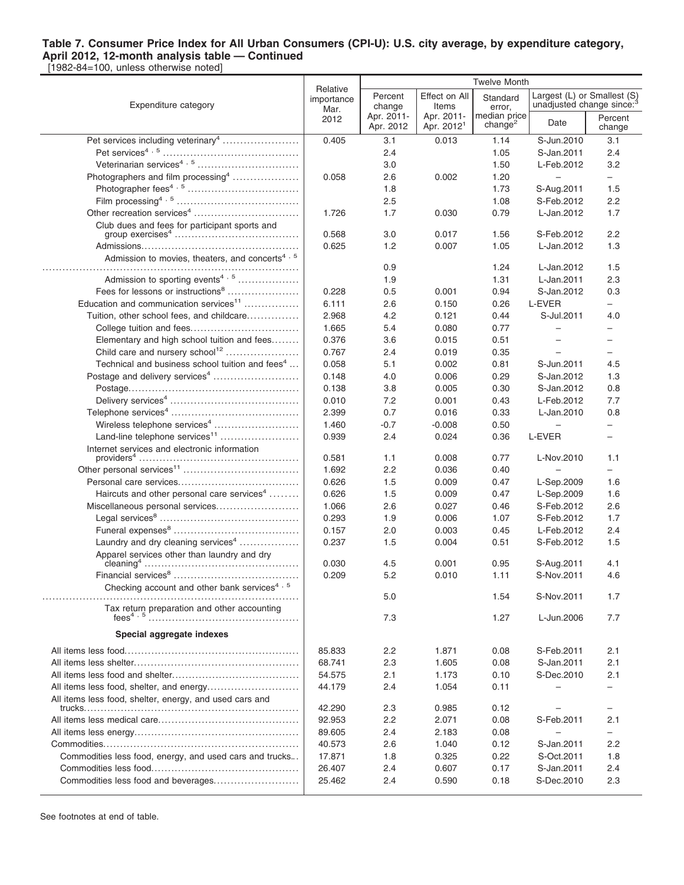[1982-84=100, unless otherwise noted]

|                                                             | Relative           | <b>Twelve Month</b>     |                                      |                                     |                                       |                             |  |  |
|-------------------------------------------------------------|--------------------|-------------------------|--------------------------------------|-------------------------------------|---------------------------------------|-----------------------------|--|--|
| Expenditure category                                        | importance<br>Mar. | Percent<br>change       | Effect on All<br>Items               | Standard<br>error,                  | unadjusted change since: <sup>3</sup> | Largest (L) or Smallest (S) |  |  |
|                                                             | 2012               | Apr. 2011-<br>Apr. 2012 | Apr. 2011-<br>Apr. 2012 <sup>1</sup> | median price<br>change <sup>2</sup> | Date                                  | Percent<br>change           |  |  |
|                                                             | 0.405              | 3.1                     | 0.013                                | 1.14                                | S-Jun.2010                            | 3.1                         |  |  |
|                                                             |                    | 2.4                     |                                      | 1.05                                | S-Jan.2011                            | 2.4                         |  |  |
|                                                             |                    | 3.0                     |                                      | 1.50                                | L-Feb.2012                            | 3.2                         |  |  |
| Photographers and film processing <sup>4</sup>              | 0.058              | 2.6                     | 0.002                                | 1.20                                | $\overline{\phantom{0}}$              | $\equiv$                    |  |  |
|                                                             |                    | 1.8                     |                                      | 1.73                                | S-Aug.2011                            | 1.5                         |  |  |
|                                                             |                    | 2.5                     |                                      | 1.08                                | S-Feb.2012                            | 2.2                         |  |  |
|                                                             | 1.726              | 1.7                     | 0.030                                | 0.79                                | L-Jan.2012                            | 1.7                         |  |  |
| Club dues and fees for participant sports and               |                    |                         |                                      |                                     |                                       |                             |  |  |
|                                                             | 0.568              | 3.0                     | 0.017                                | 1.56                                | S-Feb.2012                            | 2.2                         |  |  |
|                                                             | 0.625              | 1.2                     | 0.007                                | 1.05                                | L-Jan.2012                            | 1.3                         |  |  |
| Admission to movies, theaters, and concerts <sup>4, 5</sup> |                    | 0.9                     |                                      | 1.24                                | L-Jan.2012                            | 1.5                         |  |  |
| Admission to sporting events <sup>4, 5</sup>                |                    | 1.9                     |                                      | 1.31                                | L-Jan.2011                            | 2.3                         |  |  |
| Fees for lessons or instructions <sup>8</sup>               | 0.228              | 0.5                     | 0.001                                | 0.94                                | S-Jan.2012                            | 0.3                         |  |  |
| Education and communication services <sup>11</sup>          | 6.111              | 2.6                     | 0.150                                | 0.26                                | L-EVER                                | -                           |  |  |
| Tuition, other school fees, and childcare                   | 2.968              | 4.2                     | 0.121                                | 0.44                                | S-Jul.2011                            | 4.0                         |  |  |
| College tuition and fees                                    | 1.665              | 5.4                     | 0.080                                | 0.77                                | $\qquad \qquad -$                     |                             |  |  |
| Elementary and high school tuition and fees                 | 0.376              | 3.6                     | 0.015                                | 0.51                                |                                       | $\overline{\phantom{0}}$    |  |  |
| Child care and nursery school <sup>12</sup>                 | 0.767              | 2.4                     | 0.019                                | 0.35                                |                                       | -                           |  |  |
| Technical and business school tuition and fees <sup>4</sup> | 0.058              | 5.1                     | 0.002                                | 0.81                                | S-Jun.2011                            | 4.5                         |  |  |
| Postage and delivery services <sup>4</sup>                  | 0.148              | 4.0                     | 0.006                                | 0.29                                | S-Jan.2012                            | 1.3                         |  |  |
|                                                             | 0.138              | 3.8                     | 0.005                                | 0.30                                | S-Jan.2012                            | 0.8                         |  |  |
|                                                             | 0.010              | 7.2                     | 0.001                                | 0.43                                | L-Feb.2012                            | 7.7                         |  |  |
|                                                             | 2.399              | 0.7                     | 0.016                                | 0.33                                | L-Jan.2010                            | 0.8                         |  |  |
| Wireless telephone services <sup>4</sup>                    |                    |                         |                                      |                                     |                                       |                             |  |  |
| Land-line telephone services <sup>11</sup>                  | 1.460              | $-0.7$                  | $-0.008$                             | 0.50                                |                                       |                             |  |  |
|                                                             | 0.939              | 2.4                     | 0.024                                | 0.36                                | L-EVER                                | $\overline{\phantom{0}}$    |  |  |
| Internet services and electronic information                | 0.581              | 1.1                     | 0.008                                | 0.77                                | L-Nov.2010                            | 1.1                         |  |  |
|                                                             | 1.692              | 2.2                     | 0.036                                | 0.40                                |                                       | -                           |  |  |
|                                                             | 0.626              | 1.5                     | 0.009                                | 0.47                                | L-Sep.2009                            | 1.6                         |  |  |
| Haircuts and other personal care services <sup>4</sup>      | 0.626              | 1.5                     | 0.009                                | 0.47                                | L-Sep.2009                            | 1.6                         |  |  |
| Miscellaneous personal services                             | 1.066              | 2.6                     | 0.027                                | 0.46                                | S-Feb.2012                            | 2.6                         |  |  |
|                                                             | 0.293              | 1.9                     | 0.006                                | 1.07                                | S-Feb.2012                            | 1.7                         |  |  |
|                                                             | 0.157              | 2.0                     | 0.003                                | 0.45                                | L-Feb.2012                            | 2.4                         |  |  |
| Laundry and dry cleaning services <sup>4</sup>              | 0.237              | 1.5                     | 0.004                                | 0.51                                | S-Feb.2012                            | 1.5                         |  |  |
| Apparel services other than laundry and dry                 |                    |                         |                                      |                                     |                                       |                             |  |  |
|                                                             | 0.030              | 4.5                     | 0.001                                | 0.95                                | S-Aug.2011                            | 4.1                         |  |  |
|                                                             | 0.209              | 5.2                     | 0.010                                | 1.11                                | S-Nov.2011                            | 4.6                         |  |  |
| Checking account and other bank services <sup>4,5</sup>     |                    | 5.0                     |                                      | 1.54                                | S-Nov.2011                            | 1.7                         |  |  |
| Tax return preparation and other accounting                 |                    | 7.3                     |                                      | 1.27                                | L-Jun.2006                            | 7.7                         |  |  |
| Special aggregate indexes                                   |                    |                         |                                      |                                     |                                       |                             |  |  |
|                                                             |                    |                         |                                      |                                     |                                       |                             |  |  |
|                                                             | 85.833             | 2.2                     | 1.871                                | 0.08                                | S-Feb.2011                            | 2.1                         |  |  |
|                                                             | 68.741             | 2.3                     | 1.605                                | 0.08                                | S-Jan.2011                            | 2.1                         |  |  |
|                                                             | 54.575             | 2.1                     | 1.173                                | 0.10                                | S-Dec.2010                            | 2.1                         |  |  |
|                                                             | 44.179             | 2.4                     | 1.054                                | 0.11                                |                                       | $\overline{\phantom{0}}$    |  |  |
| All items less food, shelter, energy, and used cars and     | 42.290             | 2.3                     |                                      | 0.12                                |                                       |                             |  |  |
|                                                             | 92.953             | 2.2                     | 0.985<br>2.071                       | 0.08                                | S-Feb.2011                            | 2.1                         |  |  |
|                                                             | 89.605             | 2.4                     | 2.183                                | 0.08                                | $\overline{\phantom{0}}$              | $\overline{\phantom{0}}$    |  |  |
|                                                             |                    |                         |                                      |                                     |                                       | 2.2                         |  |  |
|                                                             | 40.573             | 2.6                     | 1.040                                | 0.12                                | S-Jan.2011                            |                             |  |  |
| Commodities less food, energy, and used cars and trucks     | 17.871             | 1.8                     | 0.325                                | 0.22                                | S-Oct.2011                            | 1.8                         |  |  |
|                                                             | 26.407             | 2.4                     | 0.607                                | 0.17                                | S-Jan.2011                            | 2.4                         |  |  |
|                                                             | 25.462             | 2.4                     | 0.590                                | 0.18                                | S-Dec.2010                            | 2.3                         |  |  |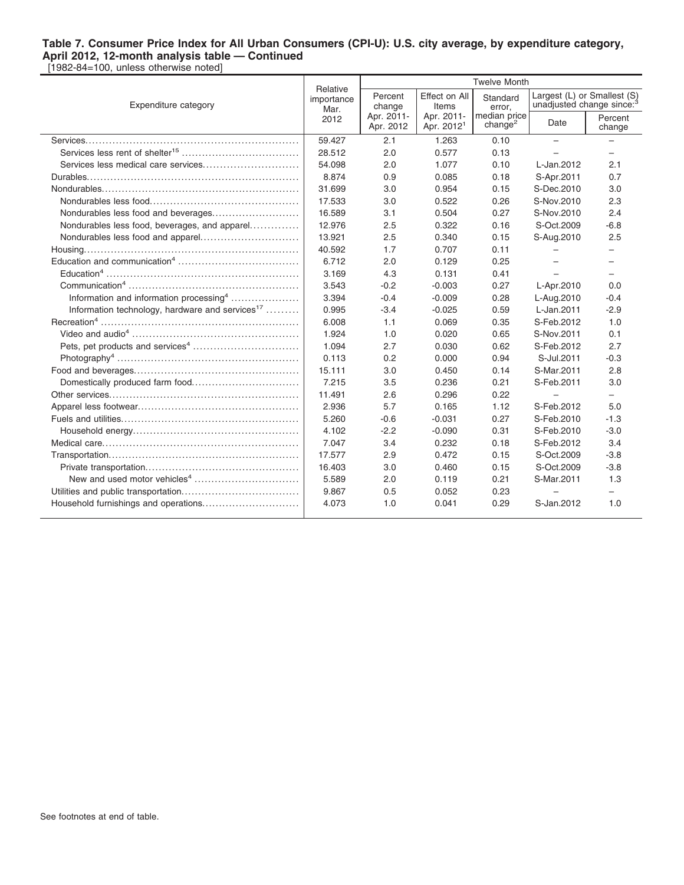|                                                             |                                | <b>Twelve Month</b>     |                                      |                                     |                                                                      |                          |
|-------------------------------------------------------------|--------------------------------|-------------------------|--------------------------------------|-------------------------------------|----------------------------------------------------------------------|--------------------------|
| Expenditure category                                        | Relative<br>importance<br>Mar. | Percent<br>change       | Effect on All<br>Items               | Standard<br>error,                  | Largest (L) or Smallest (S)<br>unadjusted change since. <sup>3</sup> |                          |
|                                                             | 2012                           | Apr. 2011-<br>Apr. 2012 | Apr. 2011-<br>Apr. 2012 <sup>1</sup> | median price<br>change <sup>2</sup> | Date                                                                 | Percent<br>change        |
|                                                             | 59.427                         | 2.1                     | 1.263                                | 0.10                                | $\overline{\phantom{0}}$                                             |                          |
|                                                             | 28.512                         | 2.0                     | 0.577                                | 0.13                                |                                                                      |                          |
|                                                             | 54.098                         | 2.0                     | 1.077                                | 0.10                                | L-Jan.2012                                                           | 2.1                      |
|                                                             | 8.874                          | 0.9                     | 0.085                                | 0.18                                | S-Apr.2011                                                           | 0.7                      |
|                                                             | 31.699                         | 3.0                     | 0.954                                | 0.15                                | S-Dec.2010                                                           | 3.0                      |
|                                                             | 17.533                         | 3.0                     | 0.522                                | 0.26                                | S-Nov.2010                                                           | 2.3                      |
|                                                             | 16.589                         | 3.1                     | 0.504                                | 0.27                                | S-Nov.2010                                                           | 2.4                      |
| Nondurables less food, beverages, and apparel               | 12.976                         | 2.5                     | 0.322                                | 0.16                                | S-Oct.2009                                                           | $-6.8$                   |
|                                                             | 13.921                         | 2.5                     | 0.340                                | 0.15                                | S-Aug.2010                                                           | 2.5                      |
|                                                             | 40.592                         | 1.7                     | 0.707                                | 0.11                                |                                                                      |                          |
|                                                             | 6.712                          | 2.0                     | 0.129                                | 0.25                                |                                                                      | -                        |
|                                                             | 3.169                          | 4.3                     | 0.131                                | 0.41                                |                                                                      |                          |
|                                                             | 3.543                          | $-0.2$                  | $-0.003$                             | 0.27                                | L-Apr.2010                                                           | 0.0                      |
| Information and information processing <sup>4</sup>         | 3.394                          | $-0.4$                  | $-0.009$                             | 0.28                                | L-Aug.2010                                                           | $-0.4$                   |
| Information technology, hardware and services <sup>17</sup> | 0.995                          | $-3.4$                  | $-0.025$                             | 0.59                                | L-Jan.2011                                                           | $-2.9$                   |
|                                                             | 6.008                          | 1.1                     | 0.069                                | 0.35                                | S-Feb.2012                                                           | 1.0                      |
|                                                             | 1.924                          | 1.0                     | 0.020                                | 0.65                                | S-Nov.2011                                                           | 0.1                      |
|                                                             | 1.094                          | 2.7                     | 0.030                                | 0.62                                | S-Feb.2012                                                           | 2.7                      |
|                                                             | 0.113                          | 0.2                     | 0.000                                | 0.94                                | S-Jul.2011                                                           | $-0.3$                   |
|                                                             | 15.111                         | 3.0                     | 0.450                                | 0.14                                | S-Mar.2011                                                           | 2.8                      |
| Domestically produced farm food                             | 7.215                          | 3.5                     | 0.236                                | 0.21                                | S-Feb.2011                                                           | 3.0                      |
|                                                             | 11.491                         | 2.6                     | 0.296                                | 0.22                                | $\overline{\phantom{0}}$                                             | $\overline{\phantom{0}}$ |
|                                                             | 2.936                          | 5.7                     | 0.165                                | 1.12                                | S-Feb.2012                                                           | 5.0                      |
|                                                             | 5.260                          | $-0.6$                  | $-0.031$                             | 0.27                                | S-Feb.2010                                                           | $-1.3$                   |
|                                                             | 4.102                          | $-2.2$                  | $-0.090$                             | 0.31                                | S-Feb.2010                                                           | $-3.0$                   |
|                                                             | 7.047                          | 3.4                     | 0.232                                | 0.18                                | S-Feb.2012                                                           | 3.4                      |
|                                                             | 17.577                         | 2.9                     | 0.472                                | 0.15                                | S-Oct.2009                                                           | $-3.8$                   |
|                                                             | 16.403                         | 3.0                     | 0.460                                | 0.15                                | S-Oct.2009                                                           | $-3.8$                   |
|                                                             | 5.589                          | 2.0                     | 0.119                                | 0.21                                | S-Mar.2011                                                           | 1.3                      |
|                                                             | 9.867                          | 0.5                     | 0.052                                | 0.23                                | $\overline{\phantom{0}}$                                             | -                        |
|                                                             | 4.073                          | 1.0                     | 0.041                                | 0.29                                | S-Jan.2012                                                           | 1.0                      |